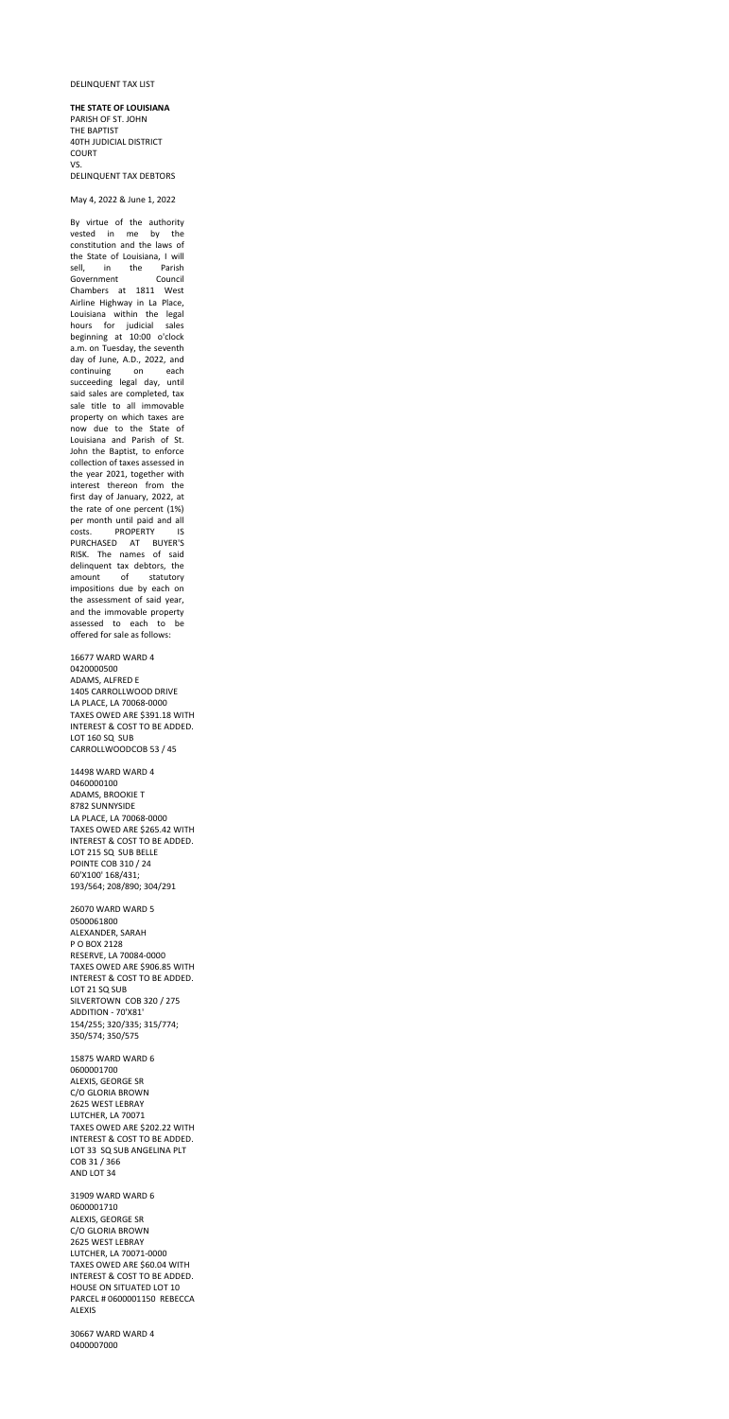## DELINQUENT TAX LIST

## **THE STATE OF LOUISIANA**

PARISH OF ST. JOHN THE BAPTIST 40TH JUDICIAL DISTRICT COURT VS. DELINQUENT TAX DEBTORS

May 4, 2022 & June 1, 2022

By virtue of the authority vested in me by the constitution and the laws of the State of Louisiana, I will sell, in the Parish Government Council Chambers at 1811 West Airline Highway in La Place, Louisiana within the legal hours for judicial sales beginning at 10:00 o'clock a.m. on Tuesday, the seventh day of June, A.D., 2022, and continuing on each succeeding legal day, until said sales are completed, tax sale title to all immovable property on which taxes are now due to the State of Louisiana and Parish of St. John the Baptist, to enforce collection of taxes assessed in the year 2021, together with interest thereon from the first day of January, 2022, at the rate of one percent (1%) per month until paid and all costs. PROPERTY IS PURCHASED AT BUYER'S RISK. The names of said delinquent tax debtors, the amount of statutory impositions due by each on the assessment of said year, and the immovable property assessed to each to be offered for sale as follows:

16677 WARD WARD 4 0420000500 ADAMS, ALFRED E 1405 CARROLLWOOD DRIVE LA PLACE, LA 70068-0000 TAXES OWED ARE \$391.18 WITH INTEREST & COST TO BE ADDED. LOT 160 SQ SUB CARROLLWOODCOB 53 / 45

14498 WARD WARD 4 0460000100 ADAMS, BROOKIE T 8782 SUNNYSIDE LA PLACE, LA 70068-0000 TAXES OWED ARE \$265.42 WITH INTEREST & COST TO BE ADDED.

LOT 215 SQ SUB BELLE POINTE COB 310 / 24 60'X100' 168/431; 193/564; 208/890; 304/291 26070 WARD WARD 5

0500061800 ALEXANDER, SARAH P O BOX 2128 RESERVE, LA 70084-0000 TAXES OWED ARE \$906.85 WITH INTEREST & COST TO BE ADDED. LOT 21 SQ SUB SILVERTOWN COB 320 / 275 ADDITION - 70'X81' 154/255; 320/335; 315/774; 350/574; 350/575

15875 WARD WARD 6 0600001700 ALEXIS, GEORGE SR C/O GLORIA BROWN 2625 WEST LEBRAY LUTCHER, LA 70071 TAXES OWED ARE \$202.22 WITH INTEREST & COST TO BE ADDED. LOT 33 SQ SUB ANGELINA PLT COB 31 / 366 AND LOT 34

31909 WARD WARD 6 0600001710 ALEXIS, GEORGE SR C/O GLORIA BROWN 2625 WEST LEBRAY LUTCHER, LA 70071-0000 TAXES OWED ARE \$60.04 WITH INTEREST & COST TO BE ADDED. HOUSE ON SITUATED LOT 10 PARCEL # 0600001150 REBECCA ALEXIS

30667 WARD WARD 4 0400007000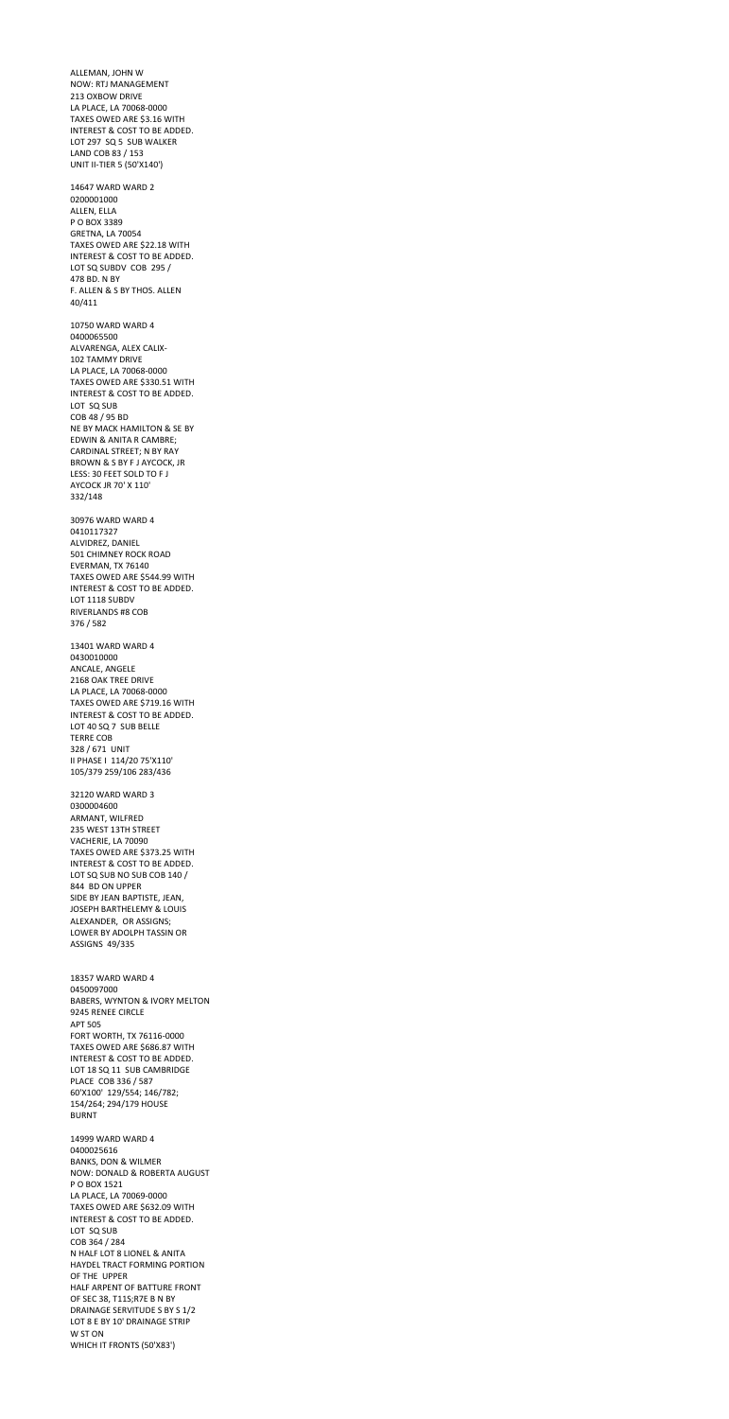ALLEMAN, JOHN W NOW: RTJ MANAGEMENT 213 OXBOW DRIVE LA PLACE, LA 70068-0000 TAXES OWED ARE \$3.16 WITH INTEREST & COST TO BE ADDED. LOT 297 SQ 5 SUB WALKER LAND COB 83 / 153 UNIT II-TIER 5 (50'X140') 14647 WARD WARD 2 0200001000 ALLEN, ELLA P O BOX 3389 GRETNA, LA 70054 TAXES OWED ARE \$22.18 WITH INTEREST & COST TO BE ADDED. LOT SQ SUBDV COB 295 / 478 BD. N BY F. ALLEN & S BY THOS. ALLEN 40/411 10750 WARD WARD 4 0400065500 ALVARENGA, ALEX CALIX-102 TAMMY DRIVE LA PLACE, LA 70068-0000 TAXES OWED ARE \$330.51 WITH INTEREST & COST TO BE ADDED. LOT SQ SUB COB 48 / 95 BD NE BY MACK HAMILTON & SE BY EDWIN & ANITA R CAMBRE; CARDINAL STREET; N BY RAY BROWN & S BY F J AYCOCK, JR LESS: 30 FEET SOLD TO F J AYCOCK JR 70' X 110' 332/148 30976 WARD WARD 4 0410117327 ALVIDREZ, DANIEL 501 CHIMNEY ROCK ROAD EVERMAN, TX 76140 TAXES OWED ARE \$544.99 WITH INTEREST & COST TO BE ADDED. LOT 1118 SUBDV RIVERLANDS #8 COB 376 / 582 13401 WARD WARD 4 0430010000 ANCALE, ANGELE 2168 OAK TREE DRIVE LA PLACE, LA 70068-0000 TAXES OWED ARE \$719.16 WITH INTEREST & COST TO BE ADDED. LOT 40 SQ 7 SUB BELLE TERRE COB 328 / 671 UNIT II PHASE I 114/20 75'X110' 105/379 259/106 283/436 32120 WARD WARD 3 0300004600

ARMANT, WILFRED 235 WEST 13TH STREET VACHERIE, LA 70090

TAXES OWED ARE \$373.25 WITH INTEREST & COST TO BE ADDED. LOT SQ SUB NO SUB COB 140 / 844 BD ON UPPER SIDE BY JEAN BAPTISTE, JEAN, JOSEPH BARTHELEMY & LOUIS ALEXANDER, OR ASSIGNS; LOWER BY ADOLPH TASSIN OR ASSIGNS 49/335 18357 WARD WARD 4 0450097000 BABERS, WYNTON & IVORY MELTON 9245 RENEE CIRCLE APT 505 FORT WORTH, TX 76116-0000 TAXES OWED ARE \$686.87 WITH INTEREST & COST TO BE ADDED. LOT 18 SQ 11 SUB CAMBRIDGE PLACE COB 336 / 587 60'X100' 129/554; 146/782; 154/264; 294/179 HOUSE BURNT 14999 WARD WARD 4 0400025616 BANKS, DON & WILMER NOW: DONALD & ROBERTA AUGUST P O BOX 1521 LA PLACE, LA 70069-0000 TAXES OWED ARE \$632.09 WITH INTEREST & COST TO BE ADDED. LOT SQ SUB COB 364 / 284 N HALF LOT 8 LIONEL & ANITA HAYDEL TRACT FORMING PORTION OF THE UPPER HALF ARPENT OF BATTURE FRONT OF SEC 38, T11S;R7E B N BY DRAINAGE SERVITUDE S BY S 1/2 LOT 8 E BY 10' DRAINAGE STRIP W ST ON WHICH IT FRONTS (50'X83')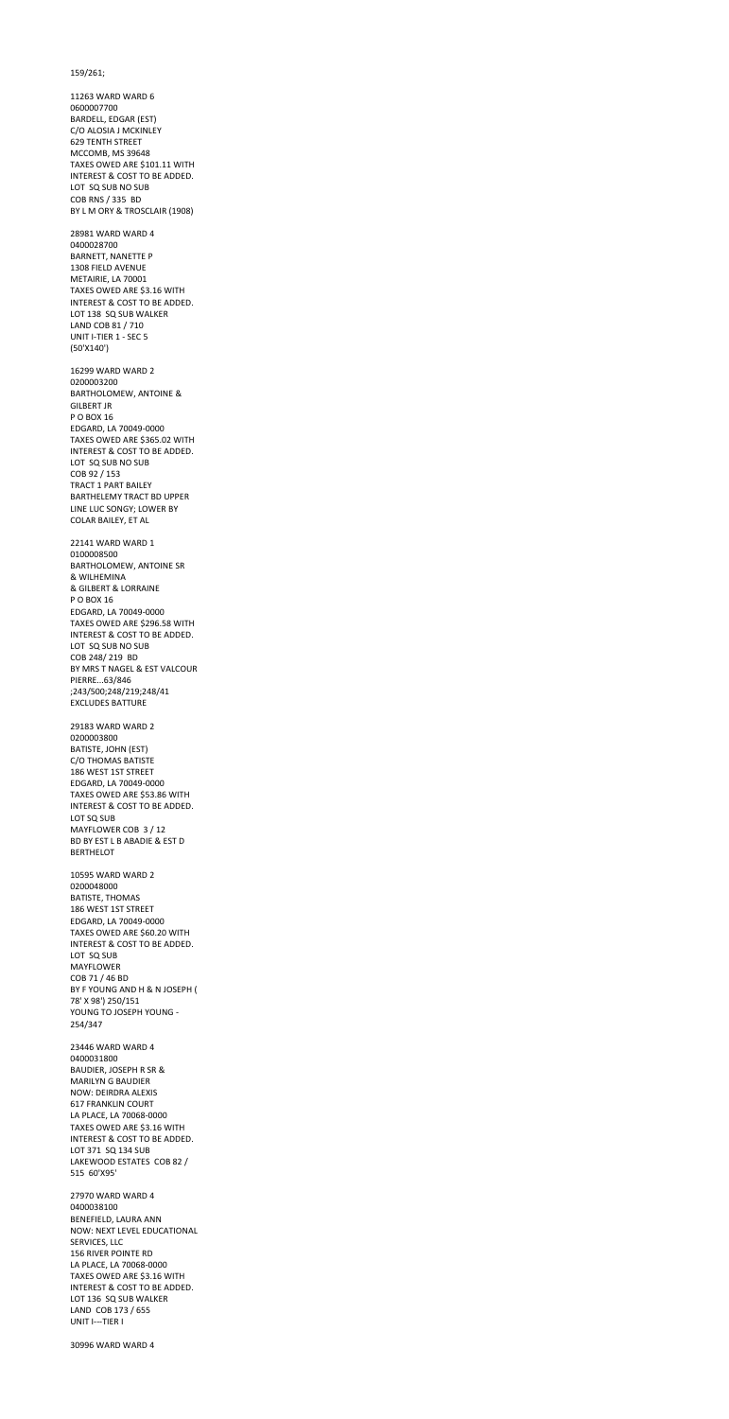159/261;

11263 WARD WARD 6 0600007700 BARDELL, EDGAR (EST) C/O ALOSIA J MCKINLEY 629 TENTH STREET MCCOMB, MS 39648 TAXES OWED ARE \$101.11 WITH INTEREST & COST TO BE ADDED. LOT SQ SUB NO SUB COB RNS / 335 BD BY L M ORY & TROSCLAIR (1908) 28981 WARD WARD 4 0400028700 BARNETT, NANETTE P 1308 FIELD AVENUE METAIRIE, LA 70001 TAXES OWED ARE \$3.16 WITH INTEREST & COST TO BE ADDED. LOT 138 SQ SUB WALKER LAND COB 81 / 710 UNIT I-TIER 1 - SEC 5 (50'X140') 16299 WARD WARD 2 0200003200 BARTHOLOMEW, ANTOINE & GILBERT JR P O BOX 16 EDGARD, LA 70049-0000 TAXES OWED ARE \$365.02 WITH INTEREST & COST TO BE ADDED. LOT SQ SUB NO SUB COB 92 / 153 TRACT 1 PART BAILEY BARTHELEMY TRACT BD UPPER LINE LUC SONGY; LOWER BY COLAR BAILEY, ET AL 22141 WARD WARD 1 0100008500 BARTHOLOMEW, ANTOINE SR & WILHEMINA & GILBERT & LORRAINE P O BOX 16 EDGARD, LA 70049-0000 TAXES OWED ARE \$296.58 WITH INTEREST & COST TO BE ADDED. LOT SQ SUB NO SUB COB 248/ 219 BD BY MRS T NAGEL & EST VALCOUR PIERRE...63/846 ;243/500;248/219;248/41 EXCLUDES BATTURE 29183 WARD WARD 2 0200003800 BATISTE, JOHN (EST) C/O THOMAS BATISTE 186 WEST 1ST STREET EDGARD, LA 70049-0000 TAXES OWED ARE \$53.86 WITH INTEREST & COST TO BE ADDED. LOT SQ SUB

MAYFLOWER COB 3 / 12 BD BY EST L B ABADIE & EST D

BERTHELOT

10595 WARD WARD 2 0200048000 BATISTE, THOMAS 186 WEST 1ST STREET EDGARD, LA 70049-0000 TAXES OWED ARE \$60.20 WITH INTEREST & COST TO BE ADDED. LOT SQ SUB MAYFLOWER COB 71 / 46 BD BY F YOUNG AND H & N JOSEPH ( 78' X 98') 250/151 YOUNG TO JOSEPH YOUNG - 254/347

23446 WARD WARD 4 0400031800 BAUDIER, JOSEPH R SR & MARILYN G BAUDIER NOW: DEIRDRA ALEXIS 617 FRANKLIN COURT LA PLACE, LA 70068-0000 TAXES OWED ARE \$3.16 WITH INTEREST & COST TO BE ADDED. LOT 371 SQ 134 SUB LAKEWOOD ESTATES COB 82 / 515 60'X95'

27970 WARD WARD 4 0400038100 BENEFIELD, LAURA ANN NOW: NEXT LEVEL EDUCATIONAL SERVICES, LLC 156 RIVER POINTE RD LA PLACE, LA 70068-0000 TAXES OWED ARE \$3.16 WITH INTEREST & COST TO BE ADDED. LOT 136 SQ SUB WALKER LAND COB 173 / 655 UNIT I---TIER I

30996 WARD WARD 4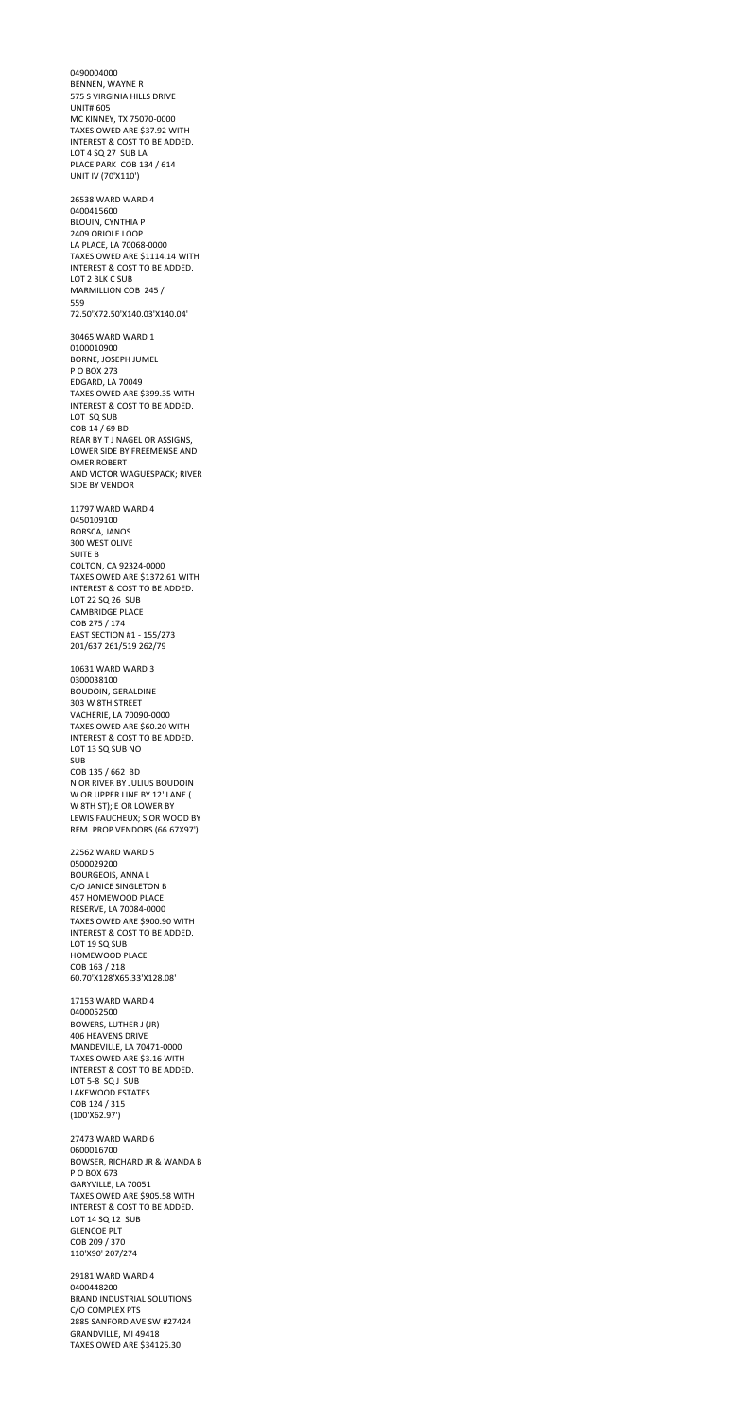0490004000 BENNEN, WAYNE R 575 S VIRGINIA HILLS DRIVE UNIT# 605 MC KINNEY, TX 75070-0000 TAXES OWED ARE \$37.92 WITH INTEREST & COST TO BE ADDED. LOT 4 SQ 27 SUB LA PLACE PARK COB 134 / 614 UNIT IV (70'X110') 26538 WARD WARD 4 0400415600 BLOUIN, CYNTHIA P 2409 ORIOLE LOOP LA PLACE, LA 70068-0000 TAXES OWED ARE \$1114.14 WITH INTEREST & COST TO BE ADDED. LOT 2 BLK C SUB MARMILLION COB 245 / 559 72.50'X72.50'X140.03'X140.04' 30465 WARD WARD 1 0100010900 BORNE, JOSEPH JUMEL P O BOX 273 EDGARD, LA 70049 TAXES OWED ARE \$399.35 WITH INTEREST & COST TO BE ADDED. LOT SQ SUB COB 14 / 69 BD REAR BY T J NAGEL OR ASSIGNS, LOWER SIDE BY FREEMENSE AND OMER ROBERT AND VICTOR WAGUESPACK; RIVER SIDE BY VENDOR 11797 WARD WARD 4 0450109100 BORSCA, JANOS 300 WEST OLIVE SUITE B COLTON, CA 92324-0000 TAXES OWED ARE \$1372.61 WITH INTEREST & COST TO BE ADDED. LOT 22 SQ 26 SUB CAMBRIDGE PLACE COB 275 / 174 EAST SECTION #1 - 155/273 201/637 261/519 262/79 10631 WARD WARD 3 0300038100 BOUDOIN, GERALDINE 303 W 8TH STREET VACHERIE, LA 70090-0000 TAXES OWED ARE \$60.20 WITH INTEREST & COST TO BE ADDED. LOT 13 SQ SUB NO SUB COB 135 / 662 BD N OR RIVER BY JULIUS BOUDOIN W OR UPPER LINE BY 12' LANE ( W 8TH ST); E OR LOWER BY LEWIS FAUCHEUX; S OR WOOD BY

REM. PROP VENDORS (66.67X97')

22562 WARD WARD 5 0500029200 BOURGEOIS, ANNA L C/O JANICE SINGLETON B 457 HOMEWOOD PLACE RESERVE, LA 70084-0000 TAXES OWED ARE \$900.90 WITH INTEREST & COST TO BE ADDED. LOT 19 SQ SUB HOMEWOOD PLACE COB 163 / 218 60.70'X128'X65.33'X128.08' 17153 WARD WARD 4 0400052500 BOWERS, LUTHER J (JR) 406 HEAVENS DRIVE MANDEVILLE, LA 70471-0000 TAXES OWED ARE \$3.16 WITH INTEREST & COST TO BE ADDED. LOT 5-8 SQ J SUB LAKEWOOD ESTATES COB 124 / 315 (100'X62.97') 27473 WARD WARD 6 0600016700 BOWSER, RICHARD JR & WANDA B P O BOX 673 GARYVILLE, LA 70051 TAXES OWED ARE \$905.58 WITH INTEREST & COST TO BE ADDED. LOT 14 SQ 12 SUB GLENCOE PLT COB 209 / 370 110'X90' 207/274 29181 WARD WARD 4 0400448200 BRAND INDUSTRIAL SOLUTIONS C/O COMPLEX PTS 2885 SANFORD AVE SW #27424 GRANDVILLE, MI 49418 TAXES OWED ARE \$34125.30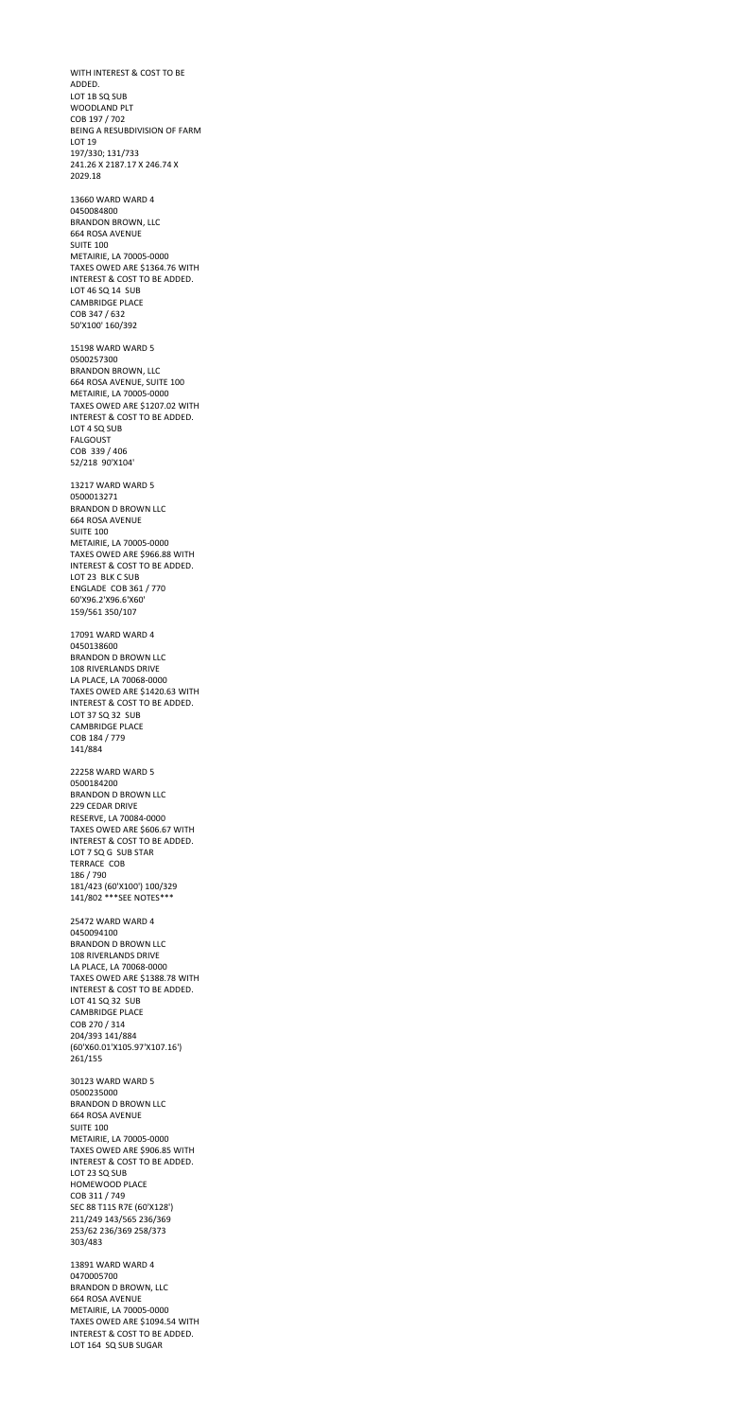WITH INTEREST & COST TO BE ADDED. LOT 1B SQ SUB WOODLAND PLT COB 197 / 702 BEING A RESUBDIVISION OF FARM LOT 19 197/330; 131/733 241.26 X 2187.17 X 246.74 X 2029.18 13660 WARD WARD 4 0450084800 BRANDON BROWN, LLC 664 ROSA AVENUE SUITE 100 METAIRIE, LA 70005-0000 TAXES OWED ARE \$1364.76 WITH INTEREST & COST TO BE ADDED. LOT 46 SQ 14 SUB CAMBRIDGE PLACE COB 347 / 632 50'X100' 160/392 15198 WARD WARD 5 0500257300 BRANDON BROWN, LLC 664 ROSA AVENUE, SUITE 100 METAIRIE, LA 70005-0000 TAXES OWED ARE \$1207.02 WITH INTEREST & COST TO BE ADDED. LOT 4 SQ SUB FALGOUST COB 339 / 406 52/218 90'X104' 13217 WARD WARD 5 0500013271 BRANDON D BROWN LLC 664 ROSA AVENUE SUITE 100 METAIRIE, LA 70005-0000 TAXES OWED ARE \$966.88 WITH INTEREST & COST TO BE ADDED. LOT 23 BLK C SUB ENGLADE COB 361 / 770 60'X96.2'X96.6'X60' 159/561 350/107 17091 WARD WARD 4 0450138600 BRANDON D BROWN LLC 108 RIVERLANDS DRIVE LA PLACE, LA 70068-0000 TAXES OWED ARE \$1420.63 WITH INTEREST & COST TO BE ADDED. LOT 37 SQ 32 SUB CAMBRIDGE PLACE COB 184 / 779 141/884 22258 WARD WARD 5 0500184200 BRANDON D BROWN LLC 229 CEDAR DRIVE RESERVE, LA 70084-0000 TAXES OWED ARE \$606.67 WITH

INTEREST & COST TO BE ADDED.

LOT 7 SQ G SUB STAR TERRACE COB 186 / 790 181/423 (60'X100') 100/329 141/802 \*\*\*SEE NOTES\*\*\*

25472 WARD WARD 4 0450094100 BRANDON D BROWN LLC 108 RIVERLANDS DRIVE LA PLACE, LA 70068-0000 TAXES OWED ARE \$1388.78 WITH INTEREST & COST TO BE ADDED. LOT 41 SQ 32 SUB CAMBRIDGE PLACE COB 270 / 314 204/393 141/884 (60'X60.01'X105.97'X107.16') 261/155 30123 WARD WARD 5 0500235000 BRANDON D BROWN LLC 664 ROSA AVENUE SUITE 100 METAIRIE, LA 70005-0000 TAXES OWED ARE \$906.85 WITH INTEREST & COST TO BE ADDED. LOT 23 SQ SUB HOMEWOOD PLACE COB 311 / 749 SEC 88 T11S R7E (60'X128') 211/249 143/565 236/369 253/62 236/369 258/373 303/483

13891 WARD WARD 4 0470005700 BRANDON D BROWN, LLC 664 ROSA AVENUE METAIRIE, LA 70005-0000 TAXES OWED ARE \$1094.54 WITH INTEREST & COST TO BE ADDED. LOT 164 SQ SUB SUGAR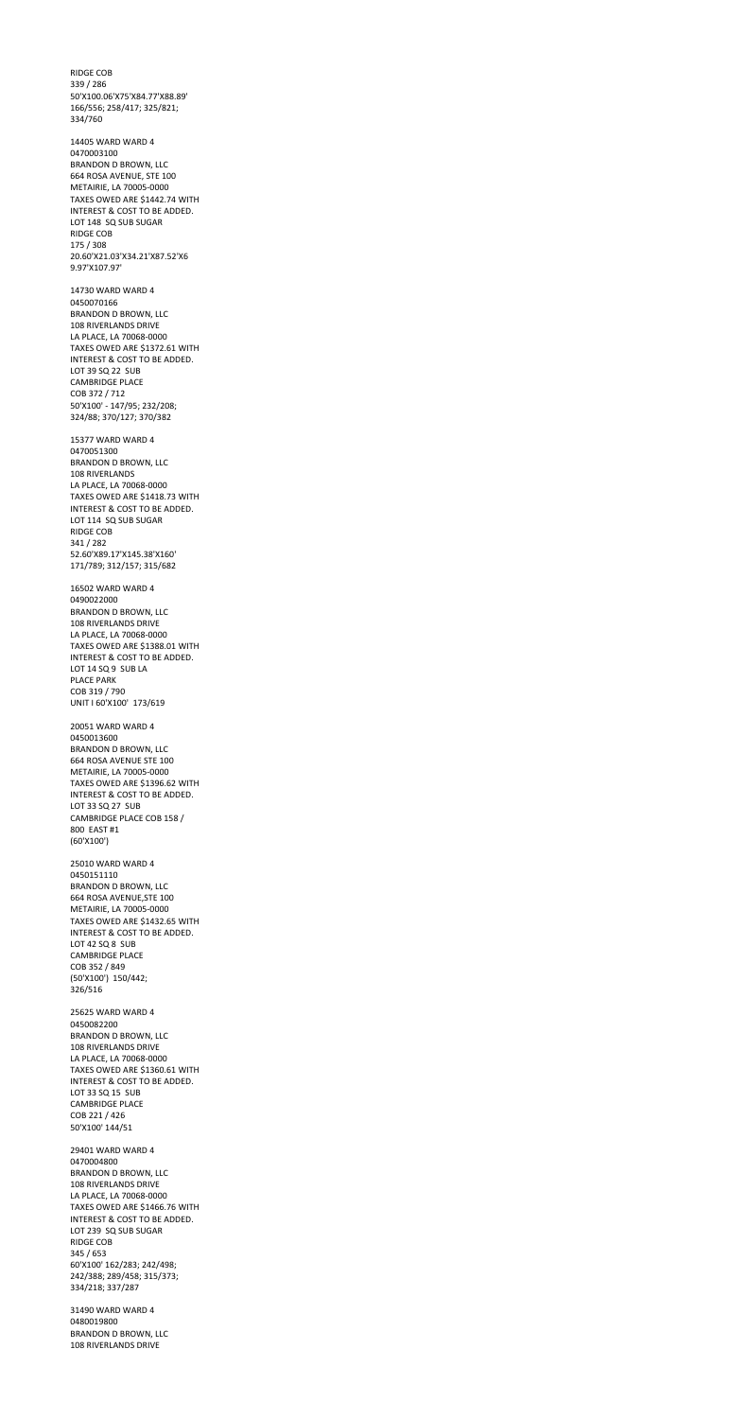RIDGE COB 339 / 286 50'X100.06'X75'X84.77'X88.89' 166/556; 258/417; 325/821; 334/760

14405 WARD WARD 4 0470003100 BRANDON D BROWN, LLC 664 ROSA AVENUE, STE 100 METAIRIE, LA 70005-0000 TAXES OWED ARE \$1442.74 WITH INTEREST & COST TO BE ADDED. LOT 148 SQ SUB SUGAR RIDGE COB 175 / 308 20.60'X21.03'X34.21'X87.52'X6 9.97'X107.97'

14730 WARD WARD 4 0450070166 BRANDON D BROWN, LLC 108 RIVERLANDS DRIVE LA PLACE, LA 70068-0000 TAXES OWED ARE \$1372.61 WITH INTEREST & COST TO BE ADDED. LOT 39 SQ 22 SUB CAMBRIDGE PLACE COB 372 / 712 50'X100' - 147/95; 232/208; 324/88; 370/127; 370/382

15377 WARD WARD 4 0470051300 BRANDON D BROWN, LLC 108 RIVERLANDS LA PLACE, LA 70068-0000 TAXES OWED ARE \$1418.73 WITH INTEREST & COST TO BE ADDED. LOT 114 SQ SUB SUGAR RIDGE COB 341 / 282 52.60'X89.17'X145.38'X160' 171/789; 312/157; 315/682

16502 WARD WARD 4 0490022000 BRANDON D BROWN, LLC 108 RIVERLANDS DRIVE LA PLACE, LA 70068-0000 TAXES OWED ARE \$1388.01 WITH INTEREST & COST TO BE ADDED. LOT 14 SQ 9 SUB LA PLACE PARK COB 319 / 790 UNIT I 60'X100' 173/619

20051 WARD WARD 4 0450013600 BRANDON D BROWN, LLC 664 ROSA AVENUE STE 100 METAIRIE, LA 70005-0000 TAXES OWED ARE \$1396.62 WITH INTEREST & COST TO BE ADDED. LOT 33 SQ 27 SUB CAMBRIDGE PLACE COB 158 / 800 EAST #1 (60'X100')

25010 WARD WARD 4 0450151110 BRANDON D BROWN, LLC 664 ROSA AVENUE,STE 100 METAIRIE, LA 70005-0000 TAXES OWED ARE \$1432.65 WITH INTEREST & COST TO BE ADDED. LOT 42 SQ 8 SUB CAMBRIDGE PLACE COB 352 / 849 (50'X100') 150/442; 326/516 25625 WARD WARD 4

0450082200 BRANDON D BROWN, LLC 108 RIVERLANDS DRIVE LA PLACE, LA 70068-0000 TAXES OWED ARE \$1360.61 WITH INTEREST & COST TO BE ADDED. LOT 33 SQ 15 SUB CAMBRIDGE PLACE COB 221 / 426 50'X100' 144/51

29401 WARD WARD 4 0470004800 BRANDON D BROWN, LLC 108 RIVERLANDS DRIVE LA PLACE, LA 70068-0000 TAXES OWED ARE \$1466.76 WITH INTEREST & COST TO BE ADDED. LOT 239 SQ SUB SUGAR RIDGE COB 345 / 653 60'X100' 162/283; 242/498; 242/388; 289/458; 315/373; 334/218; 337/287

31490 WARD WARD 4 0480019800 BRANDON D BROWN, LLC 108 RIVERLANDS DRIVE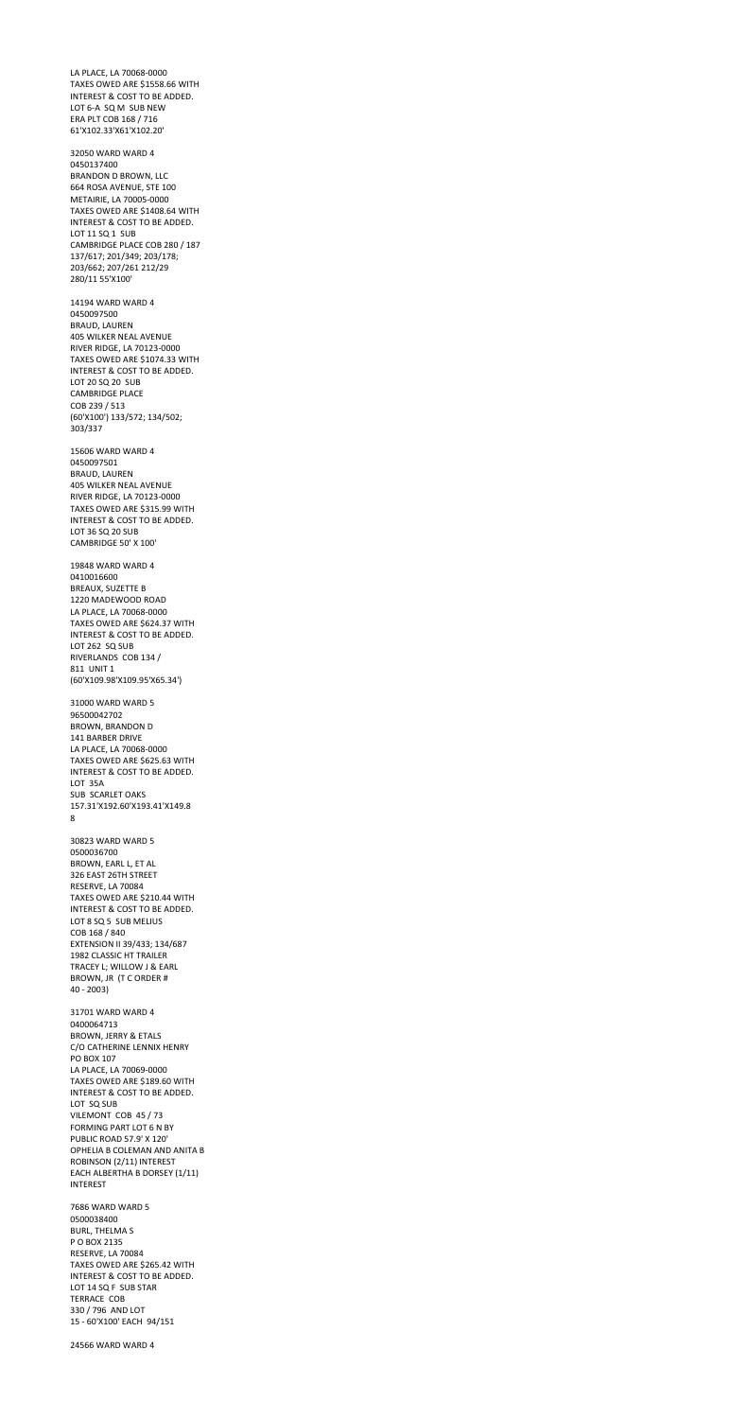LA PLACE, LA 70068-0000 TAXES OWED ARE \$1558.66 WITH INTEREST & COST TO BE ADDED. LOT 6-A SQ M SUB NEW ERA PLT COB 168 / 716 61'X102.33'X61'X102.20'

32050 WARD WARD 4 0450137400 BRANDON D BROWN, LLC 664 ROSA AVENUE, STE 100 METAIRIE, LA 70005-0000 TAXES OWED ARE \$1408.64 WITH INTEREST & COST TO BE ADDED. LOT 11 SQ 1 SUB CAMBRIDGE PLACE COB 280 / 187 137/617; 201/349; 203/178; 203/662; 207/261 212/29 280/11 55'X100'

14194 WARD WARD 4 0450097500 BRAUD, LAUREN 405 WILKER NEAL AVENUE RIVER RIDGE, LA 70123-0000 TAXES OWED ARE \$1074.33 WITH INTEREST & COST TO BE ADDED. LOT 20 SQ 20 SUB CAMBRIDGE PLACE COB 239 / 513 (60'X100') 133/572; 134/502; 303/337

15606 WARD WARD 4 0450097501 BRAUD, LAUREN 405 WILKER NEAL AVENUE RIVER RIDGE, LA 70123-0000 TAXES OWED ARE \$315.99 WITH INTEREST & COST TO BE ADDED. LOT 36 SQ 20 SUB CAMBRIDGE 50' X 100'

19848 WARD WARD 4 0410016600 BREAUX, SUZETTE B 1220 MADEWOOD ROAD LA PLACE, LA 70068-0000 TAXES OWED ARE \$624.37 WITH INTEREST & COST TO BE ADDED. LOT 262 SQ SUB RIVERLANDS COB 134 / 811 UNIT 1 (60'X109.98'X109.95'X65.34')

31000 WARD WARD 5 96500042702 BROWN, BRANDON D 141 BARBER DRIVE LA PLACE, LA 70068-0000 TAXES OWED ARE \$625.63 WITH INTEREST & COST TO BE ADDED. LOT 35A SUB SCARLET OAKS 157.31'X192.60'X193.41'X149.8 8

30823 WARD WARD 5 0500036700 BROWN, EARL L, ET AL 326 EAST 26TH STREET RESERVE, LA 70084 TAXES OWED ARE \$210.44 WITH INTEREST & COST TO BE ADDED. LOT 8 SQ 5 SUB MELIUS COB 168 / 840 EXTENSION II 39/433; 134/687 1982 CLASSIC HT TRAILER TRACEY L; WILLOW J & EARL BROWN, JR (T C ORDER # 40 - 2003) 31701 WARD WARD 4 0400064713 BROWN, JERRY & ETALS C/O CATHERINE LENNIX HENRY PO BOX 107 LA PLACE, LA 70069-0000 TAXES OWED ARE \$189.60 WITH INTEREST & COST TO BE ADDED. LOT SQ SUB VILEMONT COB 45 / 73 FORMING PART LOT 6 N BY PUBLIC ROAD 57.9' X 120' OPHELIA B COLEMAN AND ANITA B ROBINSON (2/11) INTEREST EACH ALBERTHA B DORSEY (1/11) INTEREST 7686 WARD WARD 5 0500038400 BURL, THELMA S P O BOX 2135 RESERVE, LA 70084 TAXES OWED ARE \$265.42 WITH INTEREST & COST TO BE ADDED. LOT 14 SQ F SUB STAR TERRACE COB 330 / 796 AND LOT

15 - 60'X100' EACH 94/151

24566 WARD WARD 4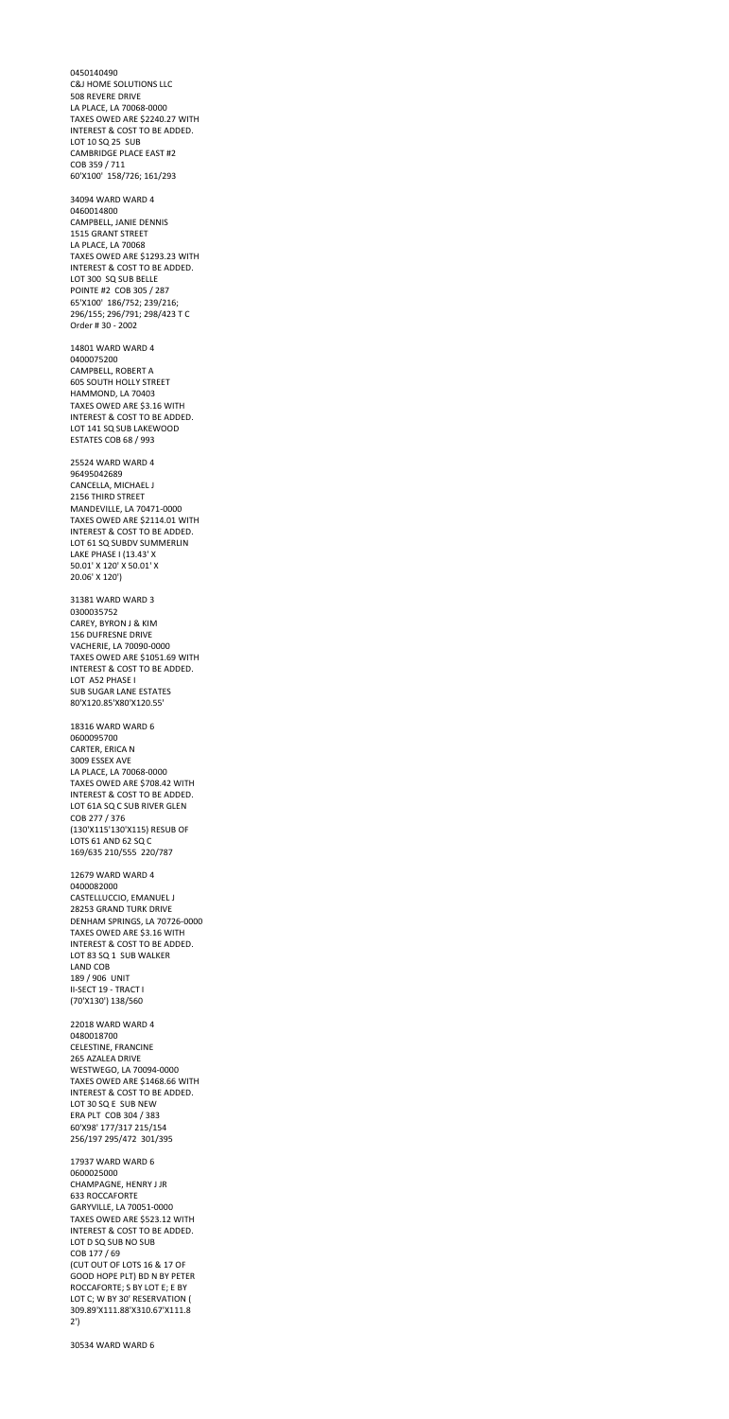0450140490 C&J HOME SOLUTIONS LLC 508 REVERE DRIVE LA PLACE, LA 70068-0000 TAXES OWED ARE \$2240.27 WITH INTEREST & COST TO BE ADDED. LOT 10 SQ 25 SUB CAMBRIDGE PLACE EAST #2 COB 359 / 711 60'X100' 158/726; 161/293 34094 WARD WARD 4 0460014800 CAMPBELL, JANIE DENNIS 1515 GRANT STREET LA PLACE, LA 70068 TAXES OWED ARE \$1293.23 WITH INTEREST & COST TO BE ADDED. LOT 300 SQ SUB BELLE POINTE #2 COB 305 / 287 65'X100' 186/752; 239/216; 296/155; 296/791; 298/423 T C Order # 30 - 2002 14801 WARD WARD 4 0400075200 CAMPBELL, ROBERT A 605 SOUTH HOLLY STREET HAMMOND, LA 70403 TAXES OWED ARE \$3.16 WITH INTEREST & COST TO BE ADDED. LOT 141 SQ SUB LAKEWOOD ESTATES COB 68 / 993 25524 WARD WARD 4 96495042689 CANCELLA, MICHAEL J 2156 THIRD STREET MANDEVILLE, LA 70471-0000 TAXES OWED ARE \$2114.01 WITH INTEREST & COST TO BE ADDED. LOT 61 SQ SUBDV SUMMERLIN LAKE PHASE I (13.43' X 50.01' X 120' X 50.01' X 20.06' X 120') 31381 WARD WARD 3 0300035752 CAREY, BYRON J & KIM 156 DUFRESNE DRIVE VACHERIE, LA 70090-0000 TAXES OWED ARE \$1051.69 WITH INTEREST & COST TO BE ADDED. LOT A52 PHASE I SUB SUGAR LANE ESTATES 80'X120.85'X80'X120.55' 18316 WARD WARD 6 0600095700 CARTER, ERICA N 3009 ESSEX AVE LA PLACE, LA 70068-0000 TAXES OWED ARE \$708.42 WITH INTEREST & COST TO BE ADDED. LOT 61A SQ C SUB RIVER GLEN

COB 277 / 376

(130'X115'130'X115) RESUB OF

LOTS 61 AND 62 SQ C

169/635 210/555 220/787

12679 WARD WARD 4 0400082000 CASTELLUCCIO, EMANUEL J 28253 GRAND TURK DRIVE DENHAM SPRINGS, LA 70726-0000 TAXES OWED ARE \$3.16 WITH INTEREST & COST TO BE ADDED. LOT 83 SQ 1 SUB WALKER LAND COB 189 / 906 UNIT II-SECT 19 - TRACT I (70'X130') 138/560

22018 WARD WARD 4 0480018700 CELESTINE, FRANCINE 265 AZALEA DRIVE WESTWEGO, LA 70094-0000 TAXES OWED ARE \$1468.66 WITH INTEREST & COST TO BE ADDED. LOT 30 SQ E SUB NEW ERA PLT COB 304 / 383 60'X98' 177/317 215/154 256/197 295/472 301/395

17937 WARD WARD 6 0600025000 CHAMPAGNE, HENRY J JR 633 ROCCAFORTE GARYVILLE, LA 70051-0000 TAXES OWED ARE \$523.12 WITH INTEREST & COST TO BE ADDED. LOT D SQ SUB NO SUB COB 177 / 69 (CUT OUT OF LOTS 16 & 17 OF GOOD HOPE PLT) BD N BY PETER ROCCAFORTE; S BY LOT E; E BY LOT C; W BY 30' RESERVATION ( 309.89'X111.88'X310.67'X111.8 2')

30534 WARD WARD 6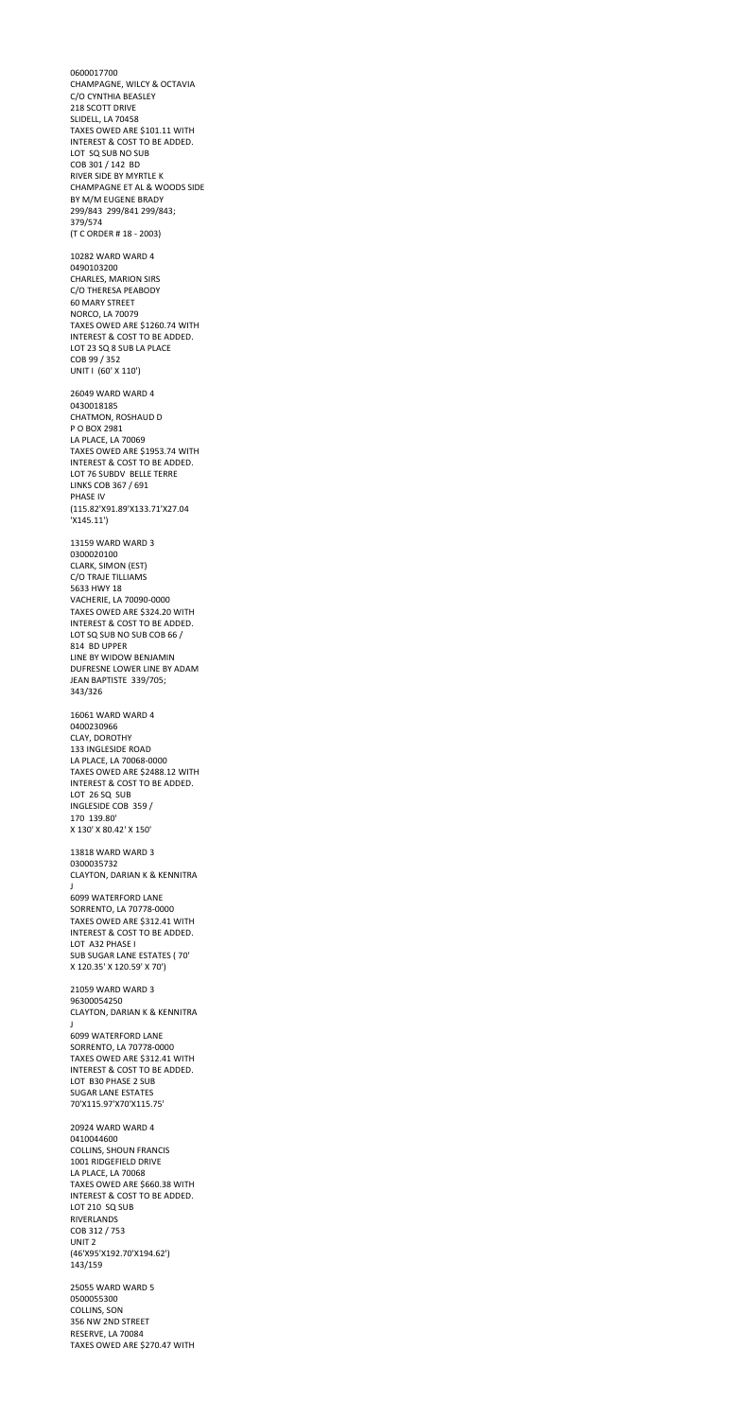0600017700 CHAMPAGNE, WILCY & OCTAVIA C/O CYNTHIA BEASLEY 218 SCOTT DRIVE SLIDELL, LA 70458 TAXES OWED ARE \$101.11 WITH INTEREST & COST TO BE ADDED. LOT SQ SUB NO SUB COB 301 / 142 BD RIVER SIDE BY MYRTLE K CHAMPAGNE ET AL & WOODS SIDE BY M/M EUGENE BRADY 299/843 299/841 299/843; 379/574 (T C ORDER # 18 - 2003) 10282 WARD WARD 4 0490103200 CHARLES, MARION SIRS C/O THERESA PEABODY 60 MARY STREET NORCO, LA 70079 TAXES OWED ARE \$1260.74 WITH INTEREST & COST TO BE ADDED. LOT 23 SQ 8 SUB LA PLACE COB 99 / 352 UNIT I (60' X 110') 26049 WARD WARD 4 0430018185 CHATMON, ROSHAUD D P O BOX 2981 LA PLACE, LA 70069 TAXES OWED ARE \$1953.74 WITH INTEREST & COST TO BE ADDED. LOT 76 SUBDV BELLE TERRE LINKS COB 367 / 691 PHASE IV (115.82'X91.89'X133.71'X27.04 'X145.11') 13159 WARD WARD 3 0300020100 CLARK, SIMON (EST) C/O TRAJE TILLIAMS 5633 HWY 18 VACHERIE, LA 70090-0000 TAXES OWED ARE \$324.20 WITH INTEREST & COST TO BE ADDED. LOT SQ SUB NO SUB COB 66 / 814 BD UPPER LINE BY WIDOW BENJAMIN DUFRESNE LOWER LINE BY ADAM JEAN BAPTISTE 339/705; 343/326 16061 WARD WARD 4 0400230966 CLAY, DOROTHY 133 INGLESIDE ROAD LA PLACE, LA 70068-0000 TAXES OWED ARE \$2488.12 WITH INTEREST & COST TO BE ADDED.

LOT 26 SQ SUB INGLESIDE COB 359 / 170 139.80' X 130' X 80.42' X 150'

13818 WARD WARD 3 0300035732 CLAYTON, DARIAN K & KENNITRA J 6099 WATERFORD LANE SORRENTO, LA 70778-0000 TAXES OWED ARE \$312.41 WITH INTEREST & COST TO BE ADDED. LOT A32 PHASE I SUB SUGAR LANE ESTATES ( 70' X 120.35' X 120.59' X 70') 21059 WARD WARD 3 96300054250 CLAYTON, DARIAN K & KENNITRA J 6099 WATERFORD LANE SORRENTO, LA 70778-0000 TAXES OWED ARE \$312.41 WITH INTEREST & COST TO BE ADDED. LOT B30 PHASE 2 SUB SUGAR LANE ESTATES 70'X115.97'X70'X115.75' 20924 WARD WARD 4 0410044600 COLLINS, SHOUN FRANCIS 1001 RIDGEFIELD DRIVE LA PLACE, LA 70068 TAXES OWED ARE \$660.38 WITH INTEREST & COST TO BE ADDED. LOT 210 SQ SUB RIVERLANDS COB 312 / 753 UNIT 2 (46'X95'X192.70'X194.62') 143/159 25055 WARD WARD 5 0500055300 COLLINS, SON 356 NW 2ND STREET

RESERVE, LA 70084

TAXES OWED ARE \$270.47 WITH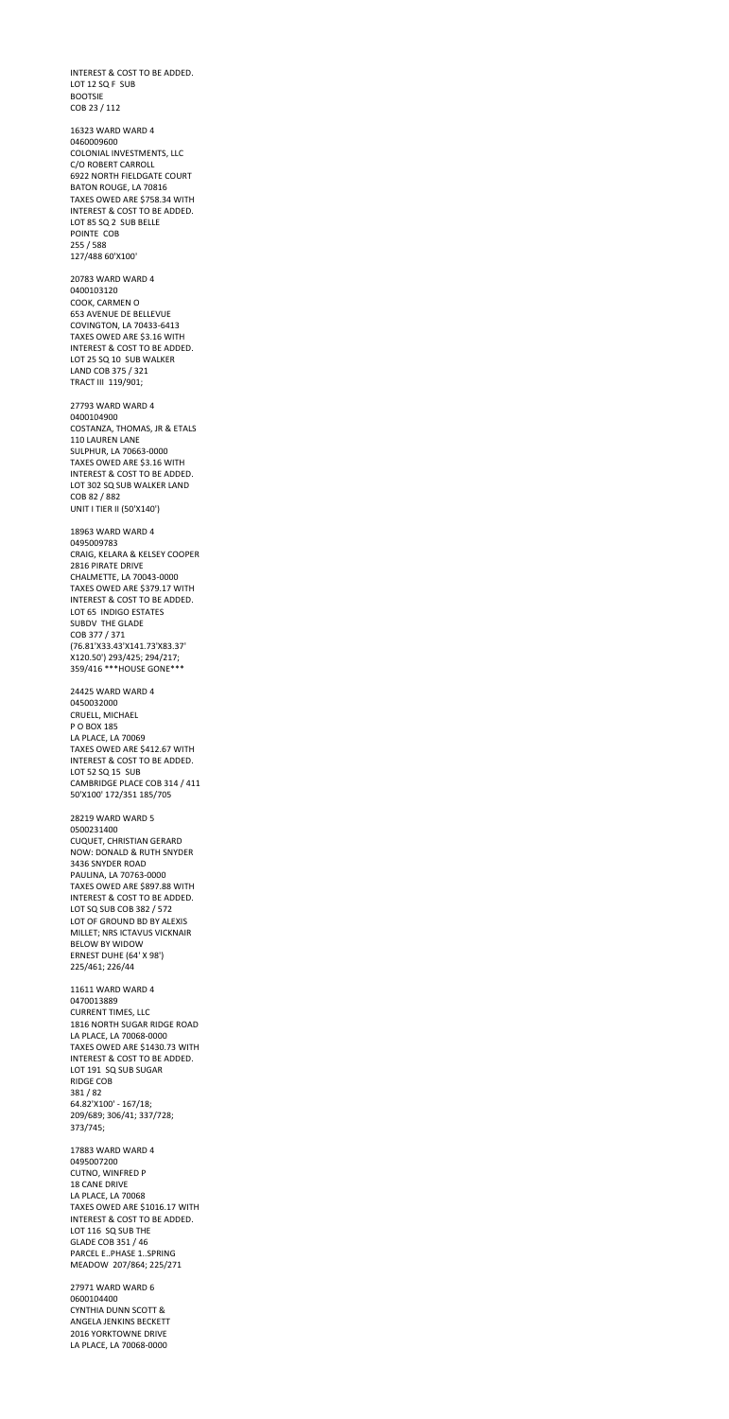INTEREST & COST TO BE ADDED. LOT 12 SQ F SUB BOOTSIE COB 23 / 112

16323 WARD WARD 4 0460009600 COLONIAL INVESTMENTS, LLC C/O ROBERT CARROLL 6922 NORTH FIELDGATE COURT BATON ROUGE, LA 70816 TAXES OWED ARE \$758.34 WITH INTEREST & COST TO BE ADDED. LOT 85 SQ 2 SUB BELLE POINTE COB 255 / 588 127/488 60'X100'

20783 WARD WARD 4 0400103120 COOK, CARMEN O 653 AVENUE DE BELLEVUE COVINGTON, LA 70433-6413 TAXES OWED ARE \$3.16 WITH INTEREST & COST TO BE ADDED. LOT 25 SQ 10 SUB WALKER LAND COB 375 / 321 TRACT III 119/901;

27793 WARD WARD 4 0400104900 COSTANZA, THOMAS, JR & ETALS 110 LAUREN LANE SULPHUR, LA 70663-0000 TAXES OWED ARE \$3.16 WITH INTEREST & COST TO BE ADDED. LOT 302 SQ SUB WALKER LAND COB 82 / 882 UNIT I TIER II (50'X140')

18963 WARD WARD 4 0495009783 CRAIG, KELARA & KELSEY COOPER 2816 PIRATE DRIVE CHALMETTE, LA 70043-0000 TAXES OWED ARE \$379.17 WITH INTEREST & COST TO BE ADDED. LOT 65 INDIGO ESTATES SUBDV THE GLADE COB 377 / 371 (76.81'X33.43'X141.73'X83.37' X120.50') 293/425; 294/217; 359/416 \*\*\*HOUSE GONE\*\*\*

24425 WARD WARD 4 0450032000 CRUELL, MICHAEL P O BOX 185 LA PLACE, LA 70069 TAXES OWED ARE \$412.67 WITH INTEREST & COST TO BE ADDED. LOT 52 SQ 15 SUB CAMBRIDGE PLACE COB 314 / 411 50'X100' 172/351 185/705

28219 WARD WARD 5 0500231400 CUQUET, CHRISTIAN GERARD

NOW: DONALD & RUTH SNYDER 3436 SNYDER ROAD PAULINA, LA 70763-0000 TAXES OWED ARE \$897.88 WITH INTEREST & COST TO BE ADDED. LOT SQ SUB COB 382 / 572 LOT OF GROUND BD BY ALEXIS MILLET; NRS ICTAVUS VICKNAIR BELOW BY WIDOW ERNEST DUHE (64' X 98') 225/461; 226/44 11611 WARD WARD 4 0470013889 CURRENT TIMES, LLC 1816 NORTH SUGAR RIDGE ROAD LA PLACE, LA 70068-0000 TAXES OWED ARE \$1430.73 WITH INTEREST & COST TO BE ADDED. LOT 191 SQ SUB SUGAR RIDGE COB 381 / 82 64.82'X100' - 167/18; 209/689; 306/41; 337/728; 373/745; 17883 WARD WARD 4 0495007200 CUTNO, WINFRED P 18 CANE DRIVE LA PLACE, LA 70068 TAXES OWED ARE \$1016.17 WITH INTEREST & COST TO BE ADDED. LOT 116 SQ SUB THE GLADE COB 351 / 46 PARCEL E..PHASE 1..SPRING MEADOW 207/864; 225/271 27971 WARD WARD 6 0600104400 CYNTHIA DUNN SCOTT & ANGELA JENKINS BECKETT 2016 YORKTOWNE DRIVE

LA PLACE, LA 70068-0000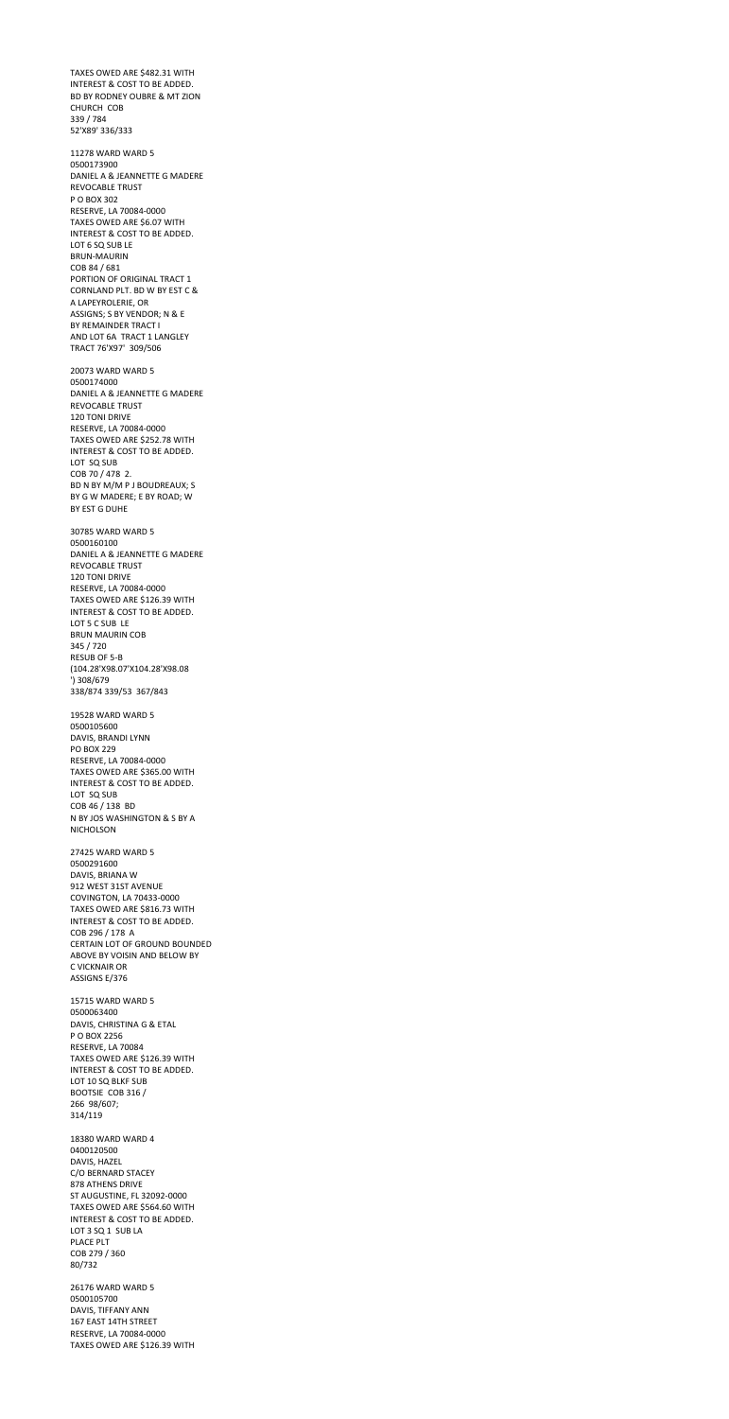TAXES OWED ARE \$482.31 WITH INTEREST & COST TO BE ADDED. BD BY RODNEY OUBRE & MT ZION CHURCH COB 339 / 784 52'X89' 336/333

11278 WARD WARD 5 0500173900 DANIEL A & JEANNETTE G MADERE REVOCABLE TRUST P O BOX 302 RESERVE, LA 70084-0000 TAXES OWED ARE \$6.07 WITH INTEREST & COST TO BE ADDED. LOT 6 SQ SUB LE BRUN-MAURIN COB 84 / 681 PORTION OF ORIGINAL TRACT 1 CORNLAND PLT. BD W BY EST C & A LAPEYROLERIE, OR ASSIGNS; S BY VENDOR; N & E BY REMAINDER TRACT I AND LOT 6A TRACT 1 LANGLEY TRACT 76'X97' 309/506

20073 WARD WARD 5 0500174000 DANIEL A & JEANNETTE G MADERE REVOCABLE TRUST 120 TONI DRIVE RESERVE, LA 70084-0000 TAXES OWED ARE \$252.78 WITH INTEREST & COST TO BE ADDED. LOT SQ SUB COB 70 / 478 2. BD N BY M/M P J BOUDREAUX; S BY G W MADERE; E BY ROAD; W BY EST G DUHE

30785 WARD WARD 5 0500160100 DANIEL A & JEANNETTE G MADERE REVOCABLE TRUST 120 TONI DRIVE RESERVE, LA 70084-0000 TAXES OWED ARE \$126.39 WITH INTEREST & COST TO BE ADDED. LOT 5 C SUB LE BRUN MAURIN COB 345 / 720 RESUB OF 5-B (104.28'X98.07'X104.28'X98.08 ') 308/679 338/874 339/53 367/843

19528 WARD WARD 5 0500105600 DAVIS, BRANDI LYNN PO BOX 229 RESERVE, LA 70084-0000 TAXES OWED ARE \$365.00 WITH INTEREST & COST TO BE ADDED. LOT SQ SUB COB 46 / 138 BD N BY JOS WASHINGTON & S BY A NICHOLSON

27425 WARD WARD 5 0500291600 DAVIS, BRIANA W 912 WEST 31ST AVENUE COVINGTON, LA 70433-0000 TAXES OWED ARE \$816.73 WITH INTEREST & COST TO BE ADDED. COB 296 / 178 A CERTAIN LOT OF GROUND BOUNDED ABOVE BY VOISIN AND BELOW BY C VICKNAIR OR ASSIGNS E/376 15715 WARD WARD 5 0500063400 DAVIS, CHRISTINA G & ETAL P O BOX 2256 RESERVE, LA 70084 TAXES OWED ARE \$126.39 WITH INTEREST & COST TO BE ADDED. LOT 10 SQ BLKF SUB BOOTSIE COB 316 / 266 98/607; 314/119 18380 WARD WARD 4 0400120500 DAVIS, HAZEL C/O BERNARD STACEY 878 ATHENS DRIVE ST AUGUSTINE, FL 32092-0000 TAXES OWED ARE \$564.60 WITH INTEREST & COST TO BE ADDED. LOT 3 SQ 1 SUB LA PLACE PLT COB 279 / 360 80/732 26176 WARD WARD 5 0500105700 DAVIS, TIFFANY ANN 167 EAST 14TH STREET RESERVE, LA 70084-0000 TAXES OWED ARE \$126.39 WITH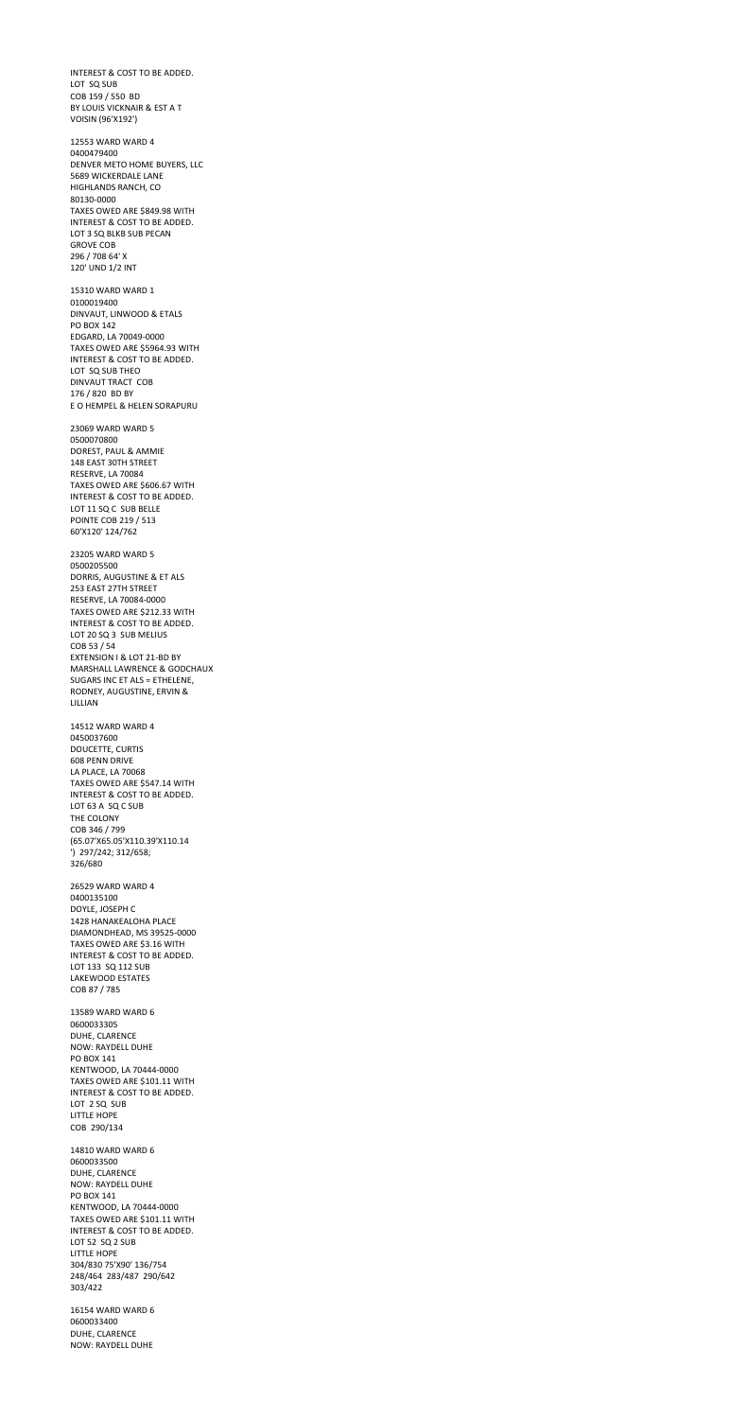INTEREST & COST TO BE ADDED. LOT SQ SUB COB 159 / 550 BD BY LOUIS VICKNAIR & EST A T VOISIN (96'X192')

12553 WARD WARD 4 0400479400 DENVER METO HOME BUYERS, LLC 5689 WICKERDALE LANE HIGHLANDS RANCH, CO 80130-0000 TAXES OWED ARE \$849.98 WITH INTEREST & COST TO BE ADDED. LOT 3 SQ BLKB SUB PECAN GROVE COB 296 / 708 64' X 120' UND 1/2 INT

15310 WARD WARD 1 0100019400 DINVAUT, LINWOOD & ETALS PO BOX 142 EDGARD, LA 70049-0000 TAXES OWED ARE \$5964.93 WITH INTEREST & COST TO BE ADDED. LOT SQ SUB THEO DINVAUT TRACT COB 176 / 820 BD BY E O HEMPEL & HELEN SORAPURU

23069 WARD WARD 5 0500070800 DOREST, PAUL & AMMIE 148 EAST 30TH STREET RESERVE, LA 70084 TAXES OWED ARE \$606.67 WITH INTEREST & COST TO BE ADDED. LOT 11 SQ C SUB BELLE POINTE COB 219 / 513 60'X120' 124/762

23205 WARD WARD 5 0500205500 DORRIS, AUGUSTINE & ET ALS 253 EAST 27TH STREET RESERVE, LA 70084-0000 TAXES OWED ARE \$212.33 WITH INTEREST & COST TO BE ADDED. LOT 20 SQ 3 SUB MELIUS COB 53 / 54 EXTENSION I & LOT 21-BD BY MARSHALL LAWRENCE & GODCHAUX SUGARS INC ET ALS = ETHELENE, RODNEY, AUGUSTINE, ERVIN & LILLIAN

14512 WARD WARD 4 0450037600 DOUCETTE, CURTIS 608 PENN DRIVE LA PLACE, LA 70068 TAXES OWED ARE \$547.14 WITH INTEREST & COST TO BE ADDED. LOT 63 A SQ C SUB THE COLONY COB 346 / 799 (65.07'X65.05'X110.39'X110.14 ') 297/242; 312/658; 326/680

26529 WARD WARD 4 0400135100 DOYLE, JOSEPH C 1428 HANAKEALOHA PLACE DIAMONDHEAD, MS 39525-0000 TAXES OWED ARE \$3.16 WITH INTEREST & COST TO BE ADDED. LOT 133 SQ 112 SUB LAKEWOOD ESTATES COB 87 / 785 13589 WARD WARD 6 0600033305

DUHE, CLARENCE NOW: RAYDELL DUHE PO BOX 141 KENTWOOD, LA 70444-0000 TAXES OWED ARE \$101.11 WITH INTEREST & COST TO BE ADDED. LOT 2 SQ SUB LITTLE HOPE COB 290/134

14810 WARD WARD 6 0600033500 DUHE, CLARENCE NOW: RAYDELL DUHE PO BOX 141 KENTWOOD, LA 70444-0000 TAXES OWED ARE \$101.11 WITH INTEREST & COST TO BE ADDED. LOT 52 SQ 2 SUB LITTLE HOPE 304/830 75'X90' 136/754 248/464 283/487 290/642 303/422

16154 WARD WARD 6 0600033400 DUHE, CLARENCE NOW: RAYDELL DUHE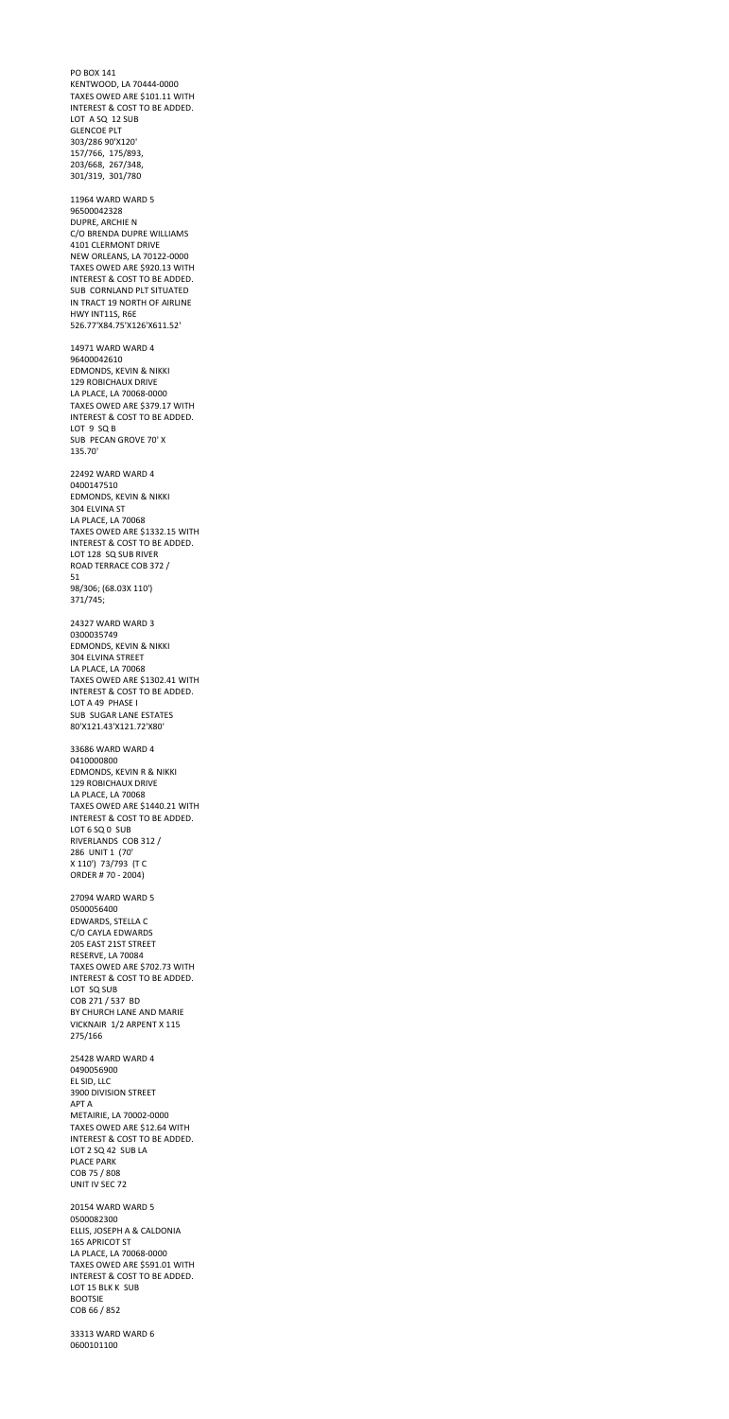PO BOX 141 KENTWOOD, LA 70444-0000 TAXES OWED ARE \$101.11 WITH INTEREST & COST TO BE ADDED. LOT A SQ 12 SUB GLENCOE PLT 303/286 90'X120' 157/766, 175/893, 203/668, 267/348, 301/319, 301/780 11964 WARD WARD 5 96500042328 DUPRE, ARCHIE N C/O BRENDA DUPRE WILLIAMS 4101 CLERMONT DRIVE NEW ORLEANS, LA 70122-0000 TAXES OWED ARE \$920.13 WITH INTEREST & COST TO BE ADDED. SUB CORNLAND PLT SITUATED IN TRACT 19 NORTH OF AIRLINE HWY INT11S, R6E 526.77'X84.75'X126'X611.52' 14971 WARD WARD 4 96400042610 EDMONDS, KEVIN & NIKKI 129 ROBICHAUX DRIVE LA PLACE, LA 70068-0000 TAXES OWED ARE \$379.17 WITH INTEREST & COST TO BE ADDED. LOT 9 SQ B SUB PECAN GROVE 70' X 135.70' 22492 WARD WARD 4 0400147510 EDMONDS, KEVIN & NIKKI 304 ELVINA ST LA PLACE, LA 70068 TAXES OWED ARE \$1332.15 WITH INTEREST & COST TO BE ADDED. LOT 128 SQ SUB RIVER ROAD TERRACE COB 372 / 51 98/306; (68.03X 110') 371/745; 24327 WARD WARD 3 0300035749 EDMONDS, KEVIN & NIKKI 304 ELVINA STREET LA PLACE, LA 70068 TAXES OWED ARE \$1302.41 WITH INTEREST & COST TO BE ADDED. LOT A 49 PHASE I SUB SUGAR LANE ESTATES 80'X121.43'X121.72'X80' 33686 WARD WARD 4 0410000800 EDMONDS, KEVIN R & NIKKI 129 ROBICHAUX DRIVE LA PLACE, LA 70068 TAXES OWED ARE \$1440.21 WITH INTEREST & COST TO BE ADDED.

LOT 6 SQ 0 SUB

RIVERLANDS COB 312 /

286 UNIT 1 (70' X 110') 73/793 (T C ORDER # 70 - 2004) 27094 WARD WARD 5 0500056400 EDWARDS, STELLA C C/O CAYLA EDWARDS 205 EAST 21ST STREET RESERVE, LA 70084 TAXES OWED ARE \$702.73 WITH INTEREST & COST TO BE ADDED. LOT SQ SUB COB 271 / 537 BD BY CHURCH LANE AND MARIE VICKNAIR 1/2 ARPENT X 115 275/166 25428 WARD WARD 4 0490056900 EL SID, LLC 3900 DIVISION STREET APT A METAIRIE, LA 70002-0000 TAXES OWED ARE \$12.64 WITH INTEREST & COST TO BE ADDED. LOT 2 SQ 42 SUB LA PLACE PARK COB 75 / 808 UNIT IV SEC 72 20154 WARD WARD 5 0500082300 ELLIS, JOSEPH A & CALDONIA 165 APRICOT ST LA PLACE, LA 70068-0000 TAXES OWED ARE \$591.01 WITH INTEREST & COST TO BE ADDED. LOT 15 BLK K SUB BOOTSIE COB 66 / 852 33313 WARD WARD 6

0600101100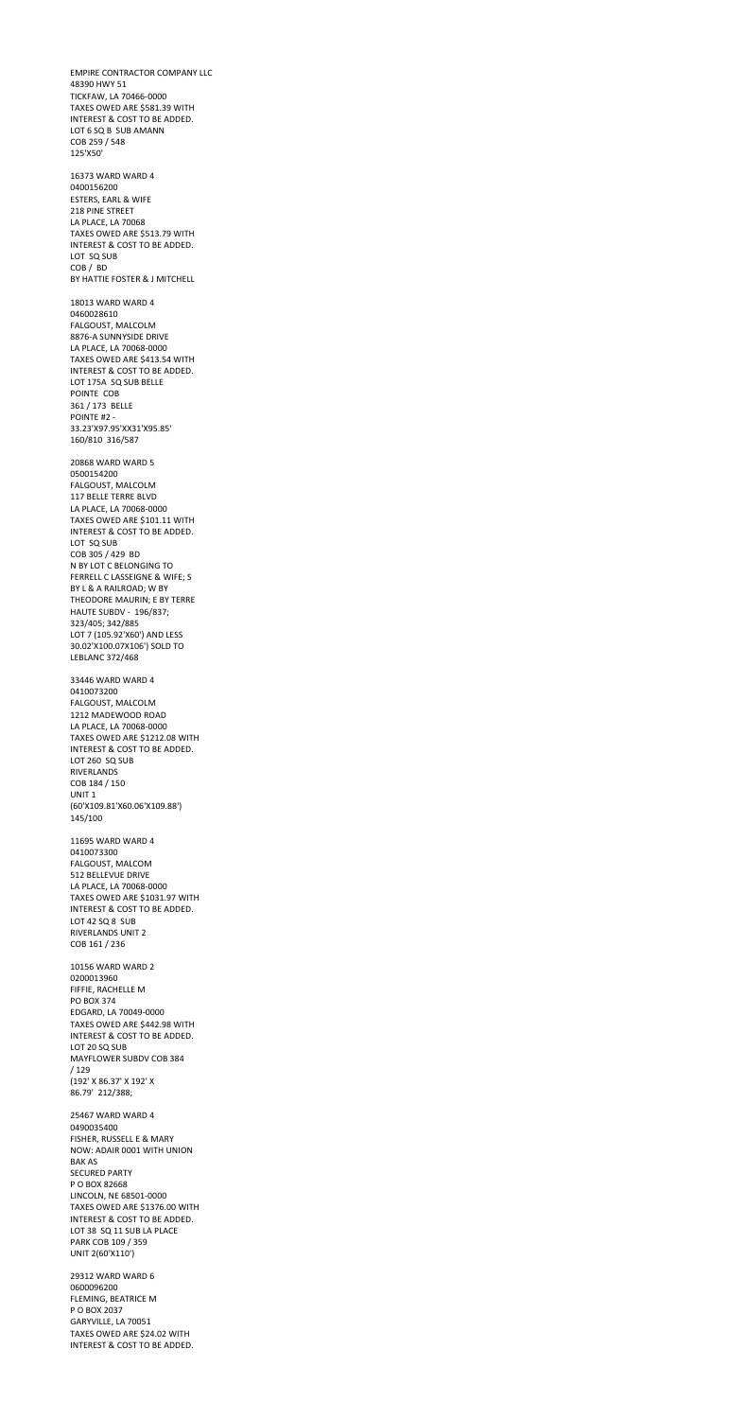EMPIRE CONTRACTOR COMPANY LLC 48390 HWY 51 TICKFAW, LA 70466-0000 TAXES OWED ARE \$581.39 WITH INTEREST & COST TO BE ADDED. LOT 6 SQ B SUB AMANN COB 259 / 548 125'X50' 16373 WARD WARD 4 0400156200 ESTERS, EARL & WIFE 218 PINE STREET LA PLACE, LA 70068 TAXES OWED ARE \$513.79 WITH INTEREST & COST TO BE ADDED. LOT SQ SUB COB / BD BY HATTIE FOSTER & J MITCHELL 18013 WARD WARD 4 0460028610 FALGOUST, MALCOLM 8876-A SUNNYSIDE DRIVE LA PLACE, LA 70068-0000 TAXES OWED ARE \$413.54 WITH INTEREST & COST TO BE ADDED. LOT 175A SQ SUB BELLE POINTE COB 361 / 173 BELLE POINTE #2 - 33.23'X97.95'XX31'X95.85' 160/810 316/587 20868 WARD WARD 5 0500154200 FALGOUST, MALCOLM 117 BELLE TERRE BLVD LA PLACE, LA 70068-0000 TAXES OWED ARE \$101.11 WITH INTEREST & COST TO BE ADDED. LOT SQ SUB COB 305 / 429 BD N BY LOT C BELONGING TO FERRELL C LASSEIGNE & WIFE; S BY L & A RAILROAD; W BY THEODORE MAURIN; E BY TERRE HAUTE SUBDV - 196/837; 323/405; 342/885 LOT 7 (105.92'X60') AND LESS 30.02'X100.07X106') SOLD TO LEBLANC 372/468 33446 WARD WARD 4 0410073200 FALGOUST, MALCOLM 1212 MADEWOOD ROAD LA PLACE, LA 70068-0000 TAXES OWED ARE \$1212.08 WITH INTEREST & COST TO BE ADDED. LOT 260 SQ SUB RIVERLANDS COB 184 / 150 UNIT 1 (60'X109.81'X60.06'X109.88')

145/100

11695 WARD WARD 4

0410073300 FALGOUST, MALCOM 512 BELLEVUE DRIVE LA PLACE, LA 70068-0000 TAXES OWED ARE \$1031.97 WITH INTEREST & COST TO BE ADDED. LOT 42 SQ 8 SUB RIVERLANDS UNIT 2 COB 161 / 236 10156 WARD WARD 2 0200013960 FIFFIE, RACHELLE M PO BOX 374 EDGARD, LA 70049-0000 TAXES OWED ARE \$442.98 WITH INTEREST & COST TO BE ADDED. LOT 20 SQ SUB MAYFLOWER SUBDV COB 384 / 129 (192' X 86.37' X 192' X 86.79' 212/388; 25467 WARD WARD 4 0490035400 FISHER, RUSSELL E & MARY NOW: ADAIR 0001 WITH UNION BAK AS SECURED PARTY P O BOX 82668 LINCOLN, NE 68501-0000 TAXES OWED ARE \$1376.00 WITH INTEREST & COST TO BE ADDED. LOT 38 SQ 11 SUB LA PLACE PARK COB 109 / 359 UNIT 2(60'X110') 29312 WARD WARD 6 0600096200 FLEMING, BEATRICE M P O BOX 2037 GARYVILLE, LA 70051 TAXES OWED ARE \$24.02 WITH

INTEREST & COST TO BE ADDED.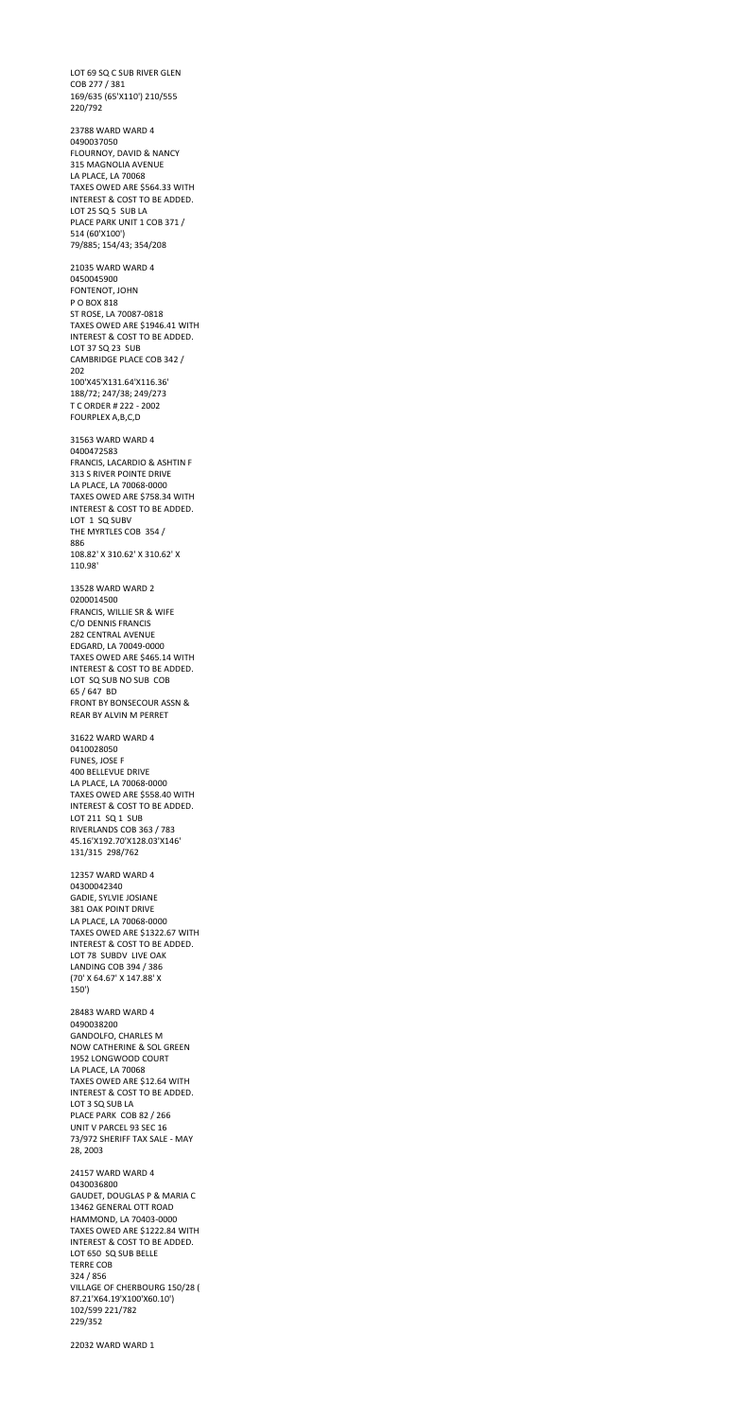LOT 69 SQ C SUB RIVER GLEN COB 277 / 381 169/635 (65'X110') 210/555 220/792

23788 WARD WARD 4 0490037050 FLOURNOY, DAVID & NANCY 315 MAGNOLIA AVENUE LA PLACE, LA 70068 TAXES OWED ARE \$564.33 WITH INTEREST & COST TO BE ADDED. LOT 25 SQ 5 SUB LA PLACE PARK UNIT 1 COB 371 / 514 (60'X100') 79/885; 154/43; 354/208 21035 WARD WARD 4

0450045900 FONTENOT, JOHN P O BOX 818 ST ROSE, LA 70087-0818 TAXES OWED ARE \$1946.41 WITH INTEREST & COST TO BE ADDED. LOT 37 SQ 23 SUB CAMBRIDGE PLACE COB 342 / 202 100'X45'X131.64'X116.36' 188/72; 247/38; 249/273 T C ORDER # 222 - 2002 FOURPLEX A,B,C,D

31563 WARD WARD 4 0400472583 FRANCIS, LACARDIO & ASHTIN F 313 S RIVER POINTE DRIVE LA PLACE, LA 70068-0000 TAXES OWED ARE \$758.34 WITH INTEREST & COST TO BE ADDED. LOT 1 SQ SUBV THE MYRTLES COB 354 / 886 108.82' X 310.62' X 310.62' X 110.98'

13528 WARD WARD 2 0200014500 FRANCIS, WILLIE SR & WIFE C/O DENNIS FRANCIS 282 CENTRAL AVENUE EDGARD, LA 70049-0000 TAXES OWED ARE \$465.14 WITH INTEREST & COST TO BE ADDED. LOT SQ SUB NO SUB COB 65 / 647 BD FRONT BY BONSECOUR ASSN & REAR BY ALVIN M PERRET

31622 WARD WARD 4 0410028050 FUNES, JOSE F 400 BELLEVUE DRIVE LA PLACE, LA 70068-0000 TAXES OWED ARE \$558.40 WITH INTEREST & COST TO BE ADDED. LOT 211 SQ 1 SUB RIVERLANDS COB 363 / 783 45.16'X192.70'X128.03'X146'

131/315 298/762

12357 WARD WARD 4 04300042340 GADIE, SYLVIE JOSIANE 381 OAK POINT DRIVE LA PLACE, LA 70068-0000 TAXES OWED ARE \$1322.67 WITH INTEREST & COST TO BE ADDED. LOT 78 SUBDV LIVE OAK LANDING COB 394 / 386 (70' X 64.67' X 147.88' X 150')

28483 WARD WARD 4 0490038200 GANDOLFO, CHARLES M NOW CATHERINE & SOL GREEN 1952 LONGWOOD COURT LA PLACE, LA 70068 TAXES OWED ARE \$12.64 WITH INTEREST & COST TO BE ADDED. LOT 3 SQ SUB LA PLACE PARK COB 82 / 266 UNIT V PARCEL 93 SEC 16 73/972 SHERIFF TAX SALE - MAY 28, 2003

24157 WARD WARD 4 0430036800 GAUDET, DOUGLAS P & MARIA C 13462 GENERAL OTT ROAD HAMMOND, LA 70403-0000 TAXES OWED ARE \$1222.84 WITH INTEREST & COST TO BE ADDED. LOT 650 SQ SUB BELLE TERRE COB 324 / 856 VILLAGE OF CHERBOURG 150/28 ( 87.21'X64.19'X100'X60.10') 102/599 221/782 229/352

22032 WARD WARD 1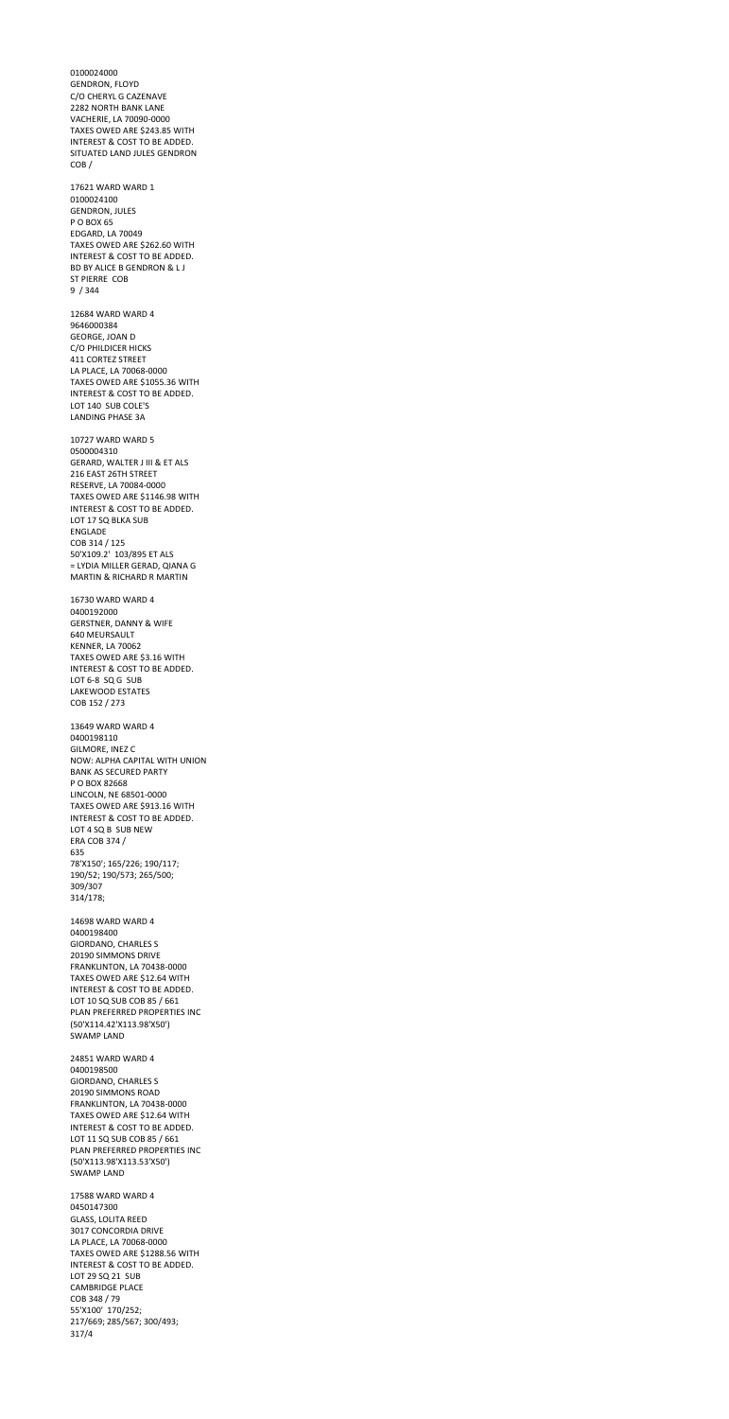0100024000 GENDRON, FLOYD C/O CHERYL G CAZENAVE 2282 NORTH BANK LANE VACHERIE, LA 70090-0000 TAXES OWED ARE \$243.85 WITH INTEREST & COST TO BE ADDED. SITUATED LAND JULES GENDRON COB / 17621 WARD WARD 1 0100024100 GENDRON, JULES P O BOX 65 EDGARD, LA 70049 TAXES OWED ARE \$262.60 WITH INTEREST & COST TO BE ADDED. BD BY ALICE B GENDRON & L J ST PIERRE COB 9 / 344 12684 WARD WARD 4 9646000384 GEORGE, JOAN D C/O PHILDICER HICKS 411 CORTEZ STREET LA PLACE, LA 70068-0000 TAXES OWED ARE \$1055.36 WITH INTEREST & COST TO BE ADDED. LOT 140 SUB COLE'S LANDING PHASE 3A 10727 WARD WARD 5 0500004310 GERARD, WALTER J III & ET ALS 216 EAST 26TH STREET RESERVE, LA 70084-0000 TAXES OWED ARE \$1146.98 WITH INTEREST & COST TO BE ADDED. LOT 17 SQ BLKA SUB ENGLADE COB 314 / 125 50'X109.2' 103/895 ET ALS = LYDIA MILLER GERAD, QIANA G MARTIN & RICHARD R MARTIN 16730 WARD WARD 4 0400192000 GERSTNER, DANNY & WIFE 640 MEURSAULT KENNER, LA 70062 TAXES OWED ARE \$3.16 WITH INTEREST & COST TO BE ADDED. LOT 6-8 SQ G SUB LAKEWOOD ESTATES COB 152 / 273 13649 WARD WARD 4 0400198110 GILMORE, INEZ C NOW: ALPHA CAPITAL WITH UNION BANK AS SECURED PARTY P O BOX 82668 LINCOLN, NE 68501-0000 TAXES OWED ARE \$913.16 WITH INTEREST & COST TO BE ADDED. LOT 4 SQ B SUB NEW

ERA COB 374 /

635

78'X150'; 165/226; 190/117; 190/52; 190/573; 265/500; 309/307 314/178;

14698 WARD WARD 4 0400198400 GIORDANO, CHARLES S 20190 SIMMONS DRIVE FRANKLINTON, LA 70438-0000 TAXES OWED ARE \$12.64 WITH INTEREST & COST TO BE ADDED. LOT 10 SQ SUB COB 85 / 661 PLAN PREFERRED PROPERTIES INC (50'X114.42'X113.98'X50') SWAMP LAND

24851 WARD WARD 4 0400198500 GIORDANO, CHARLES S 20190 SIMMONS ROAD FRANKLINTON, LA 70438-0000 TAXES OWED ARE \$12.64 WITH INTEREST & COST TO BE ADDED. LOT 11 SQ SUB COB 85 / 661 PLAN PREFERRED PROPERTIES INC (50'X113.98'X113.53'X50') SWAMP LAND

17588 WARD WARD 4 0450147300 GLASS, LOLITA REED 3017 CONCORDIA DRIVE LA PLACE, LA 70068-0000 TAXES OWED ARE \$1288.56 WITH INTEREST & COST TO BE ADDED. LOT 29 SQ 21 SUB CAMBRIDGE PLACE COB 348 / 79 55'X100' 170/252; 217/669; 285/567; 300/493; 317/4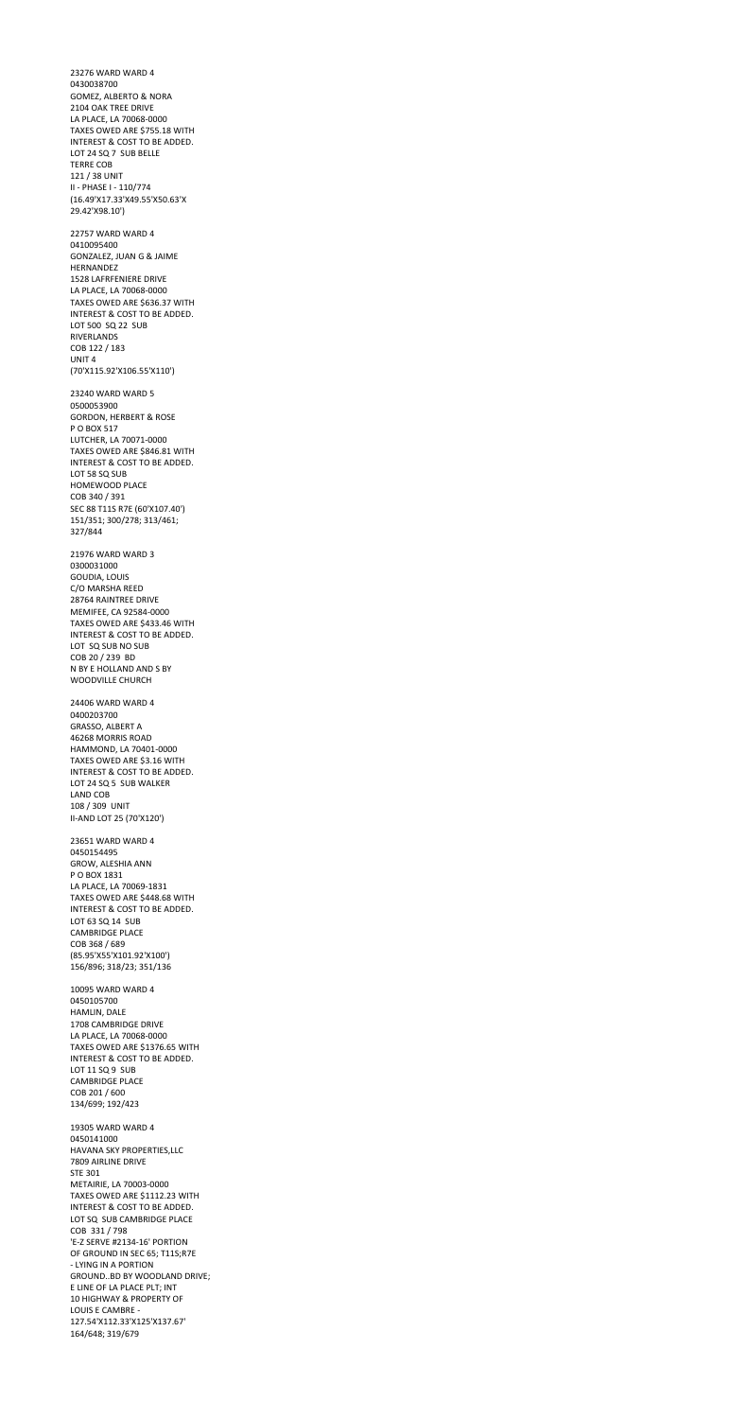23276 WARD WARD 4 0430038700 GOMEZ, ALBERTO & NORA 2104 OAK TREE DRIVE LA PLACE, LA 70068-0000 TAXES OWED ARE \$755.18 WITH INTEREST & COST TO BE ADDED. LOT 24 SQ 7 SUB BELLE TERRE COB 121 / 38 UNIT II - PHASE I - 110/774 (16.49'X17.33'X49.55'X50.63'X 29.42'X98.10') 22757 WARD WARD 4 0410095400 GONZALEZ, JUAN G & JAIME HERNANDEZ 1528 LAFRFENIERE DRIVE LA PLACE, LA 70068-0000 TAXES OWED ARE \$636.37 WITH INTEREST & COST TO BE ADDED. LOT 500 SQ 22 SUB RIVERLANDS COB 122 / 183 UNIT 4 (70'X115.92'X106.55'X110') 23240 WARD WARD 5 0500053900 GORDON, HERBERT & ROSE P O BOX 517 LUTCHER, LA 70071-0000 TAXES OWED ARE \$846.81 WITH INTEREST & COST TO BE ADDED. LOT 58 SQ SUB HOMEWOOD PLACE COB 340 / 391 SEC 88 T11S R7E (60'X107.40') 151/351; 300/278; 313/461; 327/844 21976 WARD WARD 3 0300031000 GOUDIA, LOUIS C/O MARSHA REED 28764 RAINTREE DRIVE MEMIFEE, CA 92584-0000 TAXES OWED ARE \$433.46 WITH INTEREST & COST TO BE ADDED. LOT SQ SUB NO SUB COB 20 / 239 BD N BY E HOLLAND AND S BY WOODVILLE CHURCH 24406 WARD WARD 4 0400203700 GRASSO, ALBERT A 46268 MORRIS ROAD HAMMOND, LA 70401-0000 TAXES OWED ARE \$3.16 WITH INTEREST & COST TO BE ADDED. LOT 24 SQ 5 SUB WALKER LAND COB 108 / 309 UNIT

II-AND LOT 25 (70'X120')

23651 WARD WARD 4

0450154495 GROW, ALESHIA ANN P O BOX 1831 LA PLACE, LA 70069-1831 TAXES OWED ARE \$448.68 WITH INTEREST & COST TO BE ADDED. LOT 63 SQ 14 SUB CAMBRIDGE PLACE COB 368 / 689 (85.95'X55'X101.92'X100') 156/896; 318/23; 351/136 10095 WARD WARD 4 0450105700 HAMLIN, DALE 1708 CAMBRIDGE DRIVE LA PLACE, LA 70068-0000 TAXES OWED ARE \$1376.65 WITH INTEREST & COST TO BE ADDED. LOT 11 SQ 9 SUB CAMBRIDGE PLACE COB 201 / 600 134/699; 192/423 19305 WARD WARD 4 0450141000 HAVANA SKY PROPERTIES,LLC 7809 AIRLINE DRIVE STE 301 METAIRIE, LA 70003-0000 TAXES OWED ARE \$1112.23 WITH INTEREST & COST TO BE ADDED. LOT SQ SUB CAMBRIDGE PLACE COB 331 / 798 'E-Z SERVE #2134-16' PORTION OF GROUND IN SEC 65; T11S;R7E - LYING IN A PORTION GROUND..BD BY WOODLAND DRIVE; E LINE OF LA PLACE PLT; INT 10 HIGHWAY & PROPERTY OF LOUIS E CAMBRE - 127.54'X112.33'X125'X137.67' 164/648; 319/679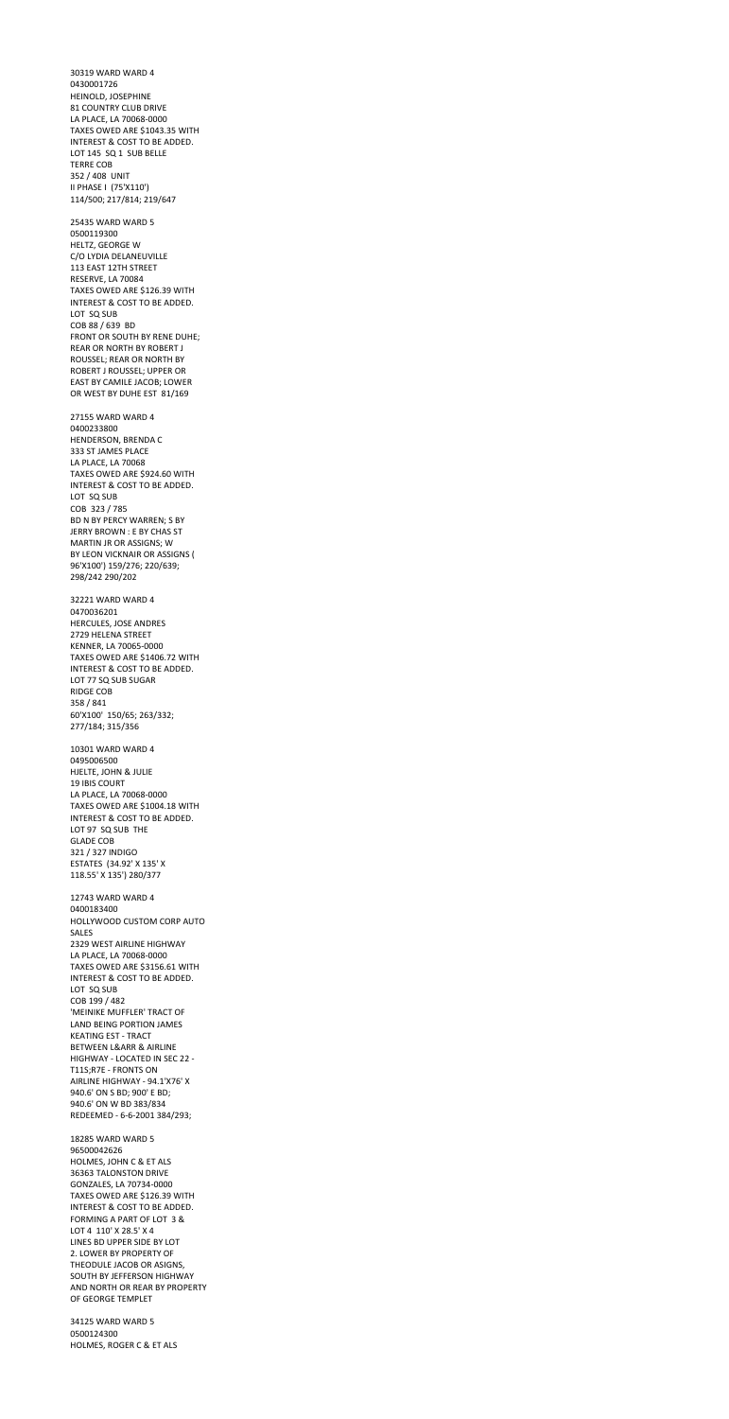30319 WARD WARD 4 0430001726 HEINOLD, JOSEPHINE 81 COUNTRY CLUB DRIVE LA PLACE, LA 70068-0000 TAXES OWED ARE \$1043.35 WITH INTEREST & COST TO BE ADDED. LOT 145 SQ 1 SUB BELLE TERRE COB 352 / 408 UNIT II PHASE I (75'X110') 114/500; 217/814; 219/647 25435 WARD WARD 5 0500119300 HELTZ, GEORGE W C/O LYDIA DELANEUVILLE 113 EAST 12TH STREET RESERVE, LA 70084 TAXES OWED ARE \$126.39 WITH INTEREST & COST TO BE ADDED. LOT SQ SUB COB 88 / 639 BD FRONT OR SOUTH BY RENE DUHE; REAR OR NORTH BY ROBERT J ROUSSEL; REAR OR NORTH BY ROBERT J ROUSSEL; UPPER OR EAST BY CAMILE JACOB; LOWER OR WEST BY DUHE EST 81/169 27155 WARD WARD 4 0400233800 HENDERSON, BRENDA C 333 ST JAMES PLACE LA PLACE, LA 70068 TAXES OWED ARE \$924.60 WITH INTEREST & COST TO BE ADDED. LOT SQ SUB COB 323 / 785 BD N BY PERCY WARREN; S BY JERRY BROWN : E BY CHAS ST MARTIN JR OR ASSIGNS; W BY LEON VICKNAIR OR ASSIGNS ( 96'X100') 159/276; 220/639; 298/242 290/202 32221 WARD WARD 4 0470036201 HERCULES, JOSE ANDRES 2729 HELENA STREET KENNER, LA 70065-0000 TAXES OWED ARE \$1406.72 WITH INTEREST & COST TO BE ADDED. LOT 77 SQ SUB SUGAR RIDGE COB 358 / 841 60'X100' 150/65; 263/332; 277/184; 315/356 10301 WARD WARD 4 0495006500 HJELTE, JOHN & JULIE 19 IBIS COURT LA PLACE, LA 70068-0000 TAXES OWED ARE \$1004.18 WITH

INTEREST & COST TO BE ADDED.

LOT 97 SQ SUB THE

GLADE COB

321 / 327 INDIGO ESTATES (34.92' X 135' X 118.55' X 135') 280/377

12743 WARD WARD 4 0400183400 HOLLYWOOD CUSTOM CORP AUTO SALES 2329 WEST AIRLINE HIGHWAY LA PLACE, LA 70068-0000 TAXES OWED ARE \$3156.61 WITH INTEREST & COST TO BE ADDED. LOT SQ SUB COB 199 / 482 'MEINIKE MUFFLER' TRACT OF LAND BEING PORTION JAMES KEATING EST - TRACT BETWEEN L&ARR & AIRLINE HIGHWAY - LOCATED IN SEC 22 - T11S;R7E - FRONTS ON AIRLINE HIGHWAY - 94.1'X76' X 940.6' ON S BD; 900' E BD; 940.6' ON W BD 383/834 REDEEMED - 6-6-2001 384/293;

18285 WARD WARD 5 96500042626 HOLMES, JOHN C & ET ALS 36363 TALONSTON DRIVE GONZALES, LA 70734-0000 TAXES OWED ARE \$126.39 WITH INTEREST & COST TO BE ADDED. FORMING A PART OF LOT 3 & LOT 4 110' X 28.5' X 4 LINES BD UPPER SIDE BY LOT 2. LOWER BY PROPERTY OF THEODULE JACOB OR ASIGNS, SOUTH BY JEFFERSON HIGHWAY AND NORTH OR REAR BY PROPERTY OF GEORGE TEMPLET

34125 WARD WARD 5 0500124300 HOLMES, ROGER C & ET ALS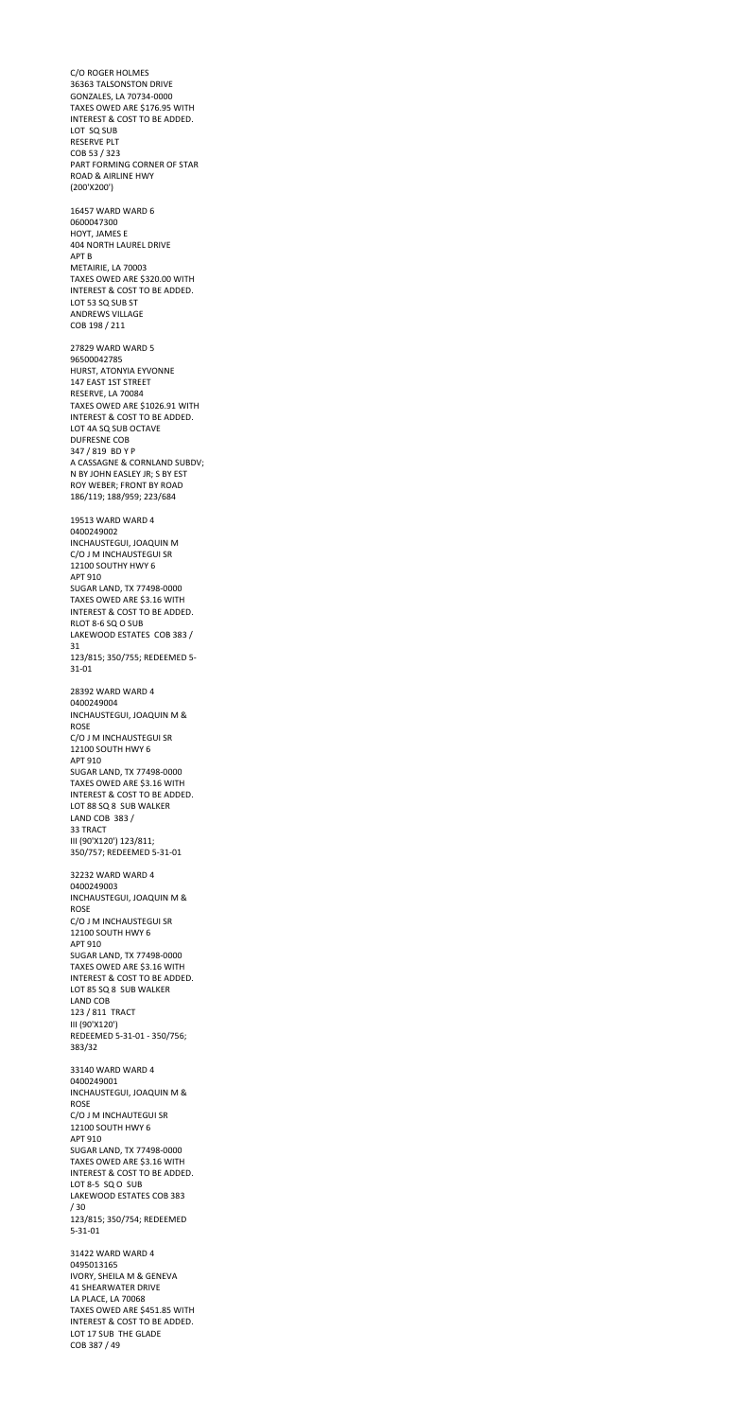C/O ROGER HOLMES 36363 TALSONSTON DRIVE GONZALES, LA 70734-0000 TAXES OWED ARE \$176.95 WITH INTEREST & COST TO BE ADDED. LOT SQ SUB RESERVE PLT COB 53 / 323 PART FORMING CORNER OF STAR ROAD & AIRLINE HWY (200'X200') 16457 WARD WARD 6 0600047300 HOYT, JAMES E 404 NORTH LAUREL DRIVE APT B METAIRIE, LA 70003 TAXES OWED ARE \$320.00 WITH INTEREST & COST TO BE ADDED. LOT 53 SQ SUB ST ANDREWS VILLAGE COB 198 / 211 27829 WARD WARD 5 96500042785 HURST, ATONYIA EYVONNE 147 EAST 1ST STREET RESERVE, LA 70084 TAXES OWED ARE \$1026.91 WITH INTEREST & COST TO BE ADDED. LOT 4A SQ SUB OCTAVE DUFRESNE COB 347 / 819 BD Y P A CASSAGNE & CORNLAND SUBDV; N BY JOHN EASLEY JR; S BY EST ROY WEBER; FRONT BY ROAD 186/119; 188/959; 223/684 19513 WARD WARD 4 0400249002 INCHAUSTEGUI, JOAQUIN M C/O J M INCHAUSTEGUI SR 12100 SOUTHY HWY 6 APT 910 SUGAR LAND, TX 77498-0000 TAXES OWED ARE \$3.16 WITH INTEREST & COST TO BE ADDED. RLOT 8-6 SQ O SUB LAKEWOOD ESTATES COB 383 / 31 123/815; 350/755; REDEEMED 5- 31-01 28392 WARD WARD 4 0400249004 INCHAUSTEGUI, JOAQUIN M & ROSE C/O J M INCHAUSTEGUI SR 12100 SOUTH HWY 6 APT 910 SUGAR LAND, TX 77498-0000 TAXES OWED ARE \$3.16 WITH INTEREST & COST TO BE ADDED. LOT 88 SQ 8 SUB WALKER LAND COB 383 / 33 TRACT

III (90'X120') 123/811;

350/757; REDEEMED 5-31-01

32232 WARD WARD 4 0400249003 INCHAUSTEGUI, JOAQUIN M & ROSE C/O J M INCHAUSTEGUI SR 12100 SOUTH HWY 6 APT 910 SUGAR LAND, TX 77498-0000 TAXES OWED ARE \$3.16 WITH INTEREST & COST TO BE ADDED. LOT 85 SQ 8 SUB WALKER LAND COB 123 / 811 TRACT III (90'X120') REDEEMED 5-31-01 - 350/756; 383/32 33140 WARD WARD 4 0400249001 INCHAUSTEGUI, JOAQUIN M & ROSE C/O J M INCHAUTEGUI SR 12100 SOUTH HWY 6 APT 910 SUGAR LAND, TX 77498-0000 TAXES OWED ARE \$3.16 WITH INTEREST & COST TO BE ADDED. LOT 8-5 SQ O SUB LAKEWOOD ESTATES COB 383 / 30 123/815; 350/754; REDEEMED 5-31-01 31422 WARD WARD 4

0495013165 IVORY, SHEILA M & GENEVA 41 SHEARWATER DRIVE LA PLACE, LA 70068 TAXES OWED ARE \$451.85 WITH INTEREST & COST TO BE ADDED. LOT 17 SUB THE GLADE COB 387 / 49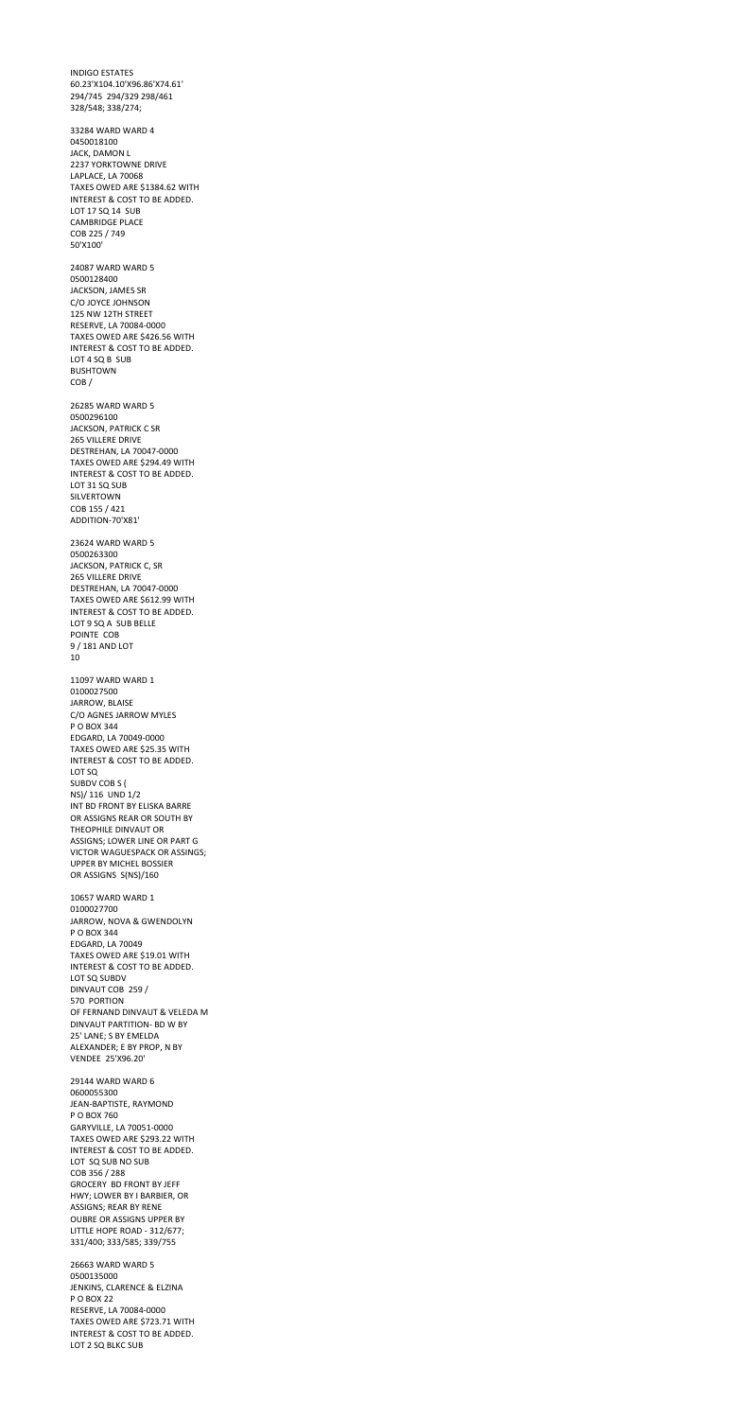INDIGO ESTATES 60.23'X104.10'X96.86'X74.61' 294/745 294/329 298/461 328/548; 338/274; 33284 WARD WARD 4 0450018100 JACK, DAMON L 2237 YORKTOWNE DRIVE LAPLACE, LA 70068 TAXES OWED ARE \$1384.62 WITH INTEREST & COST TO BE ADDED. LOT 17 SQ 14 SUB CAMBRIDGE PLACE COB 225 / 749 50'X100' 24087 WARD WARD 5 0500128400 JACKSON, JAMES SR C/O JOYCE JOHNSON 125 NW 12TH STREET RESERVE, LA 70084-0000 TAXES OWED ARE \$426.56 WITH INTEREST & COST TO BE ADDED. LOT 4 SQ B SUB BUSHTOWN COB / 26285 WARD WARD 5 0500296100 JACKSON, PATRICK C SR 265 VILLERE DRIVE DESTREHAN, LA 70047-0000 TAXES OWED ARE \$294.49 WITH INTEREST & COST TO BE ADDED. LOT 31 SQ SUB SILVERTOWN COB 155 / 421 ADDITION-70'X81' 23624 WARD WARD 5 0500263300 JACKSON, PATRICK C, SR 265 VILLERE DRIVE DESTREHAN, LA 70047-0000 TAXES OWED ARE \$612.99 WITH INTEREST & COST TO BE ADDED. LOT 9 SQ A SUB BELLE POINTE COB 9 / 181 AND LOT 10 11097 WARD WARD 1 0100027500 JARROW, BLAISE C/O AGNES JARROW MYLES P O BOX 344 EDGARD, LA 70049-0000 TAXES OWED ARE \$25.35 WITH INTEREST & COST TO BE ADDED. LOT SQ SUBDV COB S ( NS)/ 116 UND 1/2 INT BD FRONT BY ELISKA BARRE OR ASSIGNS REAR OR SOUTH BY THEOPHILE DINVAUT OR

ASSIGNS; LOWER LINE OR PART G

VICTOR WAGUESPACK OR ASSINGS; UPPER BY MICHEL BOSSIER OR ASSIGNS S(NS)/160

10657 WARD WARD 1 0100027700 JARROW, NOVA & GWENDOLYN P O BOX 344 EDGARD, LA 70049 TAXES OWED ARE \$19.01 WITH INTEREST & COST TO BE ADDED. LOT SQ SUBDV DINVAUT COB 259 / 570 PORTION OF FERNAND DINVAUT & VELEDA M DINVAUT PARTITION- BD W BY 25' LANE; S BY EMELDA ALEXANDER; E BY PROP, N BY VENDEE 25'X96.20' 29144 WARD WARD 6 0600055300 JEAN-BAPTISTE, RAYMOND P O BOX 760 GARYVILLE, LA 70051-0000 TAXES OWED ARE \$293.22 WITH INTEREST & COST TO BE ADDED. LOT SQ SUB NO SUB COB 356 / 288 GROCERY BD FRONT BY JEFF HWY; LOWER BY I BARBIER, OR ASSIGNS; REAR BY RENE OUBRE OR ASSIGNS UPPER BY LITTLE HOPE ROAD - 312/677; 331/400; 333/585; 339/755

26663 WARD WARD 5 0500135000 JENKINS, CLARENCE & ELZINA P O BOX 22 RESERVE, LA 70084-0000 TAXES OWED ARE \$723.71 WITH INTEREST & COST TO BE ADDED. LOT 2 SQ BLKC SUB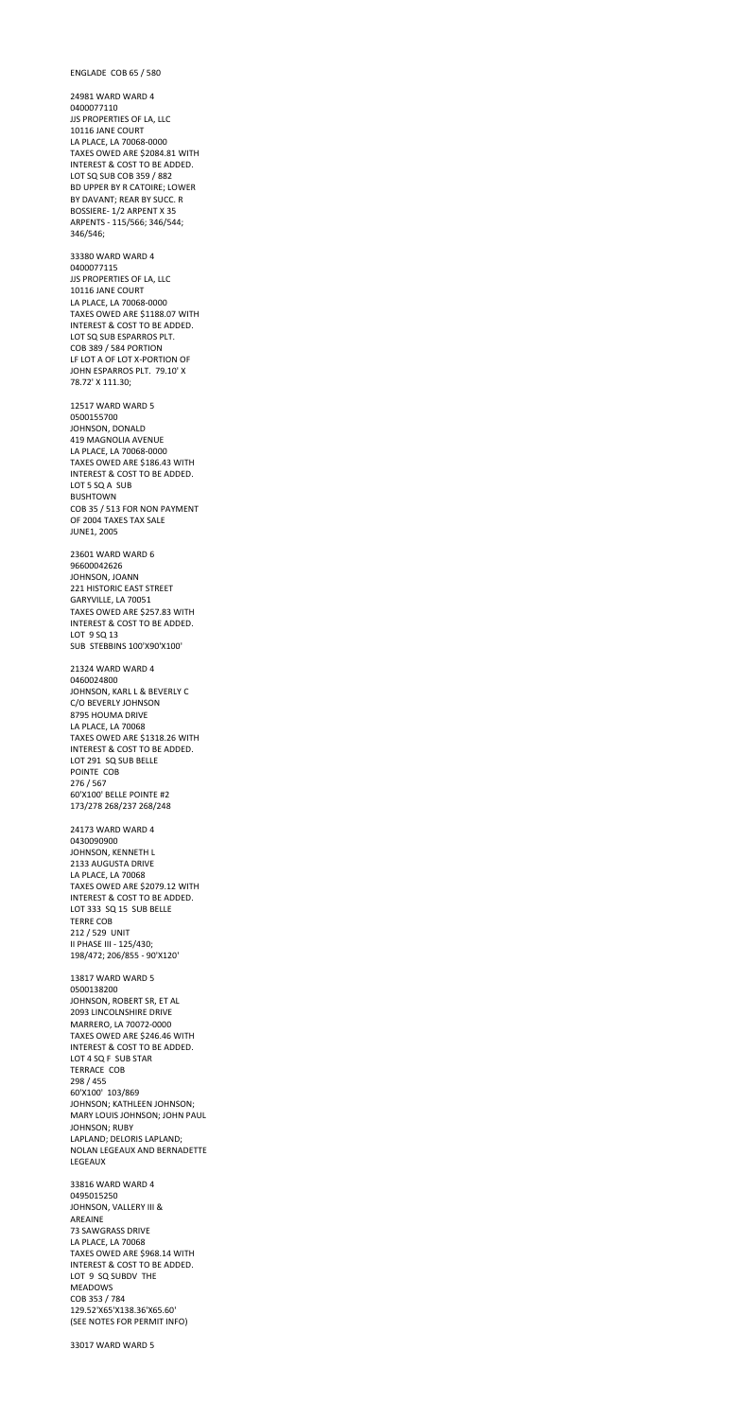ENGLADE COB 65 / 580

24981 WARD WARD 4 0400077110 JJS PROPERTIES OF LA, LLC 10116 JANE COURT LA PLACE, LA 70068-0000 TAXES OWED ARE \$2084.81 WITH INTEREST & COST TO BE ADDED. LOT SQ SUB COB 359 / 882 BD UPPER BY R CATOIRE; LOWER BY DAVANT; REAR BY SUCC. R BOSSIERE- 1/2 ARPENT X 35 ARPENTS - 115/566; 346/544; 346/546;

33380 WARD WARD 4 0400077115 JJS PROPERTIES OF LA, LLC 10116 JANE COURT LA PLACE, LA 70068-0000 TAXES OWED ARE \$1188.07 WITH INTEREST & COST TO BE ADDED. LOT SQ SUB ESPARROS PLT. COB 389 / 584 PORTION LF LOT A OF LOT X-PORTION OF JOHN ESPARROS PLT. 79.10' X 78.72' X 111.30;

12517 WARD WARD 5 0500155700 JOHNSON, DONALD 419 MAGNOLIA AVENUE LA PLACE, LA 70068-0000 TAXES OWED ARE \$186.43 WITH INTEREST & COST TO BE ADDED. LOT 5 SQ A SUB BUSHTOWN COB 35 / 513 FOR NON PAYMENT OF 2004 TAXES TAX SALE JUNE1, 2005

23601 WARD WARD 6 96600042626 JOHNSON, JOANN 221 HISTORIC EAST STREET GARYVILLE, LA 70051 TAXES OWED ARE \$257.83 WITH INTEREST & COST TO BE ADDED. LOT 9 SQ 13 SUB STEBBINS 100'X90'X100'

21324 WARD WARD 4 0460024800 JOHNSON, KARL L & BEVERLY C C/O BEVERLY JOHNSON 8795 HOUMA DRIVE LA PLACE, LA 70068 TAXES OWED ARE \$1318.26 WITH INTEREST & COST TO BE ADDED. LOT 291 SQ SUB BELLE POINTE COB 276 / 567 60'X100' BELLE POINTE #2 173/278 268/237 268/248

24173 WARD WARD 4 0430090900

JOHNSON, KENNETH L 2133 AUGUSTA DRIVE LA PLACE, LA 70068 TAXES OWED ARE \$2079.12 WITH INTEREST & COST TO BE ADDED. LOT 333 SQ 15 SUB BELLE TERRE COB 212 / 529 UNIT II PHASE III - 125/430; 198/472; 206/855 - 90'X120' 13817 WARD WARD 5 0500138200 JOHNSON, ROBERT SR, ET AL 2093 LINCOLNSHIRE DRIVE MARRERO, LA 70072-0000 TAXES OWED ARE \$246.46 WITH INTEREST & COST TO BE ADDED. LOT 4 SQ F SUB STAR TERRACE COB 298 / 455 60'X100' 103/869 JOHNSON; KATHLEEN JOHNSON; MARY LOUIS JOHNSON; JOHN PAUL JOHNSON; RUBY LAPLAND; DELORIS LAPLAND; NOLAN LEGEAUX AND BERNADETTE LEGEAUX 33816 WARD WARD 4 0495015250 JOHNSON, VALLERY III & AREAINE 73 SAWGRASS DRIVE LA PLACE, LA 70068 TAXES OWED ARE \$968.14 WITH INTEREST & COST TO BE ADDED. LOT 9 SQ SUBDV THE MEADOWS COB 353 / 784 129.52'X65'X138.36'X65.60' (SEE NOTES FOR PERMIT INFO)

33017 WARD WARD 5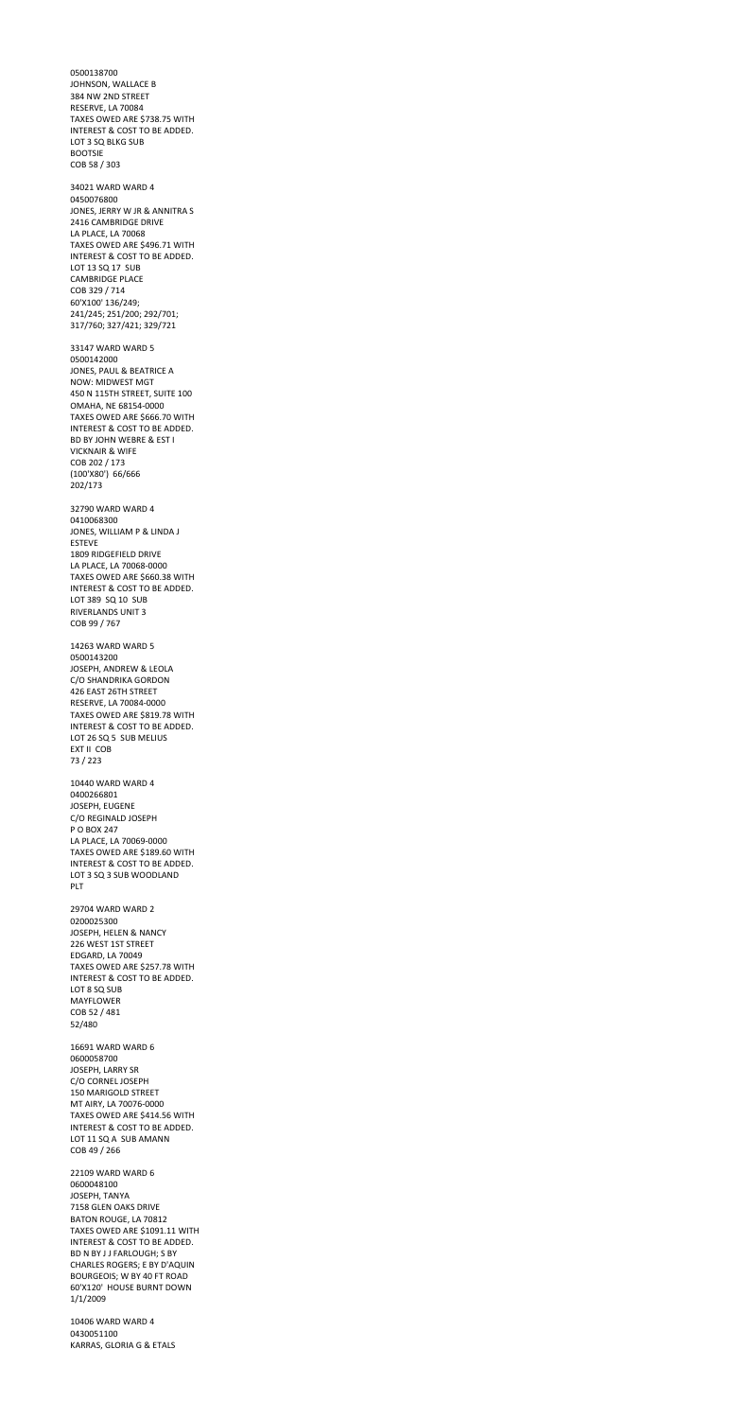0500138700 JOHNSON, WALLACE B 384 NW 2ND STREET RESERVE, LA 70084 TAXES OWED ARE \$738.75 WITH INTEREST & COST TO BE ADDED. LOT 3 SQ BLKG SUB BOOTSIE COB 58 / 303 34021 WARD WARD 4 0450076800 JONES, JERRY W JR & ANNITRA S 2416 CAMBRIDGE DRIVE LA PLACE, LA 70068 TAXES OWED ARE \$496.71 WITH INTEREST & COST TO BE ADDED. LOT 13 SQ 17 SUB CAMBRIDGE PLACE COB 329 / 714 60'X100' 136/249; 241/245; 251/200; 292/701; 317/760; 327/421; 329/721 33147 WARD WARD 5 0500142000 JONES, PAUL & BEATRICE A NOW: MIDWEST MGT 450 N 115TH STREET, SUITE 100 OMAHA, NE 68154-0000 TAXES OWED ARE \$666.70 WITH INTEREST & COST TO BE ADDED. BD BY JOHN WEBRE & EST I VICKNAIR & WIFE COB 202 / 173 (100'X80') 66/666 202/173 32790 WARD WARD 4 0410068300 JONES, WILLIAM P & LINDA J ESTEVE 1809 RIDGEFIELD DRIVE LA PLACE, LA 70068-0000 TAXES OWED ARE \$660.38 WITH INTEREST & COST TO BE ADDED. LOT 389 SQ 10 SUB RIVERLANDS UNIT 3 COB 99 / 767 14263 WARD WARD 5 0500143200 JOSEPH, ANDREW & LEOLA C/O SHANDRIKA GORDON 426 EAST 26TH STREET RESERVE, LA 70084-0000 TAXES OWED ARE \$819.78 WITH INTEREST & COST TO BE ADDED. LOT 26 SQ 5 SUB MELIUS EXT II COB 73 / 223 10440 WARD WARD 4 0400266801 JOSEPH, EUGENE C/O REGINALD JOSEPH

P O BOX 247

LA PLACE, LA 70069-0000

TAXES OWED ARE \$189.60 WITH INTEREST & COST TO BE ADDED. LOT 3 SQ 3 SUB WOODLAND PLT

29704 WARD WARD 2 0200025300 JOSEPH, HELEN & NANCY 226 WEST 1ST STREET EDGARD, LA 70049 TAXES OWED ARE \$257.78 WITH INTEREST & COST TO BE ADDED. LOT 8 SQ SUB MAYFLOWER COB 52 / 481 52/480

16691 WARD WARD 6 0600058700 JOSEPH, LARRY SR C/O CORNEL JOSEPH 150 MARIGOLD STREET MT AIRY, LA 70076-0000 TAXES OWED ARE \$414.56 WITH INTEREST & COST TO BE ADDED. LOT 11 SQ A SUB AMANN COB 49 / 266

22109 WARD WARD 6 0600048100 JOSEPH, TANYA 7158 GLEN OAKS DRIVE BATON ROUGE, LA 70812 TAXES OWED ARE \$1091.11 WITH INTEREST & COST TO BE ADDED. BD N BY J J FARLOUGH; S BY CHARLES ROGERS; E BY D'AQUIN BOURGEOIS; W BY 40 FT ROAD 60'X120' HOUSE BURNT DOWN 1/1/2009

10406 WARD WARD 4 0430051100 KARRAS, GLORIA G & ETALS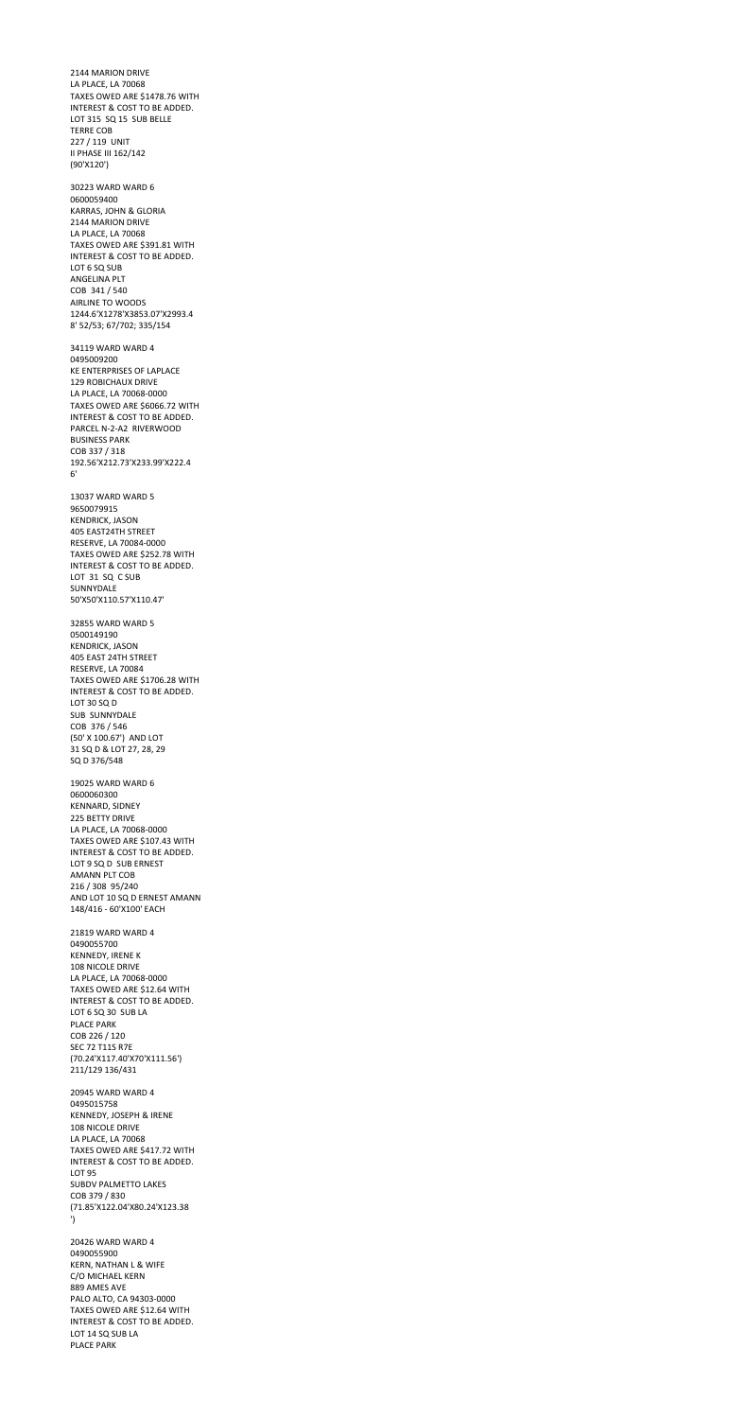2144 MARION DRIVE LA PLACE, LA 70068 TAXES OWED ARE \$1478.76 WITH INTEREST & COST TO BE ADDED. LOT 315 SQ 15 SUB BELLE TERRE COB 227 / 119 UNIT II PHASE III 162/142 (90'X120') 30223 WARD WARD 6 0600059400 KARRAS, JOHN & GLORIA 2144 MARION DRIVE LA PLACE, LA 70068 TAXES OWED ARE \$391.81 WITH INTEREST & COST TO BE ADDED. LOT 6 SQ SUB ANGELINA PLT COB 341 / 540 AIRLINE TO WOODS 1244.6'X1278'X3853.07'X2993.4 8' 52/53; 67/702; 335/154 34119 WARD WARD 4 0495009200 KE ENTERPRISES OF LAPLACE 129 ROBICHAUX DRIVE LA PLACE, LA 70068-0000 TAXES OWED ARE \$6066.72 WITH INTEREST & COST TO BE ADDED. PARCEL N-2-A2 RIVERWOOD BUSINESS PARK COB 337 / 318 192.56'X212.73'X233.99'X222.4 6' 13037 WARD WARD 5 9650079915 KENDRICK, JASON 405 EAST24TH STREET RESERVE, LA 70084-0000 TAXES OWED ARE \$252.78 WITH INTEREST & COST TO BE ADDED. LOT 31 SQ C SUB SUNNYDALE 50'X50'X110.57'X110.47' 32855 WARD WARD 5 0500149190 KENDRICK, JASON 405 EAST 24TH STREET RESERVE, LA 70084 TAXES OWED ARE \$1706.28 WITH INTEREST & COST TO BE ADDED. LOT 30 SQ D SUB SUNNYDALE COB 376 / 546 (50' X 100.67') AND LOT 31 SQ D & LOT 27, 28, 29 SQ D 376/548 19025 WARD WARD 6 0600060300 KENNARD, SIDNEY 225 BETTY DRIVE LA PLACE, LA 70068-0000

TAXES OWED ARE \$107.43 WITH

INTEREST & COST TO BE ADDED. LOT 9 SQ D SUB ERNEST AMANN PLT COB 216 / 308 95/240 AND LOT 10 SQ D ERNEST AMANN 148/416 - 60'X100' EACH

21819 WARD WARD 4 0490055700 KENNEDY, IRENE K 108 NICOLE DRIVE LA PLACE, LA 70068-0000 TAXES OWED ARE \$12.64 WITH INTEREST & COST TO BE ADDED. LOT 6 SQ 30 SUB LA PLACE PARK COB 226 / 120 SEC 72 T11S R7E (70.24'X117.40'X70'X111.56') 211/129 136/431

20945 WARD WARD 4 0495015758 KENNEDY, JOSEPH & IRENE 108 NICOLE DRIVE LA PLACE, LA 70068 TAXES OWED ARE \$417.72 WITH INTEREST & COST TO BE ADDED. LOT 95 SUBDV PALMETTO LAKES COB 379 / 830 (71.85'X122.04'X80.24'X123.38 ')

20426 WARD WARD 4 0490055900 KERN, NATHAN L & WIFE C/O MICHAEL KERN 889 AMES AVE PALO ALTO, CA 94303-0000 TAXES OWED ARE \$12.64 WITH INTEREST & COST TO BE ADDED. LOT 14 SQ SUB LA PLACE PARK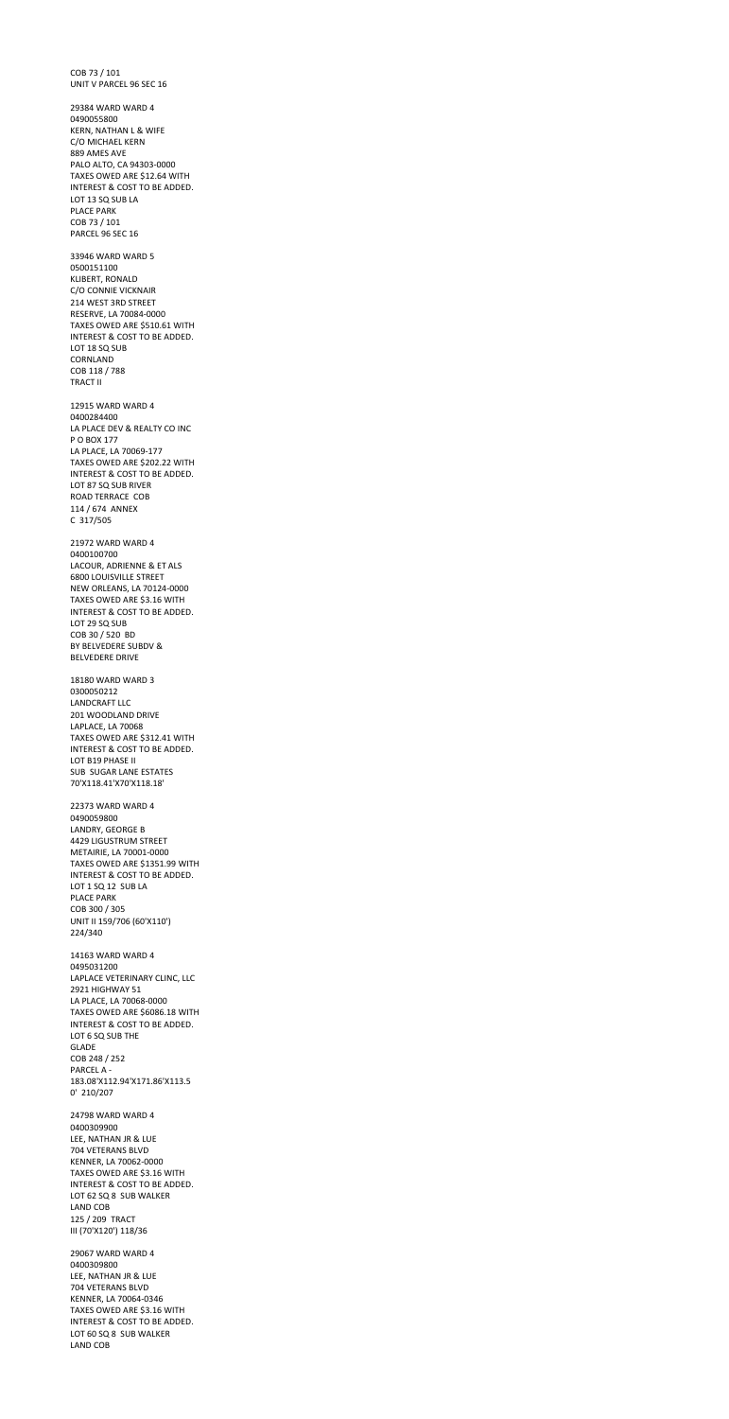COB 73 / 101 UNIT V PARCEL 96 SEC 16 29384 WARD WARD 4 0490055800 KERN, NATHAN L & WIFE C/O MICHAEL KERN 889 AMES AVE PALO ALTO, CA 94303-0000 TAXES OWED ARE \$12.64 WITH INTEREST & COST TO BE ADDED. LOT 13 SQ SUB LA PLACE PARK COB 73 / 101 PARCEL 96 SEC 16 33946 WARD WARD 5 0500151100 KLIBERT, RONALD C/O CONNIE VICKNAIR 214 WEST 3RD STREET RESERVE, LA 70084-0000 TAXES OWED ARE \$510.61 WITH INTEREST & COST TO BE ADDED. LOT 18 SQ SUB CORNLAND COB 118 / 788 TRACT II 12915 WARD WARD 4 0400284400 LA PLACE DEV & REALTY CO INC P O BOX 177 LA PLACE, LA 70069-177 TAXES OWED ARE \$202.22 WITH INTEREST & COST TO BE ADDED. LOT 87 SQ SUB RIVER ROAD TERRACE COB 114 / 674 ANNEX C 317/505 21972 WARD WARD 4 0400100700 LACOUR, ADRIENNE & ET ALS 6800 LOUISVILLE STREET NEW ORLEANS, LA 70124-0000 TAXES OWED ARE \$3.16 WITH INTEREST & COST TO BE ADDED. LOT 29 SQ SUB COB 30 / 520 BD BY BELVEDERE SUBDV & BELVEDERE DRIVE 18180 WARD WARD 3 0300050212 LANDCRAFT LLC 201 WOODLAND DRIVE LAPLACE, LA 70068 TAXES OWED ARE \$312.41 WITH INTEREST & COST TO BE ADDED. LOT B19 PHASE II SUB SUGAR LANE ESTATES 70'X118.41'X70'X118.18'

22373 WARD WARD 4 0490059800 LANDRY, GEORGE B 4429 LIGUSTRUM STREET

METAIRIE, LA 70001-0000 TAXES OWED ARE \$1351.99 WITH INTEREST & COST TO BE ADDED. LOT 1 SQ 12 SUB LA PLACE PARK COB 300 / 305 UNIT II 159/706 (60'X110') 224/340

14163 WARD WARD 4 0495031200 LAPLACE VETERINARY CLINC, LLC 2921 HIGHWAY 51 LA PLACE, LA 70068-0000 TAXES OWED ARE \$6086.18 WITH INTEREST & COST TO BE ADDED. LOT 6 SQ SUB THE GLADE COB 248 / 252 PARCEL A - 183.08'X112.94'X171.86'X113.5 0' 210/207

24798 WARD WARD 4 0400309900 LEE, NATHAN JR & LUE 704 VETERANS BLVD KENNER, LA 70062-0000 TAXES OWED ARE \$3.16 WITH INTEREST & COST TO BE ADDED. LOT 62 SQ 8 SUB WALKER LAND COB 125 / 209 TRACT III (70'X120') 118/36

29067 WARD WARD 4 0400309800 LEE, NATHAN JR & LUE 704 VETERANS BLVD KENNER, LA 70064-0346 TAXES OWED ARE \$3.16 WITH INTEREST & COST TO BE ADDED. LOT 60 SQ 8 SUB WALKER LAND COB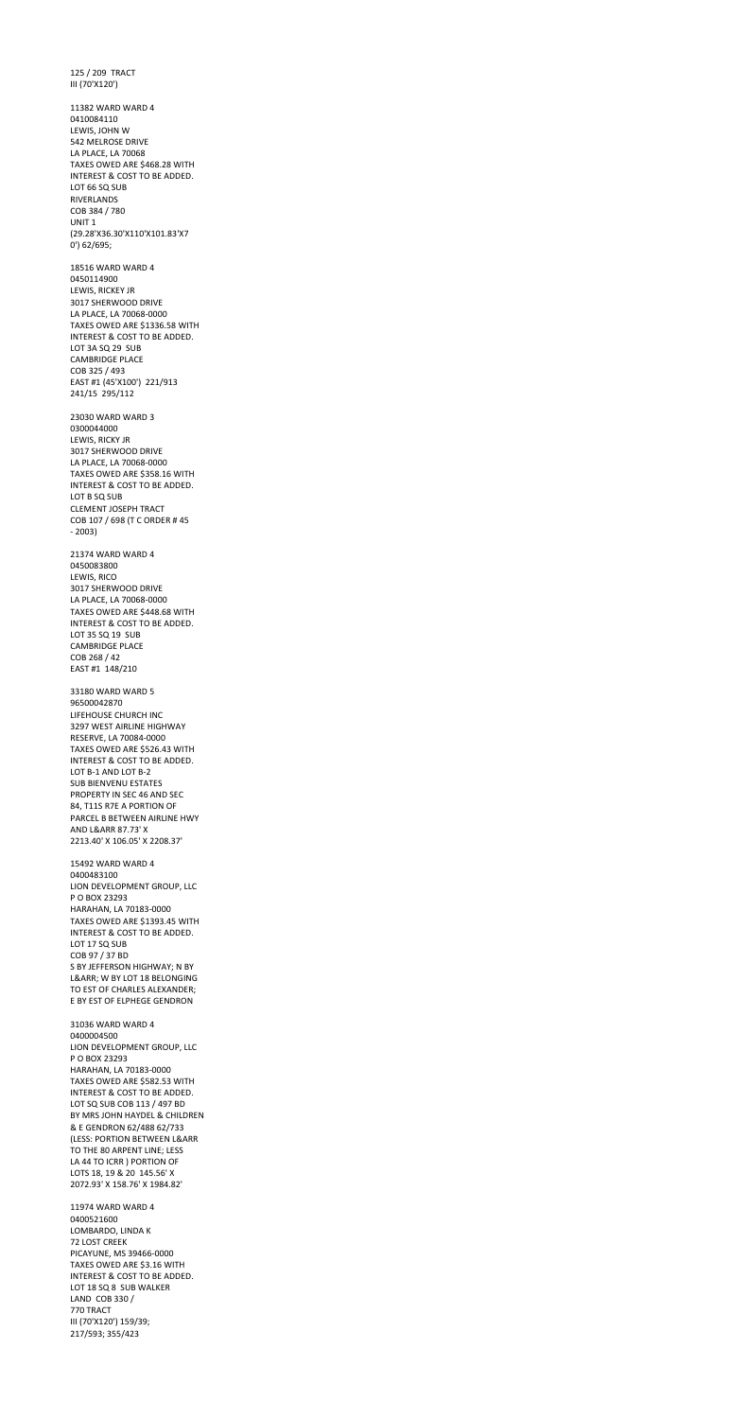125 / 209 TRACT III (70'X120') 11382 WARD WARD 4 0410084110 LEWIS, JOHN W 542 MELROSE DRIVE LA PLACE, LA 70068 TAXES OWED ARE \$468.28 WITH INTEREST & COST TO BE ADDED. LOT 66 SQ SUB RIVERLANDS COB 384 / 780 UNIT 1 (29.28'X36.30'X110'X101.83'X7 0') 62/695; 18516 WARD WARD 4 0450114900 LEWIS, RICKEY JR 3017 SHERWOOD DRIVE LA PLACE, LA 70068-0000 TAXES OWED ARE \$1336.58 WITH INTEREST & COST TO BE ADDED. LOT 3A SQ 29 SUB CAMBRIDGE PLACE COB 325 / 493 EAST #1 (45'X100') 221/913 241/15 295/112 23030 WARD WARD 3 0300044000 LEWIS, RICKY JR 3017 SHERWOOD DRIVE LA PLACE, LA 70068-0000 TAXES OWED ARE \$358.16 WITH INTEREST & COST TO BE ADDED. LOT B SQ SUB CLEMENT JOSEPH TRACT COB 107 / 698 (T C ORDER # 45 - 2003) 21374 WARD WARD 4 0450083800 LEWIS, RICO 3017 SHERWOOD DRIVE LA PLACE, LA 70068-0000 TAXES OWED ARE \$448.68 WITH INTEREST & COST TO BE ADDED. LOT 35 SQ 19 SUB CAMBRIDGE PLACE COB 268 / 42 EAST #1 148/210 33180 WARD WARD 5 96500042870 LIFEHOUSE CHURCH INC 3297 WEST AIRLINE HIGHWAY RESERVE, LA 70084-0000 TAXES OWED ARE \$526.43 WITH INTEREST & COST TO BE ADDED. LOT B-1 AND LOT B-2 SUB BIENVENU ESTATES PROPERTY IN SEC 46 AND SEC 84, T11S R7E A PORTION OF PARCEL B BETWEEN AIRLINE HWY AND L&ARR 87.73' X

2213.40' X 106.05' X 2208.37'

15492 WARD WARD 4 0400483100 LION DEVELOPMENT GROUP, LLC P O BOX 23293 HARAHAN, LA 70183-0000 TAXES OWED ARE \$1393.45 WITH INTEREST & COST TO BE ADDED. LOT 17 SQ SUB COB 97 / 37 BD S BY JEFFERSON HIGHWAY; N BY L&ARR; W BY LOT 18 BELONGING TO EST OF CHARLES ALEXANDER; E BY EST OF ELPHEGE GENDRON 31036 WARD WARD 4 0400004500 LION DEVELOPMENT GROUP, LLC P O BOX 23293 HARAHAN, LA 70183-0000 TAXES OWED ARE \$582.53 WITH INTEREST & COST TO BE ADDED. LOT SQ SUB COB 113 / 497 BD BY MRS JOHN HAYDEL & CHILDREN & E GENDRON 62/488 62/733 (LESS: PORTION BETWEEN L&ARR TO THE 80 ARPENT LINE; LESS LA 44 TO ICRR ) PORTION OF LOTS 18, 19 & 20 145.56' X 2072.93' X 158.76' X 1984.82' 11974 WARD WARD 4 0400521600 LOMBARDO, LINDA K 72 LOST CREEK PICAYUNE, MS 39466-0000 TAXES OWED ARE \$3.16 WITH INTEREST & COST TO BE ADDED. LOT 18 SQ 8 SUB WALKER LAND COB 330 / 770 TRACT III (70'X120') 159/39;

217/593; 355/423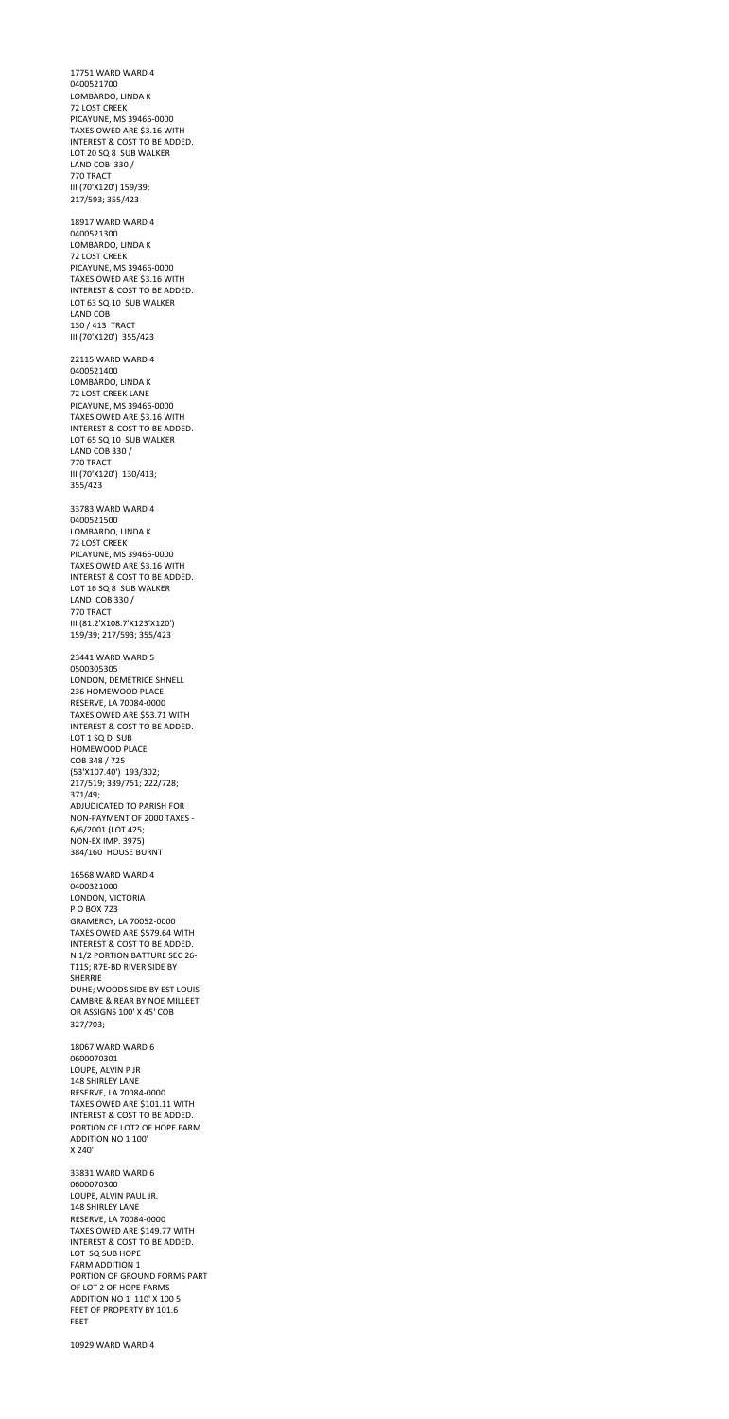17751 WARD WARD 4 0400521700 LOMBARDO, LINDA K 72 LOST CREEK PICAYUNE, MS 39466-0000 TAXES OWED ARE \$3.16 WITH INTEREST & COST TO BE ADDED. LOT 20 SQ 8 SUB WALKER LAND COB 330 / 770 TRACT III (70'X120') 159/39; 217/593; 355/423 18917 WARD WARD 4 0400521300 LOMBARDO, LINDA K 72 LOST CREEK PICAYUNE, MS 39466-0000 TAXES OWED ARE \$3.16 WITH INTEREST & COST TO BE ADDED. LOT 63 SQ 10 SUB WALKER LAND COB 130 / 413 TRACT III (70'X120') 355/423 22115 WARD WARD 4 0400521400 LOMBARDO, LINDA K 72 LOST CREEK LANE PICAYUNE, MS 39466-0000 TAXES OWED ARE \$3.16 WITH INTEREST & COST TO BE ADDED. LOT 65 SQ 10 SUB WALKER LAND COB 330 / 770 TRACT III (70'X120') 130/413; 355/423 33783 WARD WARD 4 0400521500 LOMBARDO, LINDA K 72 LOST CREEK PICAYUNE, MS 39466-0000 TAXES OWED ARE \$3.16 WITH INTEREST & COST TO BE ADDED. LOT 16 SQ 8 SUB WALKER LAND COB 330 / 770 TRACT III (81.2'X108.7'X123'X120') 159/39; 217/593; 355/423 23441 WARD WARD 5 0500305305 LONDON, DEMETRICE SHNELL 236 HOMEWOOD PLACE RESERVE, LA 70084-0000 TAXES OWED ARE \$53.71 WITH INTEREST & COST TO BE ADDED. LOT 1 SQ D SUB HOMEWOOD PLACE COB 348 / 725 (53'X107.40') 193/302; 217/519; 339/751; 222/728; 371/49; ADJUDICATED TO PARISH FOR NON-PAYMENT OF 2000 TAXES - 6/6/2001 (LOT 425;

NON-EX IMP. 3975)

384/160 HOUSE BURNT

16568 WARD WARD 4 0400321000 LONDON, VICTORIA P O BOX 723 GRAMERCY, LA 70052-0000 TAXES OWED ARE \$579.64 WITH INTEREST & COST TO BE ADDED. N 1/2 PORTION BATTURE SEC 26- T11S; R7E-BD RIVER SIDE BY SHERRIE DUHE; WOODS SIDE BY EST LOUIS CAMBRE & REAR BY NOE MILLEET OR ASSIGNS 100' X 45' COB 327/703;

18067 WARD WARD 6 0600070301 LOUPE, ALVIN P JR 148 SHIRLEY LANE RESERVE, LA 70084-0000 TAXES OWED ARE \$101.11 WITH INTEREST & COST TO BE ADDED. PORTION OF LOT2 OF HOPE FARM ADDITION NO 1 100' X 240'

33831 WARD WARD 6 0600070300 LOUPE, ALVIN PAUL JR. 148 SHIRLEY LANE RESERVE, LA 70084-0000 TAXES OWED ARE \$149.77 WITH INTEREST & COST TO BE ADDED. LOT SQ SUB HOPE FARM ADDITION 1 PORTION OF GROUND FORMS PART OF LOT 2 OF HOPE FARMS ADDITION NO 1 110' X 100 5 FEET OF PROPERTY BY 101.6 FEET

10929 WARD WARD 4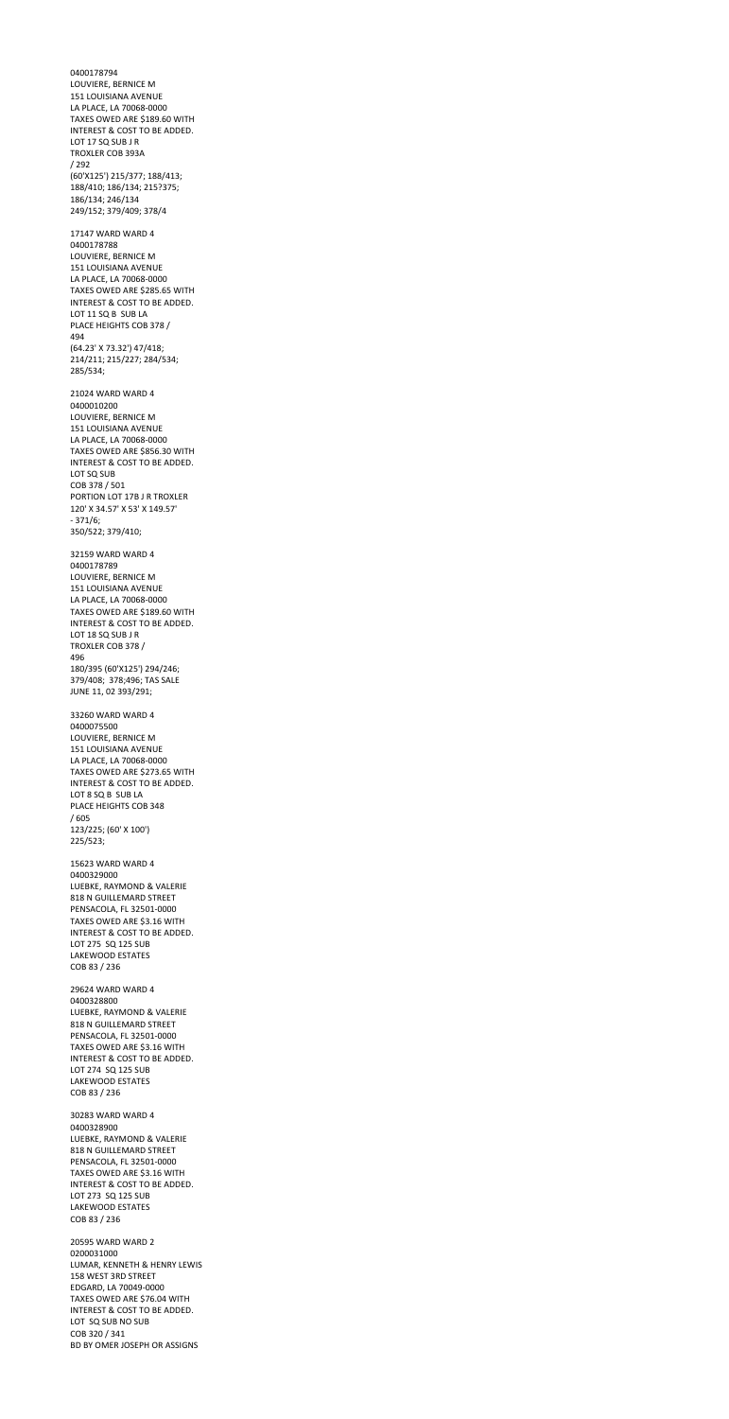0400178794 LOUVIERE, BERNICE M 151 LOUISIANA AVENUE LA PLACE, LA 70068-0000 TAXES OWED ARE \$189.60 WITH INTEREST & COST TO BE ADDED. LOT 17 SQ SUB J R TROXLER COB 393A / 292 (60'X125') 215/377; 188/413; 188/410; 186/134; 215?375; 186/134; 246/134 249/152; 379/409; 378/4 17147 WARD WARD 4 0400178788 LOUVIERE, BERNICE M 151 LOUISIANA AVENUE LA PLACE, LA 70068-0000 TAXES OWED ARE \$285.65 WITH INTEREST & COST TO BE ADDED. LOT 11 SQ B SUB LA PLACE HEIGHTS COB 378 / 494 (64.23' X 73.32') 47/418; 214/211; 215/227; 284/534; 285/534; 21024 WARD WARD 4 0400010200 LOUVIERE, BERNICE M 151 LOUISIANA AVENUE LA PLACE, LA 70068-0000 TAXES OWED ARE \$856.30 WITH INTEREST & COST TO BE ADDED. LOT SQ SUB COB 378 / 501 PORTION LOT 17B J R TROXLER 120' X 34.57' X 53' X 149.57' - 371/6; 350/522; 379/410; 32159 WARD WARD 4 0400178789 LOUVIERE, BERNICE M 151 LOUISIANA AVENUE LA PLACE, LA 70068-0000 TAXES OWED ARE \$189.60 WITH INTEREST & COST TO BE ADDED. LOT 18 SQ SUB J R TROXLER COB 378 / 496 180/395 (60'X125') 294/246; 379/408; 378;496; TAS SALE JUNE 11, 02 393/291; 33260 WARD WARD 4 0400075500 LOUVIERE, BERNICE M 151 LOUISIANA AVENUE LA PLACE, LA 70068-0000 TAXES OWED ARE \$273.65 WITH INTEREST & COST TO BE ADDED. LOT 8 SQ B SUB LA PLACE HEIGHTS COB 348 / 605

123/225; (60' X 100')

225/523;

15623 WARD WARD 4 0400329000 LUEBKE, RAYMOND & VALERIE 818 N GUILLEMARD STREET PENSACOLA, FL 32501-0000 TAXES OWED ARE \$3.16 WITH INTEREST & COST TO BE ADDED. LOT 275 SQ 125 SUB LAKEWOOD ESTATES COB 83 / 236 29624 WARD WARD 4 0400328800 LUEBKE, RAYMOND & VALERIE 818 N GUILLEMARD STREET PENSACOLA, FL 32501-0000 TAXES OWED ARE \$3.16 WITH INTEREST & COST TO BE ADDED. LOT 274 SQ 125 SUB LAKEWOOD ESTATES COB 83 / 236 30283 WARD WARD 4 0400328900 LUEBKE, RAYMOND & VALERIE 818 N GUILLEMARD STREET PENSACOLA, FL 32501-0000 TAXES OWED ARE \$3.16 WITH INTEREST & COST TO BE ADDED. LOT 273 SQ 125 SUB LAKEWOOD ESTATES COB 83 / 236 20595 WARD WARD 2 0200031000 LUMAR, KENNETH & HENRY LEWIS 158 WEST 3RD STREET EDGARD, LA 70049-0000 TAXES OWED ARE \$76.04 WITH INTEREST & COST TO BE ADDED. LOT SQ SUB NO SUB COB 320 / 341 BD BY OMER JOSEPH OR ASSIGNS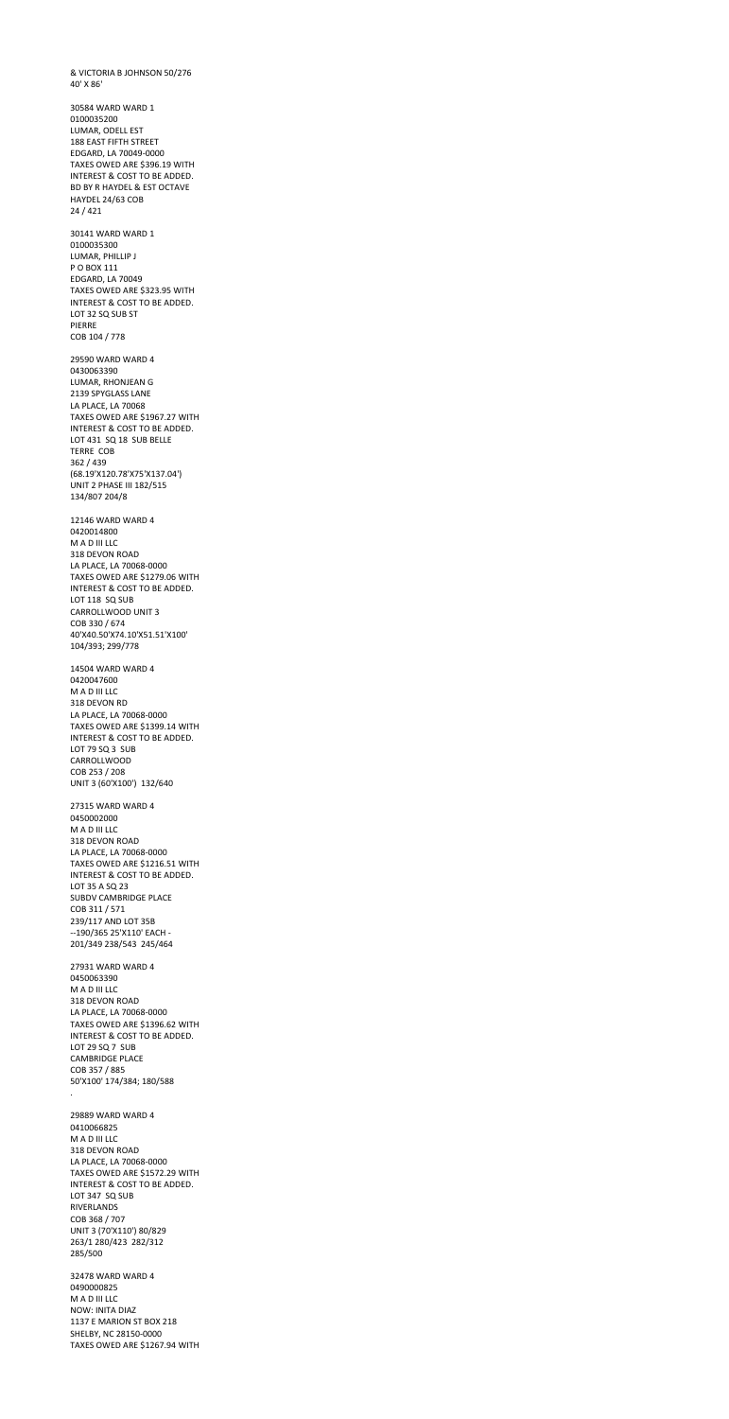& VICTORIA B JOHNSON 50/276 40' X 86' 30584 WARD WARD 1 0100035200 LUMAR, ODELL EST 188 EAST FIFTH STREET EDGARD, LA 70049-0000 TAXES OWED ARE \$396.19 WITH INTEREST & COST TO BE ADDED. BD BY R HAYDEL & EST OCTAVE HAYDEL 24/63 COB 24 / 421 30141 WARD WARD 1 0100035300 LUMAR, PHILLIP J P O BOX 111 EDGARD, LA 70049 TAXES OWED ARE \$323.95 WITH INTEREST & COST TO BE ADDED. LOT 32 SQ SUB ST PIERRE COB 104 / 778 29590 WARD WARD 4 0430063390 LUMAR, RHONJEAN G 2139 SPYGLASS LANE LA PLACE, LA 70068 TAXES OWED ARE \$1967.27 WITH INTEREST & COST TO BE ADDED. LOT 431 SQ 18 SUB BELLE TERRE COB 362 / 439 (68.19'X120.78'X75'X137.04') UNIT 2 PHASE III 182/515 134/807 204/8 12146 WARD WARD 4 0420014800 M A D III LLC 318 DEVON ROAD LA PLACE, LA 70068-0000 TAXES OWED ARE \$1279.06 WITH INTEREST & COST TO BE ADDED. LOT 118 SQ SUB CARROLLWOOD UNIT 3 COB 330 / 674 40'X40.50'X74.10'X51.51'X100' 104/393; 299/778 14504 WARD WARD 4 0420047600 M A D III LLC 318 DEVON RD LA PLACE, LA 70068-0000 TAXES OWED ARE \$1399.14 WITH INTEREST & COST TO BE ADDED. LOT 79 SQ 3 SUB CARROLLWOOD COB 253 / 208 UNIT 3 (60'X100') 132/640

27315 WARD WARD 4 0450002000 M A D III LLC 318 DEVON ROAD

LA PLACE, LA 70068-0000 TAXES OWED ARE \$1216.51 WITH INTEREST & COST TO BE ADDED. LOT 35 A SQ 23 SUBDV CAMBRIDGE PLACE COB 311 / 571 239/117 AND LOT 35B --190/365 25'X110' EACH - 201/349 238/543 245/464

27931 WARD WARD 4 0450063390 M A D III LLC 318 DEVON ROAD LA PLACE, LA 70068-0000 TAXES OWED ARE \$1396.62 WITH INTEREST & COST TO BE ADDED. LOT 29 SQ 7 SUB CAMBRIDGE PLACE COB 357 / 885 50'X100' 174/384; 180/588

.

29889 WARD WARD 4 0410066825 M A D III LLC 318 DEVON ROAD LA PLACE, LA 70068-0000 TAXES OWED ARE \$1572.29 WITH INTEREST & COST TO BE ADDED. LOT 347 SQ SUB RIVERLANDS COB 368 / 707 UNIT 3 (70'X110') 80/829 263/1 280/423 282/312 285/500

32478 WARD WARD 4 0490000825 M A D III LLC NOW: INITA DIAZ 1137 E MARION ST BOX 218 SHELBY, NC 28150-0000 TAXES OWED ARE \$1267.94 WITH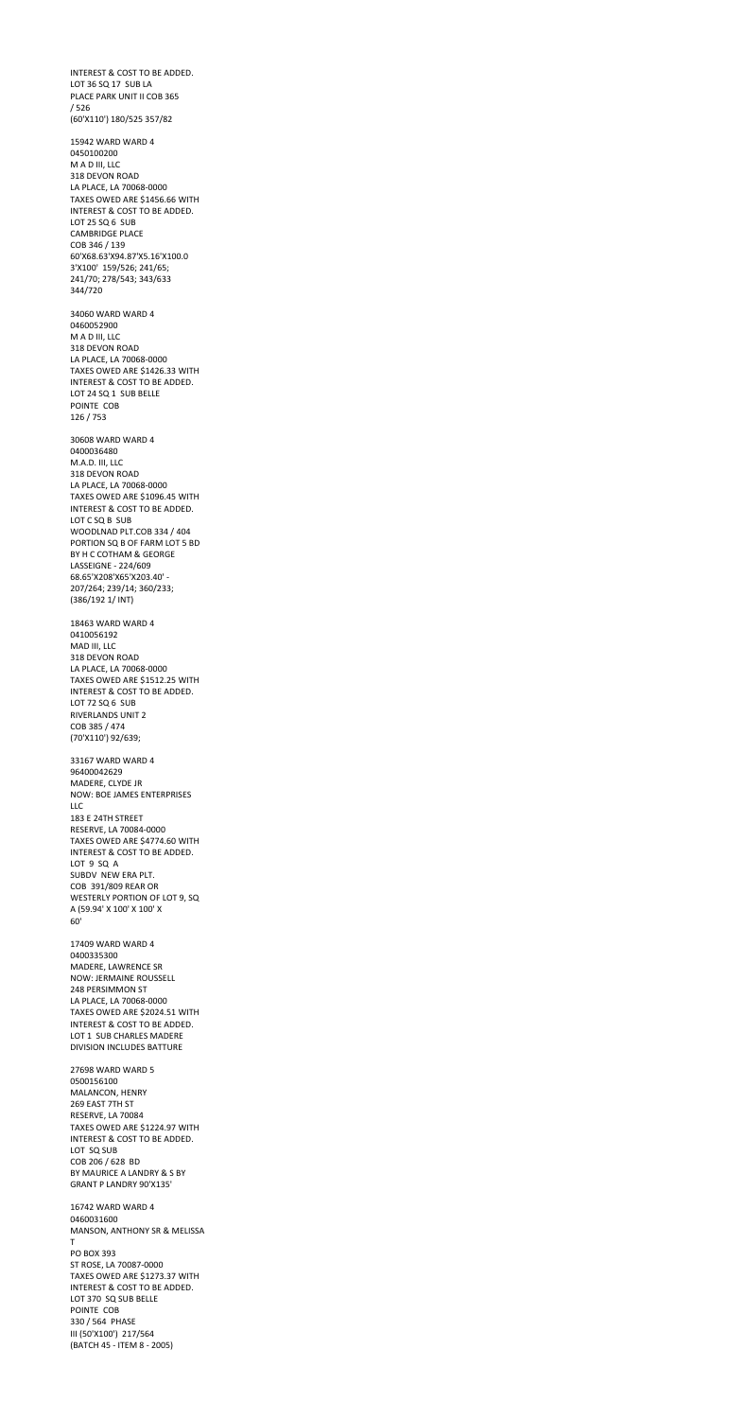INTEREST & COST TO BE ADDED. LOT 36 SQ 17 SUB LA PLACE PARK UNIT II COB 365 / 526 (60'X110') 180/525 357/82

15942 WARD WARD 4 0450100200 M A D III, LLC 318 DEVON ROAD LA PLACE, LA 70068-0000 TAXES OWED ARE \$1456.66 WITH INTEREST & COST TO BE ADDED. LOT 25 SQ 6 SUB CAMBRIDGE PLACE COB 346 / 139 60'X68.63'X94.87'X5.16'X100.0 3'X100' 159/526; 241/65; 241/70; 278/543; 343/633 344/720

34060 WARD WARD 4 0460052900 M A D III, LLC 318 DEVON ROAD LA PLACE, LA 70068-0000 TAXES OWED ARE \$1426.33 WITH INTEREST & COST TO BE ADDED. LOT 24 SQ 1 SUB BELLE POINTE COB 126 / 753

30608 WARD WARD 4 0400036480 M.A.D. III, LLC 318 DEVON ROAD LA PLACE, LA 70068-0000 TAXES OWED ARE \$1096.45 WITH INTEREST & COST TO BE ADDED. LOT C SQ B SUB WOODLNAD PLT.COB 334 / 404 PORTION SQ B OF FARM LOT 5 BD BY H C COTHAM & GEORGE LASSEIGNE - 224/609 68.65'X208'X65'X203.40' - 207/264; 239/14; 360/233; (386/192 1/ INT)

18463 WARD WARD 4 0410056192 MAD III, LLC 318 DEVON ROAD LA PLACE, LA 70068-0000 TAXES OWED ARE \$1512.25 WITH INTEREST & COST TO BE ADDED. LOT 72 SQ 6 SUB RIVERLANDS UNIT 2 COB 385 / 474 (70'X110') 92/639;

33167 WARD WARD 4 96400042629 MADERE, CLYDE JR NOW: BOE JAMES ENTERPRISES LLC 183 E 24TH STREET RESERVE, LA 70084-0000 TAXES OWED ARE \$4774.60 WITH INTEREST & COST TO BE ADDED. LOT 9 SQ A SUBDV NEW ERA PLT. COB 391/809 REAR OR WESTERLY PORTION OF LOT 9, SQ A (59.94' X 100' X 100' X 60'

17409 WARD WARD 4 0400335300 MADERE, LAWRENCE SR NOW: JERMAINE ROUSSELL 248 PERSIMMON ST LA PLACE, LA 70068-0000 TAXES OWED ARE \$2024.51 WITH INTEREST & COST TO BE ADDED. LOT 1 SUB CHARLES MADERE DIVISION INCLUDES BATTURE

27698 WARD WARD 5 0500156100 MALANCON, HENRY 269 EAST 7TH ST RESERVE, LA 70084 TAXES OWED ARE \$1224.97 WITH INTEREST & COST TO BE ADDED. LOT SQ SUB COB 206 / 628 BD BY MAURICE A LANDRY & S BY GRANT P LANDRY 90'X135'

16742 WARD WARD 4 0460031600 MANSON, ANTHONY SR & MELISSA T PO BOX 393 ST ROSE, LA 70087-0000 TAXES OWED ARE \$1273.37 WITH INTEREST & COST TO BE ADDED. LOT 370 SQ SUB BELLE POINTE COB 330 / 564 PHASE III (50'X100') 217/564 (BATCH 45 - ITEM 8 - 2005)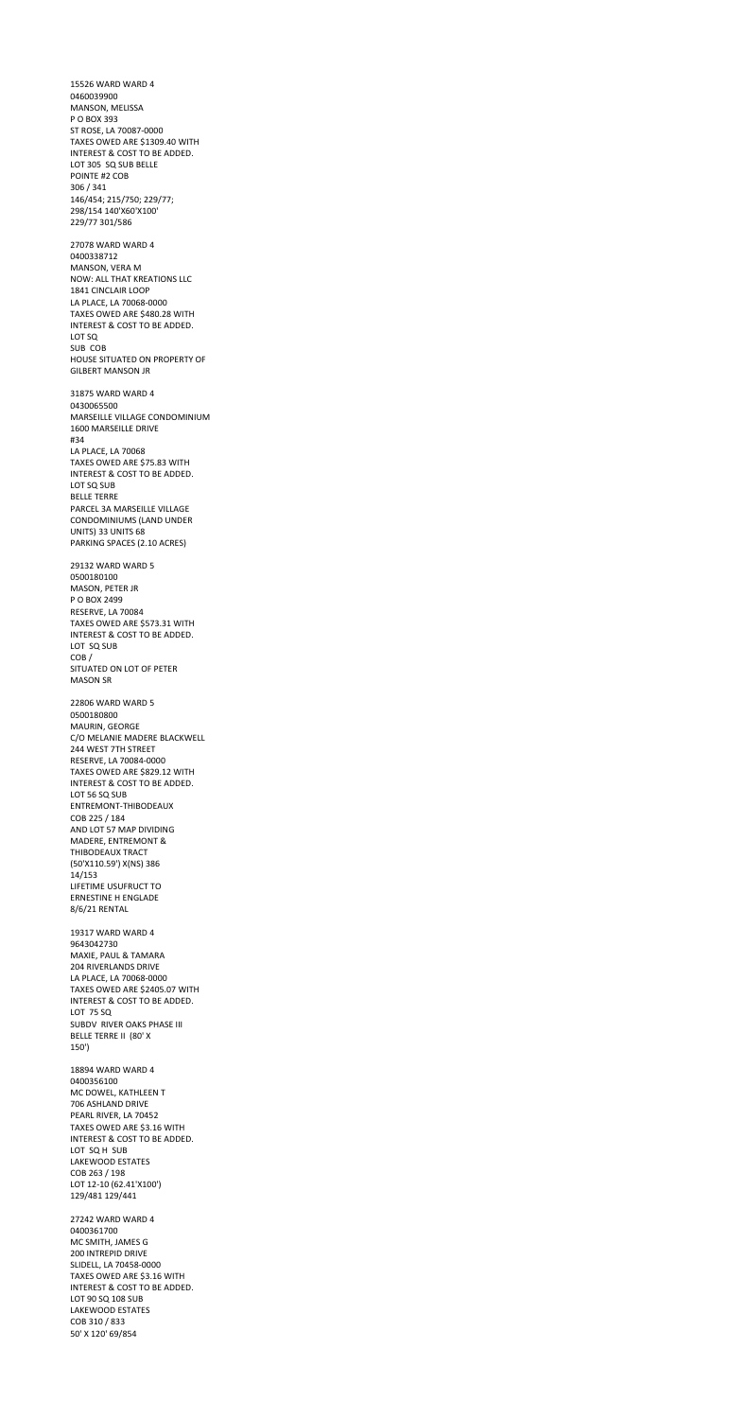15526 WARD WARD 4 0460039900 MANSON, MELISSA P O BOX 393 ST ROSE, LA 70087-0000 TAXES OWED ARE \$1309.40 WITH INTEREST & COST TO BE ADDED. LOT 305 SQ SUB BELLE POINTE #2 COB 306 / 341 146/454; 215/750; 229/77; 298/154 140'X60'X100' 229/77 301/586 27078 WARD WARD 4 0400338712 MANSON, VERA M NOW: ALL THAT KREATIONS LLC 1841 CINCLAIR LOOP LA PLACE, LA 70068-0000 TAXES OWED ARE \$480.28 WITH INTEREST & COST TO BE ADDED. LOT SQ SUB COB HOUSE SITUATED ON PROPERTY OF GILBERT MANSON JR 31875 WARD WARD 4 0430065500 MARSEILLE VILLAGE CONDOMINIUM 1600 MARSEILLE DRIVE #34 LA PLACE, LA 70068 TAXES OWED ARE \$75.83 WITH INTEREST & COST TO BE ADDED. LOT SQ SUB BELLE TERRE PARCEL 3A MARSEILLE VILLAGE CONDOMINIUMS (LAND UNDER UNITS) 33 UNITS 68 PARKING SPACES (2.10 ACRES) 29132 WARD WARD 5 0500180100 MASON, PETER JR P O BOX 2499 RESERVE, LA 70084 TAXES OWED ARE \$573.31 WITH INTEREST & COST TO BE ADDED. LOT SQ SUB COB / SITUATED ON LOT OF PETER MASON SR 22806 WARD WARD 5 0500180800 MAURIN, GEORGE C/O MELANIE MADERE BLACKWELL 244 WEST 7TH STREET RESERVE, LA 70084-0000 TAXES OWED ARE \$829.12 WITH INTEREST & COST TO BE ADDED. LOT 56 SQ SUB ENTREMONT-THIBODEAUX COB 225 / 184

AND LOT 57 MAP DIVIDING MADERE, ENTREMONT &

THIBODEAUX TRACT (50'X110.59') X(NS) 386 14/153 LIFETIME USUFRUCT TO ERNESTINE H ENGLADE 8/6/21 RENTAL

19317 WARD WARD 4 9643042730 MAXIE, PAUL & TAMARA 204 RIVERLANDS DRIVE LA PLACE, LA 70068-0000 TAXES OWED ARE \$2405.07 WITH INTEREST & COST TO BE ADDED. LOT 75 SQ SUBDV RIVER OAKS PHASE III BELLE TERRE II (80' X 150')

18894 WARD WARD 4 0400356100 MC DOWEL, KATHLEEN T 706 ASHLAND DRIVE PEARL RIVER, LA 70452 TAXES OWED ARE \$3.16 WITH INTEREST & COST TO BE ADDED. LOT SQ H SUB LAKEWOOD ESTATES COB 263 / 198 LOT 12-10 (62.41'X100') 129/481 129/441

27242 WARD WARD 4 0400361700 MC SMITH, JAMES G 200 INTREPID DRIVE SLIDELL, LA 70458-0000 TAXES OWED ARE \$3.16 WITH INTEREST & COST TO BE ADDED. LOT 90 SQ 108 SUB LAKEWOOD ESTATES COB 310 / 833 50' X 120' 69/854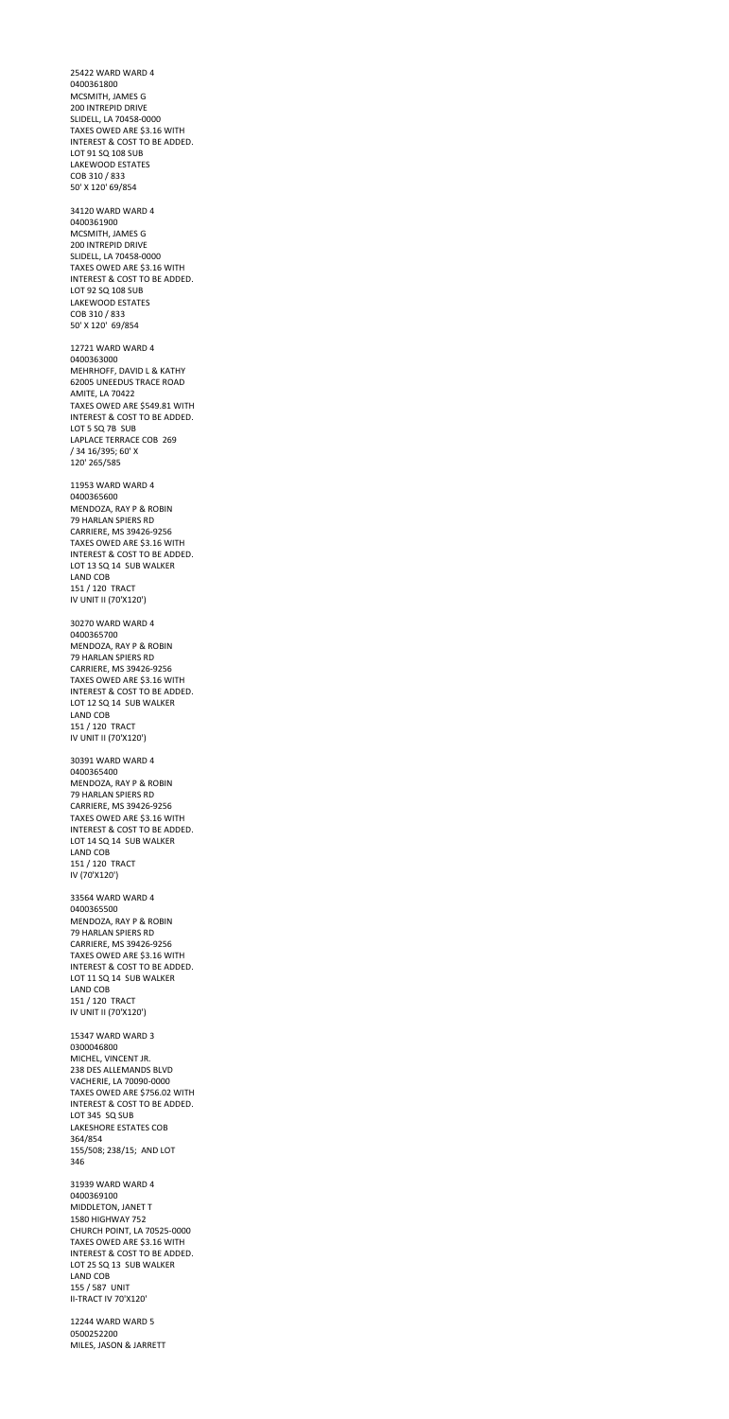25422 WARD WARD 4 0400361800 MCSMITH, JAMES G 200 INTREPID DRIVE SLIDELL, LA 70458-0000 TAXES OWED ARE \$3.16 WITH INTEREST & COST TO BE ADDED. LOT 91 SQ 108 SUB LAKEWOOD ESTATES COB 310 / 833 50' X 120' 69/854 34120 WARD WARD 4 0400361900 MCSMITH, JAMES G 200 INTREPID DRIVE SLIDELL, LA 70458-0000 TAXES OWED ARE \$3.16 WITH INTEREST & COST TO BE ADDED. LOT 92 SQ 108 SUB LAKEWOOD ESTATES COB 310 / 833 50' X 120' 69/854 12721 WARD WARD 4 0400363000 MEHRHOFF, DAVID L & KATHY 62005 UNEEDUS TRACE ROAD AMITE, LA 70422 TAXES OWED ARE \$549.81 WITH INTEREST & COST TO BE ADDED. LOT 5 SQ 7B SUB LAPLACE TERRACE COB 269 / 34 16/395; 60' X 120' 265/585 11953 WARD WARD 4 0400365600 MENDOZA, RAY P & ROBIN 79 HARLAN SPIERS RD CARRIERE, MS 39426-9256 TAXES OWED ARE \$3.16 WITH INTEREST & COST TO BE ADDED. LOT 13 SQ 14 SUB WALKER LAND COB 151 / 120 TRACT IV UNIT II (70'X120') 30270 WARD WARD 4 0400365700 MENDOZA, RAY P & ROBIN 79 HARLAN SPIERS RD CARRIERE, MS 39426-9256 TAXES OWED ARE \$3.16 WITH INTEREST & COST TO BE ADDED. LOT 12 SQ 14 SUB WALKER LAND COB 151 / 120 TRACT IV UNIT II (70'X120') 30391 WARD WARD 4 0400365400 MENDOZA, RAY P & ROBIN 79 HARLAN SPIERS RD CARRIERE, MS 39426-9256 TAXES OWED ARE \$3.16 WITH

INTEREST & COST TO BE ADDED. LOT 14 SQ 14 SUB WALKER

LAND COB 151 / 120 TRACT IV (70'X120')

33564 WARD WARD 4 0400365500 MENDOZA, RAY P & ROBIN 79 HARLAN SPIERS RD CARRIERE, MS 39426-9256 TAXES OWED ARE \$3.16 WITH INTEREST & COST TO BE ADDED. LOT 11 SQ 14 SUB WALKER LAND COB 151 / 120 TRACT IV UNIT II (70'X120')

15347 WARD WARD 3 0300046800 MICHEL, VINCENT JR. 238 DES ALLEMANDS BLVD VACHERIE, LA 70090-0000 TAXES OWED ARE \$756.02 WITH INTEREST & COST TO BE ADDED. LOT 345 SQ SUB LAKESHORE ESTATES COB 364/854 155/508; 238/15; AND LOT 346

31939 WARD WARD 4 0400369100 MIDDLETON, JANET T 1580 HIGHWAY 752 CHURCH POINT, LA 70525-0000 TAXES OWED ARE \$3.16 WITH INTEREST & COST TO BE ADDED. LOT 25 SQ 13 SUB WALKER LAND COB 155 / 587 UNIT II-TRACT IV 70'X120'

12244 WARD WARD 5 0500252200 MILES, JASON & JARRETT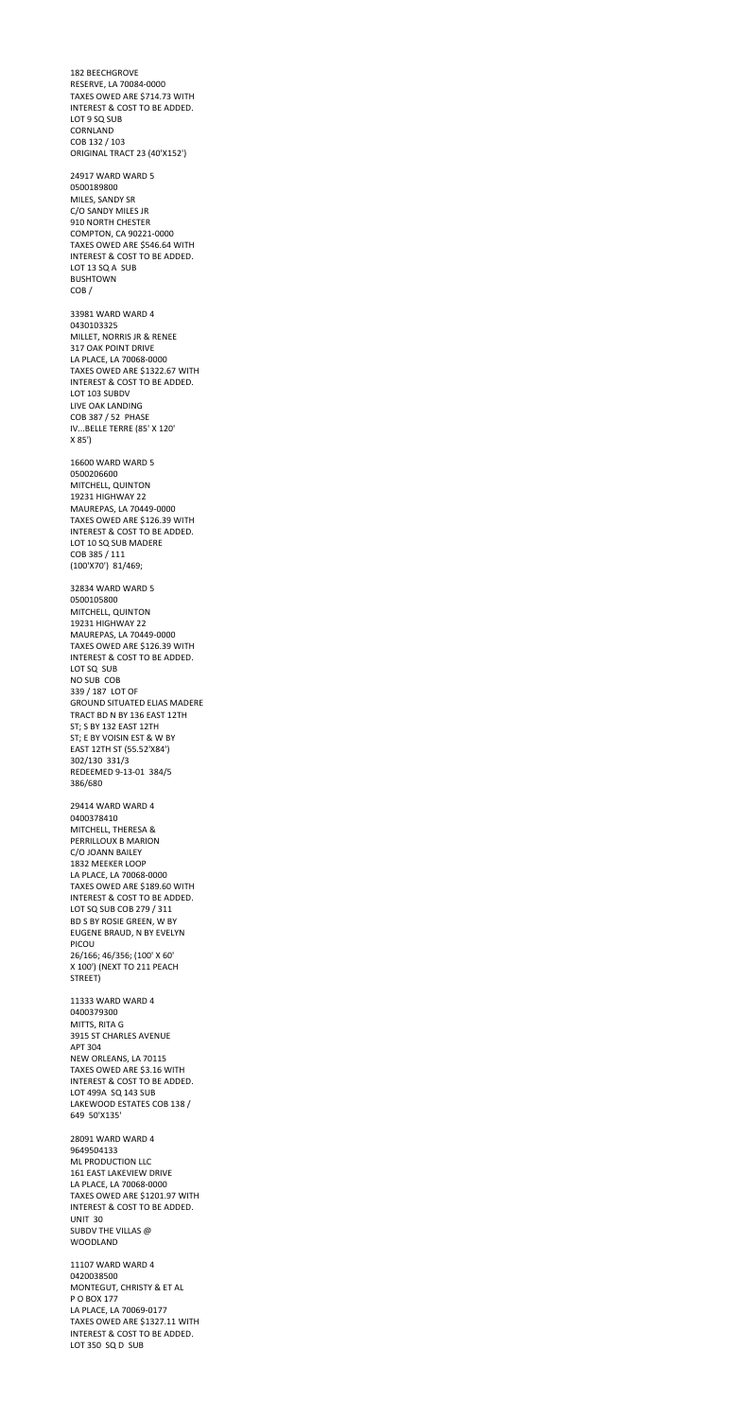182 BEECHGROVE RESERVE, LA 70084-0000 TAXES OWED ARE \$714.73 WITH INTEREST & COST TO BE ADDED. LOT 9 SQ SUB CORNLAND COB 132 / 103 ORIGINAL TRACT 23 (40'X152') 24917 WARD WARD 5 0500189800 MILES, SANDY SR C/O SANDY MILES JR 910 NORTH CHESTER COMPTON, CA 90221-0000 TAXES OWED ARE \$546.64 WITH INTEREST & COST TO BE ADDED. LOT 13 SQ A SUB BUSHTOWN COB / 33981 WARD WARD 4 0430103325 MILLET, NORRIS JR & RENEE 317 OAK POINT DRIVE LA PLACE, LA 70068-0000 TAXES OWED ARE \$1322.67 WITH INTEREST & COST TO BE ADDED. LOT 103 SUBDV LIVE OAK LANDING COB 387 / 52 PHASE IV...BELLE TERRE (85' X 120' X 85') 16600 WARD WARD 5 0500206600 MITCHELL, QUINTON 19231 HIGHWAY 22 MAUREPAS, LA 70449-0000 TAXES OWED ARE \$126.39 WITH INTEREST & COST TO BE ADDED. LOT 10 SQ SUB MADERE COB 385 / 111 (100'X70') 81/469; 32834 WARD WARD 5 0500105800 MITCHELL, QUINTON 19231 HIGHWAY 22 MAUREPAS, LA 70449-0000 TAXES OWED ARE \$126.39 WITH INTEREST & COST TO BE ADDED. LOT SQ SUB NO SUB COB 339 / 187 LOT OF GROUND SITUATED ELIAS MADERE TRACT BD N BY 136 EAST 12TH ST; S BY 132 EAST 12TH ST; E BY VOISIN EST & W BY EAST 12TH ST (55.52'X84') 302/130 331/3 REDEEMED 9-13-01 384/5 386/680 29414 WARD WARD 4 0400378410 MITCHELL, THERESA & PERRILLOUX B MARION C/O JOANN BAILEY 1832 MEEKER LOOP LA PLACE, LA 70068-0000 TAXES OWED ARE \$189.60 WITH INTEREST & COST TO BE ADDED. LOT SQ SUB COB 279 / 311 BD S BY ROSIE GREEN, W BY EUGENE BRAUD, N BY EVELYN PICOU 26/166; 46/356; (100' X 60' X 100') (NEXT TO 211 PEACH STREET) 11333 WARD WARD 4 0400379300 MITTS, RITA G 3915 ST CHARLES AVENUE APT 304 NEW ORLEANS, LA 70115 TAXES OWED ARE \$3.16 WITH INTEREST & COST TO BE ADDED. LOT 499A SQ 143 SUB LAKEWOOD ESTATES COB 138 / 649 50'X135' 28091 WARD WARD 4 9649504133 ML PRODUCTION LLC 161 EAST LAKEVIEW DRIVE LA PLACE, LA 70068-0000 TAXES OWED ARE \$1201.97 WITH INTEREST & COST TO BE ADDED. UNIT 30 SUBDV THE VILLAS @

WOODLAND 11107 WARD WARD 4 0420038500 MONTEGUT, CHRISTY & ET AL P O BOX 177 LA PLACE, LA 70069-0177

TAXES OWED ARE \$1327.11 WITH INTEREST & COST TO BE ADDED. LOT 350 SQ D SUB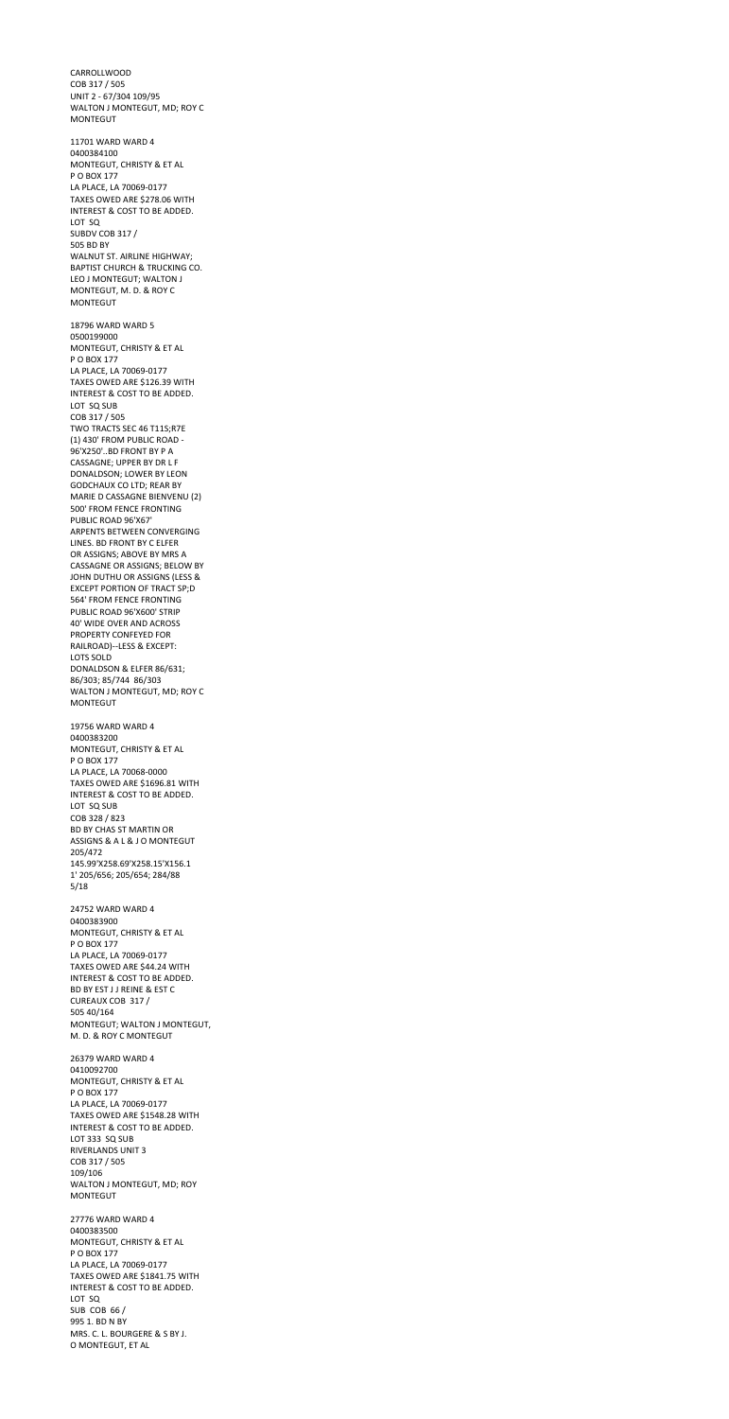CARROLLWOOD COB 317 / 505 UNIT 2 - 67/304 109/95 WALTON J MONTEGUT, MD; ROY C MONTEGUT 11701 WARD WARD 4 0400384100 MONTEGUT, CHRISTY & ET AL P O BOX 177 LA PLACE, LA 70069-0177 TAXES OWED ARE \$278.06 WITH INTEREST & COST TO BE ADDED. LOT SQ SUBDV COB 317 / 505 BD BY WALNUT ST. AIRLINE HIGHWAY; BAPTIST CHURCH & TRUCKING CO. LEO J MONTEGUT; WALTON J MONTEGUT, M. D. & ROY C MONTEGUT 18796 WARD WARD 5 0500199000 MONTEGUT, CHRISTY & ET AL P O BOX 177 LA PLACE, LA 70069-0177 TAXES OWED ARE \$126.39 WITH INTEREST & COST TO BE ADDED. LOT SQ SUB COB 317 / 505 TWO TRACTS SEC 46 T11S;R7E (1) 430' FROM PUBLIC ROAD - 96'X250'..BD FRONT BY P A CASSAGNE; UPPER BY DR L F DONALDSON; LOWER BY LEON GODCHAUX CO LTD; REAR BY MARIE D CASSAGNE BIENVENU (2) 500' FROM FENCE FRONTING PUBLIC ROAD 96'X67' ARPENTS BETWEEN CONVERGING LINES. BD FRONT BY C ELFER OR ASSIGNS; ABOVE BY MRS A CASSAGNE OR ASSIGNS; BELOW BY JOHN DUTHU OR ASSIGNS (LESS & EXCEPT PORTION OF TRACT SP;D 564' FROM FENCE FRONTING PUBLIC ROAD 96'X600' STRIP 40' WIDE OVER AND ACROSS PROPERTY CONFEYED FOR RAILROAD)--LESS & EXCEPT: LOTS SOLD DONALDSON & ELFER 86/631; 86/303; 85/744 86/303 WALTON J MONTEGUT, MD; ROY C MONTEGUT 19756 WARD WARD 4 0400383200 MONTEGUT, CHRISTY & ET AL P O BOX 177 LA PLACE, LA 70068-0000 TAXES OWED ARE \$1696.81 WITH INTEREST & COST TO BE ADDED. LOT SQ SUB COB 328 / 823

BD BY CHAS ST MARTIN OR ASSIGNS & A L & J O MONTEGUT

205/472 145.99'X258.69'X258.15'X156.1 1' 205/656; 205/654; 284/88 5/18

24752 WARD WARD 4 0400383900 MONTEGUT, CHRISTY & ET AL P O BOX 177 LA PLACE, LA 70069-0177 TAXES OWED ARE \$44.24 WITH INTEREST & COST TO BE ADDED. BD BY EST J J REINE & EST C CUREAUX COB 317 / 505 40/164 MONTEGUT; WALTON J MONTEGUT, M. D. & ROY C MONTEGUT

26379 WARD WARD 4 0410092700 MONTEGUT, CHRISTY & ET AL P O BOX 177 LA PLACE, LA 70069-0177 TAXES OWED ARE \$1548.28 WITH INTEREST & COST TO BE ADDED. LOT 333 SQ SUB RIVERLANDS UNIT 3 COB 317 / 505 109/106 WALTON J MONTEGUT, MD; ROY MONTEGUT

27776 WARD WARD 4 0400383500 MONTEGUT, CHRISTY & ET AL P O BOX 177 LA PLACE, LA 70069-0177 TAXES OWED ARE \$1841.75 WITH INTEREST & COST TO BE ADDED. LOT SQ SUB COB 66 / 995 1. BD N BY MRS. C. L. BOURGERE & S BY J. O MONTEGUT, ET AL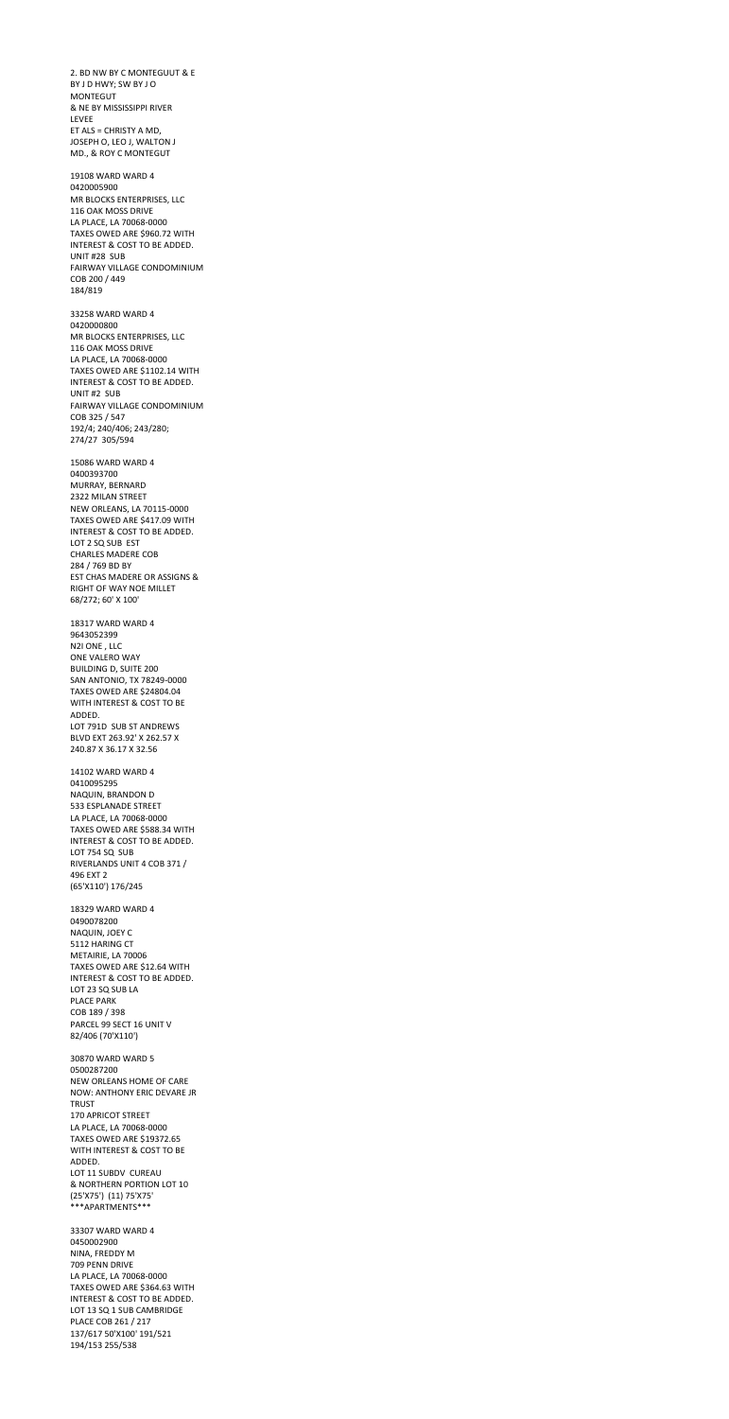2. BD NW BY C MONTEGUUT & E BY J D HWY; SW BY J O MONTEGUT & NE BY MISSISSIPPI RIVER LEVEE ET ALS = CHRISTY A MD, JOSEPH O, LEO J, WALTON J MD., & ROY C MONTEGUT 19108 WARD WARD 4 0420005900 MR BLOCKS ENTERPRISES, LLC 116 OAK MOSS DRIVE LA PLACE, LA 70068-0000 TAXES OWED ARE \$960.72 WITH INTEREST & COST TO BE ADDED. UNIT #28 SUB FAIRWAY VILLAGE CONDOMINIUM COB 200 / 449 184/819 33258 WARD WARD 4 0420000800 MR BLOCKS ENTERPRISES, LLC 116 OAK MOSS DRIVE LA PLACE, LA 70068-0000 TAXES OWED ARE \$1102.14 WITH INTEREST & COST TO BE ADDED. UNIT #2 SUB FAIRWAY VILLAGE CONDOMINIUM COB 325 / 547 192/4; 240/406; 243/280; 274/27 305/594 15086 WARD WARD 4 0400393700 MURRAY, BERNARD 2322 MILAN STREET NEW ORLEANS, LA 70115-0000 TAXES OWED ARE \$417.09 WITH INTEREST & COST TO BE ADDED. LOT 2 SQ SUB EST CHARLES MADERE COB 284 / 769 BD BY EST CHAS MADERE OR ASSIGNS & RIGHT OF WAY NOE MILLET 68/272; 60' X 100' 18317 WARD WARD 4 9643052399 N2I ONE , LLC ONE VALERO WAY BUILDING D, SUITE 200 SAN ANTONIO, TX 78249-0000 TAXES OWED ARE \$24804.04 WITH INTEREST & COST TO BE ADDED. LOT 791D SUB ST ANDREWS BLVD EXT 263.92' X 262.57 X 240.87 X 36.17 X 32.56 14102 WARD WARD 4 0410095295 NAQUIN, BRANDON D 533 ESPLANADE STREET

LA PLACE, LA 70068-0000 TAXES OWED ARE \$588.34 WITH INTEREST & COST TO BE ADDED.

LOT 754 SQ SUB RIVERLANDS UNIT 4 COB 371 / 496 EXT 2 (65'X110') 176/245

18329 WARD WARD 4 0490078200 NAQUIN, JOEY C 5112 HARING CT METAIRIE, LA 70006 TAXES OWED ARE \$12.64 WITH INTEREST & COST TO BE ADDED. LOT 23 SQ SUB LA PLACE PARK COB 189 / 398 PARCEL 99 SECT 16 UNIT V 82/406 (70'X110') 30870 WARD WARD 5 0500287200 NEW ORLEANS HOME OF CARE NOW: ANTHONY ERIC DEVARE JR TRUST 170 APRICOT STREET LA PLACE, LA 70068-0000 TAXES OWED ARE \$19372.65

WITH INTEREST & COST TO BE ADDED. LOT 11 SUBDV CUREAU & NORTHERN PORTION LOT 10 (25'X75') (11) 75'X75' \*\*\*APARTMENTS\*\*\*

33307 WARD WARD 4 0450002900 NINA, FREDDY M 709 PENN DRIVE LA PLACE, LA 70068-0000 TAXES OWED ARE \$364.63 WITH INTEREST & COST TO BE ADDED. LOT 13 SQ 1 SUB CAMBRIDGE PLACE COB 261 / 217 137/617 50'X100' 191/521 194/153 255/538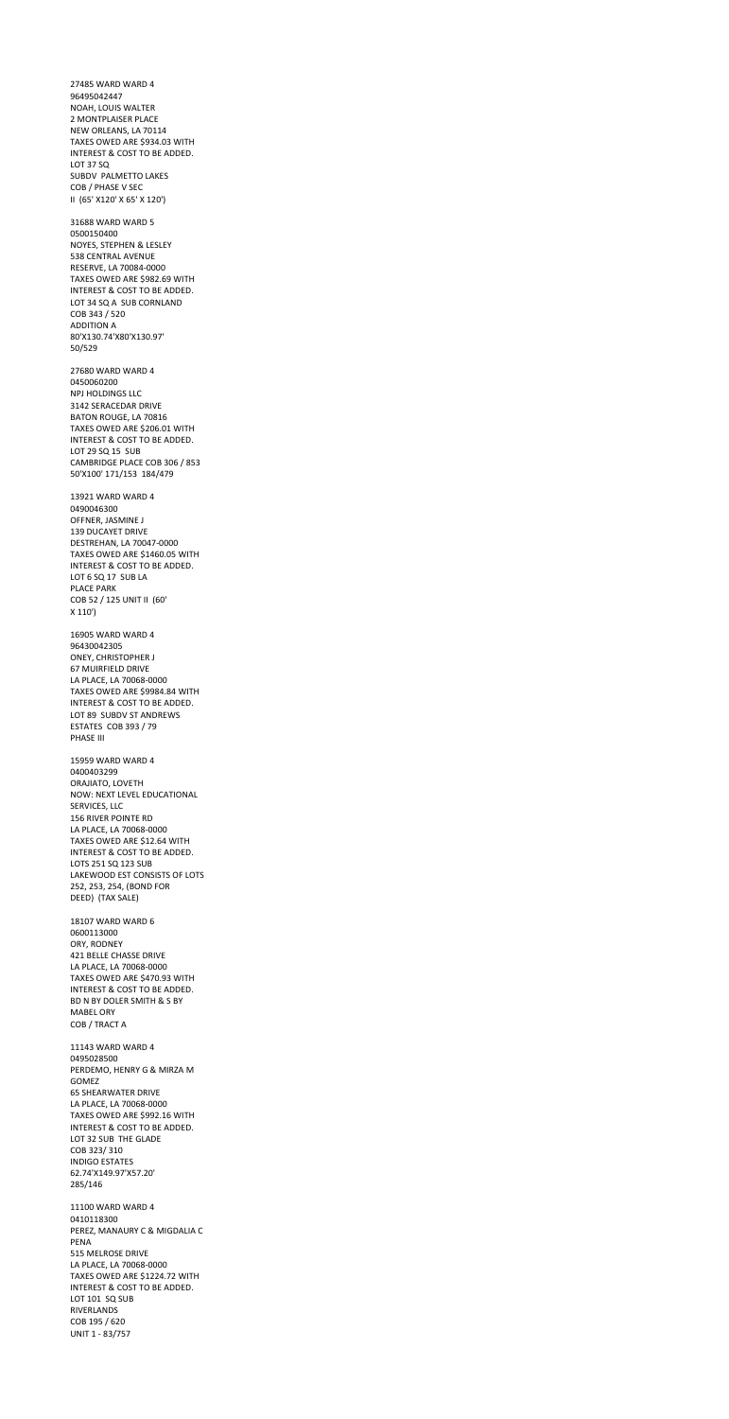27485 WARD WARD 4 96495042447 NOAH, LOUIS WALTER 2 MONTPLAISER PLACE NEW ORLEANS, LA 70114 TAXES OWED ARE \$934.03 WITH INTEREST & COST TO BE ADDED. LOT 37 SQ SUBDV PALMETTO LAKES COB / PHASE V SEC II (65' X120' X 65' X 120') 31688 WARD WARD 5 0500150400 NOYES, STEPHEN & LESLEY 538 CENTRAL AVENUE RESERVE, LA 70084-0000 TAXES OWED ARE \$982.69 WITH INTEREST & COST TO BE ADDED. LOT 34 SQ A SUB CORNLAND COB 343 / 520 ADDITION A 80'X130.74'X80'X130.97' 50/529 27680 WARD WARD 4 0450060200 NPJ HOLDINGS LLC 3142 SERACEDAR DRIVE BATON ROUGE, LA 70816 TAXES OWED ARE \$206.01 WITH INTEREST & COST TO BE ADDED. LOT 29 SQ 15 SUB CAMBRIDGE PLACE COB 306 / 853 50'X100' 171/153 184/479 13921 WARD WARD 4 0490046300 OFFNER, JASMINE J 139 DUCAYET DRIVE DESTREHAN, LA 70047-0000 TAXES OWED ARE \$1460.05 WITH INTEREST & COST TO BE ADDED. LOT 6 SQ 17 SUB LA PLACE PARK COB 52 / 125 UNIT II (60' X 110') 16905 WARD WARD 4 96430042305 ONEY, CHRISTOPHER J 67 MUIRFIELD DRIVE LA PLACE, LA 70068-0000 TAXES OWED ARE \$9984.84 WITH INTEREST & COST TO BE ADDED. LOT 89 SUBDV ST ANDREWS ESTATES COB 393 / 79 PHASE III 15959 WARD WARD 4 0400403299 ORAJIATO, LOVETH NOW: NEXT LEVEL EDUCATIONAL SERVICES, LLC 156 RIVER POINTE RD

LA PLACE, LA 70068-0000 TAXES OWED ARE \$12.64 WITH

INTEREST & COST TO BE ADDED. LOTS 251 SQ 123 SUB LAKEWOOD EST CONSISTS OF LOTS 252, 253, 254, (BOND FOR DEED) (TAX SALE)

18107 WARD WARD 6 0600113000 ORY, RODNEY 421 BELLE CHASSE DRIVE LA PLACE, LA 70068-0000 TAXES OWED ARE \$470.93 WITH INTEREST & COST TO BE ADDED. BD N BY DOLER SMITH & S BY MABEL ORY COB / TRACT A

11143 WARD WARD 4 0495028500 PERDEMO, HENRY G & MIRZA M GOMEZ 65 SHEARWATER DRIVE LA PLACE, LA 70068-0000 TAXES OWED ARE \$992.16 WITH INTEREST & COST TO BE ADDED. LOT 32 SUB THE GLADE COB 323/ 310 INDIGO ESTATES 62.74'X149.97'X57.20' 285/146

11100 WARD WARD 4 0410118300 PEREZ, MANAURY C & MIGDALIA C PENA 515 MELROSE DRIVE LA PLACE, LA 70068-0000 TAXES OWED ARE \$1224.72 WITH INTEREST & COST TO BE ADDED. LOT 101 SQ SUB RIVERLANDS COB 195 / 620 UNIT 1 - 83/757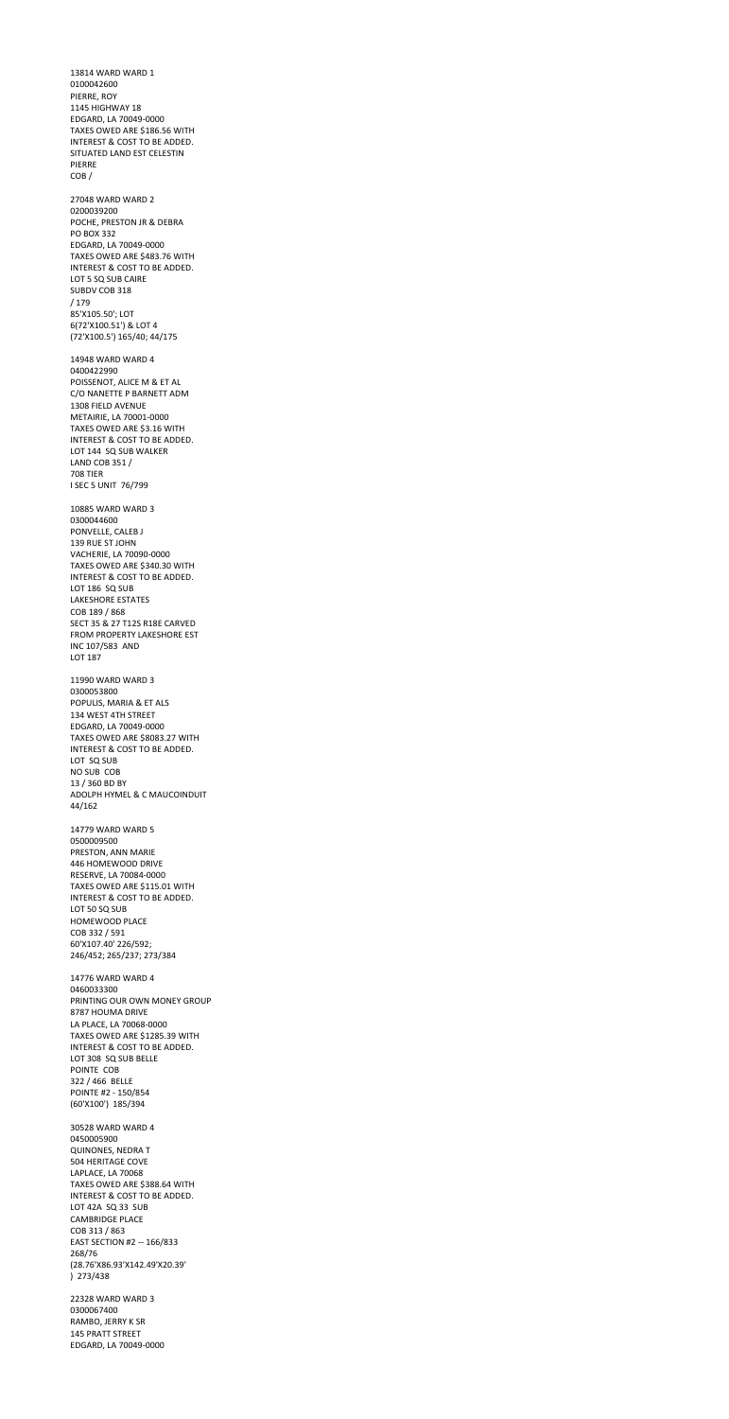13814 WARD WARD 1 0100042600 PIERRE, ROY 1145 HIGHWAY 18 EDGARD, LA 70049-0000 TAXES OWED ARE \$186.56 WITH INTEREST & COST TO BE ADDED. SITUATED LAND EST CELESTIN PIERRE COB / 27048 WARD WARD 2 0200039200 POCHE, PRESTON JR & DEBRA PO BOX 332 EDGARD, LA 70049-0000 TAXES OWED ARE \$483.76 WITH INTEREST & COST TO BE ADDED. LOT 5 SQ SUB CAIRE SUBDV COB 318 / 179 85'X105.50'; LOT 6(72'X100.51') & LOT 4 (72'X100.5') 165/40; 44/175 14948 WARD WARD 4 0400422990 POISSENOT, ALICE M & ET AL C/O NANETTE P BARNETT ADM 1308 FIELD AVENUE METAIRIE, LA 70001-0000 TAXES OWED ARE \$3.16 WITH INTEREST & COST TO BE ADDED. LOT 144 SQ SUB WALKER LAND COB 351 / 708 TIER I SEC 5 UNIT 76/799 10885 WARD WARD 3 0300044600 PONVELLE, CALEB J 139 RUE ST JOHN VACHERIE, LA 70090-0000 TAXES OWED ARE \$340.30 WITH INTEREST & COST TO BE ADDED. LOT 186 SQ SUB LAKESHORE ESTATES COB 189 / 868 SECT 35 & 27 T12S R18E CARVED FROM PROPERTY LAKESHORE EST INC 107/583 AND LOT 187 11990 WARD WARD 3 0300053800 POPULIS, MARIA & ET ALS 134 WEST 4TH STREET EDGARD, LA 70049-0000 TAXES OWED ARE \$8083.27 WITH INTEREST & COST TO BE ADDED. LOT SQ SUB NO SUB COB 13 / 360 BD BY ADOLPH HYMEL & C MAUCOINDUIT 44/162

14779 WARD WARD 5 0500009500

PRESTON, ANN MARIE 446 HOMEWOOD DRIVE RESERVE, LA 70084-0000 TAXES OWED ARE \$115.01 WITH INTEREST & COST TO BE ADDED. LOT 50 SQ SUB HOMEWOOD PLACE COB 332 / 591 60'X107.40' 226/592; 246/452; 265/237; 273/384 14776 WARD WARD 4 0460033300 PRINTING OUR OWN MONEY GROUP 8787 HOUMA DRIVE LA PLACE, LA 70068-0000 TAXES OWED ARE \$1285.39 WITH INTEREST & COST TO BE ADDED. LOT 308 SQ SUB BELLE POINTE COB 322 / 466 BELLE POINTE #2 - 150/854 (60'X100') 185/394 30528 WARD WARD 4 0450005900 QUINONES, NEDRA T 504 HERITAGE COVE LAPLACE, LA 70068 TAXES OWED ARE \$388.64 WITH INTEREST & COST TO BE ADDED. LOT 42A SQ 33 SUB CAMBRIDGE PLACE COB 313 / 863 EAST SECTION #2 -- 166/833 268/76 (28.76'X86.93'X142.49'X20.39' ) 273/438 22328 WARD WARD 3

0300067400 RAMBO, JERRY K SR 145 PRATT STREET EDGARD, LA 70049-0000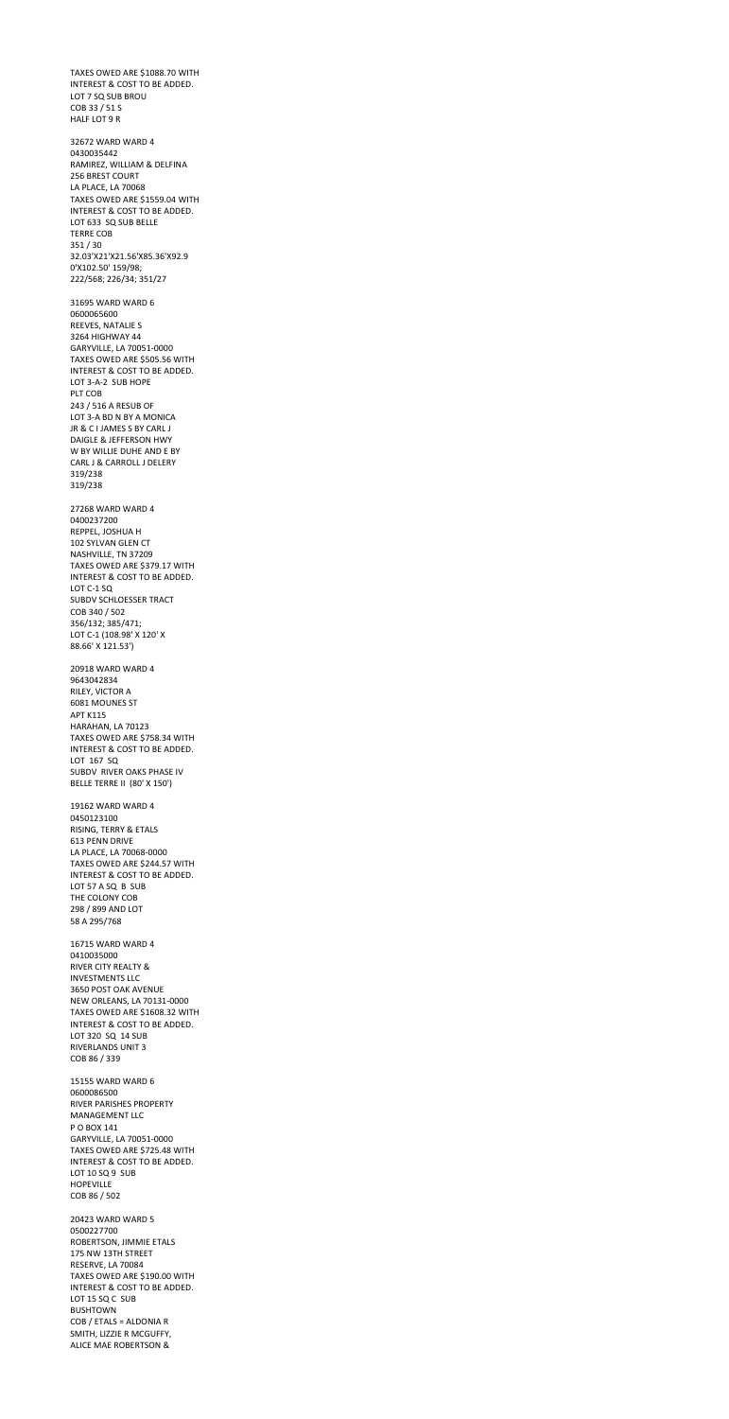TAXES OWED ARE \$1088.70 WITH INTEREST & COST TO BE ADDED. LOT 7 SQ SUB BROU COB 33 / 51 S HALF LOT 9 R 32672 WARD WARD 4 0430035442 RAMIREZ, WILLIAM & DELFINA 256 BREST COURT LA PLACE, LA 70068 TAXES OWED ARE \$1559.04 WITH INTEREST & COST TO BE ADDED. LOT 633 SQ SUB BELLE TERRE COB 351 / 30 32.03'X21'X21.56'X85.36'X92.9 0'X102.50' 159/98; 222/568; 226/34; 351/27 31695 WARD WARD 6 0600065600 REEVES, NATALIE S 3264 HIGHWAY 44 GARYVILLE, LA 70051-0000 TAXES OWED ARE \$505.56 WITH INTEREST & COST TO BE ADDED. LOT 3-A-2 SUB HOPE PLT COB 243 / 516 A RESUB OF LOT 3-A BD N BY A MONICA JR & C I JAMES S BY CARL J DAIGLE & JEFFERSON HWY W BY WILLIE DUHE AND E BY CARL J & CARROLL J DELERY 319/238 319/238 27268 WARD WARD 4 0400237200 REPPEL, JOSHUA H 102 SYLVAN GLEN CT NASHVILLE, TN 37209 TAXES OWED ARE \$379.17 WITH INTEREST & COST TO BE ADDED. LOT C-1 SQ SUBDV SCHLOESSER TRACT COB 340 / 502 356/132; 385/471; LOT C-1 (108.98' X 120' X 88.66' X 121.53') 20918 WARD WARD 4 9643042834 RILEY, VICTOR A 6081 MOUNES ST APT K115 HARAHAN, LA 70123 TAXES OWED ARE \$758.34 WITH INTEREST & COST TO BE ADDED. LOT 167 SQ SUBDV RIVER OAKS PHASE IV BELLE TERRE II (80' X 150')

19162 WARD WARD 4 0450123100 RISING, TERRY & ETALS 613 PENN DRIVE

LA PLACE, LA 70068-0000 TAXES OWED ARE \$244.57 WITH INTEREST & COST TO BE ADDED. LOT 57 A SQ B SUB THE COLONY COB 298 / 899 AND LOT 58 A 295/768

16715 WARD WARD 4 0410035000 RIVER CITY REALTY & INVESTMENTS LLC 3650 POST OAK AVENUE NEW ORLEANS, LA 70131-0000 TAXES OWED ARE \$1608.32 WITH INTEREST & COST TO BE ADDED. LOT 320 SQ 14 SUB RIVERLANDS UNIT 3 COB 86 / 339

15155 WARD WARD 6 0600086500 RIVER PARISHES PROPERTY MANAGEMENT LLC P O BOX 141 GARYVILLE, LA 70051-0000 TAXES OWED ARE \$725.48 WITH INTEREST & COST TO BE ADDED. LOT 10 SQ 9 SUB HOPEVILLE COB 86 / 502

20423 WARD WARD 5 0500227700 ROBERTSON, JIMMIE ETALS 175 NW 13TH STREET RESERVE, LA 70084 TAXES OWED ARE \$190.00 WITH INTEREST & COST TO BE ADDED. LOT 15 SQ C SUB BUSHTOWN COB / ETALS = ALDONIA R SMITH, LIZZIE R MCGUFFY, ALICE MAE ROBERTSON &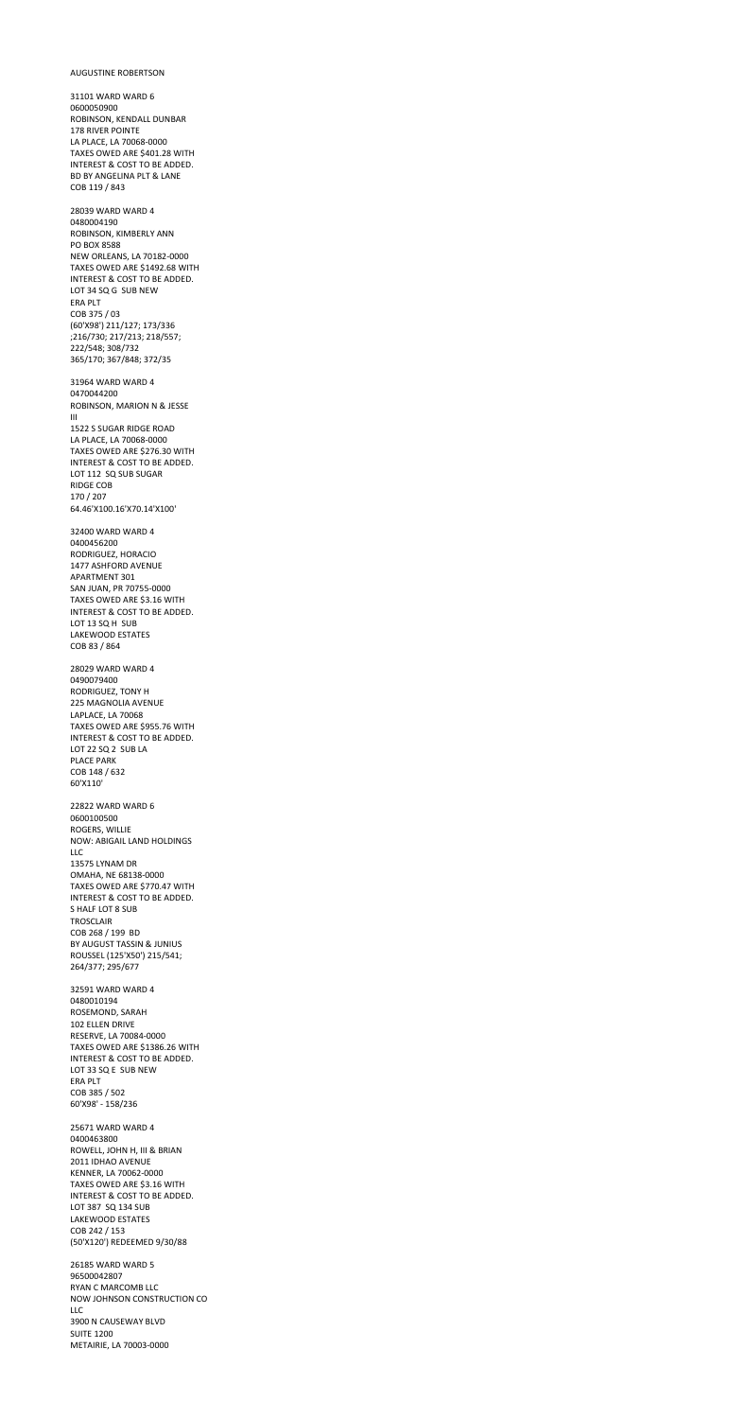## AUGUSTINE ROBERTSON

31101 WARD WARD 6 0600050900 ROBINSON, KENDALL DUNBAR 178 RIVER POINTE LA PLACE, LA 70068-0000 TAXES OWED ARE \$401.28 WITH INTEREST & COST TO BE ADDED. BD BY ANGELINA PLT & LANE COB 119 / 843 28039 WARD WARD 4 0480004190 ROBINSON, KIMBERLY ANN PO BOX 8588 NEW ORLEANS, LA 70182-0000 TAXES OWED ARE \$1492.68 WITH INTEREST & COST TO BE ADDED. LOT 34 SQ G SUB NEW ERA PLT COB 375 / 03 (60'X98') 211/127; 173/336 ;216/730; 217/213; 218/557; 222/548; 308/732 365/170; 367/848; 372/35 31964 WARD WARD 4 0470044200 ROBINSON, MARION N & JESSE III 1522 S SUGAR RIDGE ROAD LA PLACE, LA 70068-0000 TAXES OWED ARE \$276.30 WITH INTEREST & COST TO BE ADDED. LOT 112 SQ SUB SUGAR RIDGE COB 170 / 207 64.46'X100.16'X70.14'X100' 32400 WARD WARD 4 0400456200 RODRIGUEZ, HORACIO 1477 ASHFORD AVENUE APARTMENT 301 SAN JUAN, PR 70755-0000 TAXES OWED ARE \$3.16 WITH INTEREST & COST TO BE ADDED. LOT 13 SQ H SUB LAKEWOOD ESTATES COB 83 / 864 28029 WARD WARD 4 0490079400 RODRIGUEZ, TONY H 225 MAGNOLIA AVENUE LAPLACE, LA 70068 TAXES OWED ARE \$955.76 WITH INTEREST & COST TO BE ADDED. LOT 22 SQ 2 SUB LA PLACE PARK COB 148 / 632 60'X110' 22822 WARD WARD 6

0600100500 ROGERS, WILLIE NOW: ABIGAIL LAND HOLDINGS

LLC 13575 LYNAM DR OMAHA, NE 68138-0000 TAXES OWED ARE \$770.47 WITH INTEREST & COST TO BE ADDED. S HALF LOT 8 SUB TROSCLAIR COB 268 / 199 BD BY AUGUST TASSIN & JUNIUS ROUSSEL (125'X50') 215/541; 264/377; 295/677 32591 WARD WARD 4 0480010194 ROSEMOND, SARAH 102 ELLEN DRIVE RESERVE, LA 70084-0000 TAXES OWED ARE \$1386.26 WITH INTEREST & COST TO BE ADDED. LOT 33 SQ E SUB NEW ERA PLT COB 385 / 502 60'X98' - 158/236 25671 WARD WARD 4 0400463800 ROWELL, JOHN H, III & BRIAN 2011 IDHAO AVENUE KENNER, LA 70062-0000 TAXES OWED ARE \$3.16 WITH INTEREST & COST TO BE ADDED. LOT 387 SQ 134 SUB LAKEWOOD ESTATES COB 242 / 153 (50'X120') REDEEMED 9/30/88 26185 WARD WARD 5 96500042807 RYAN C MARCOMB LLC NOW JOHNSON CONSTRUCTION CO LLC 3900 N CAUSEWAY BLVD SUITE 1200

METAIRIE, LA 70003-0000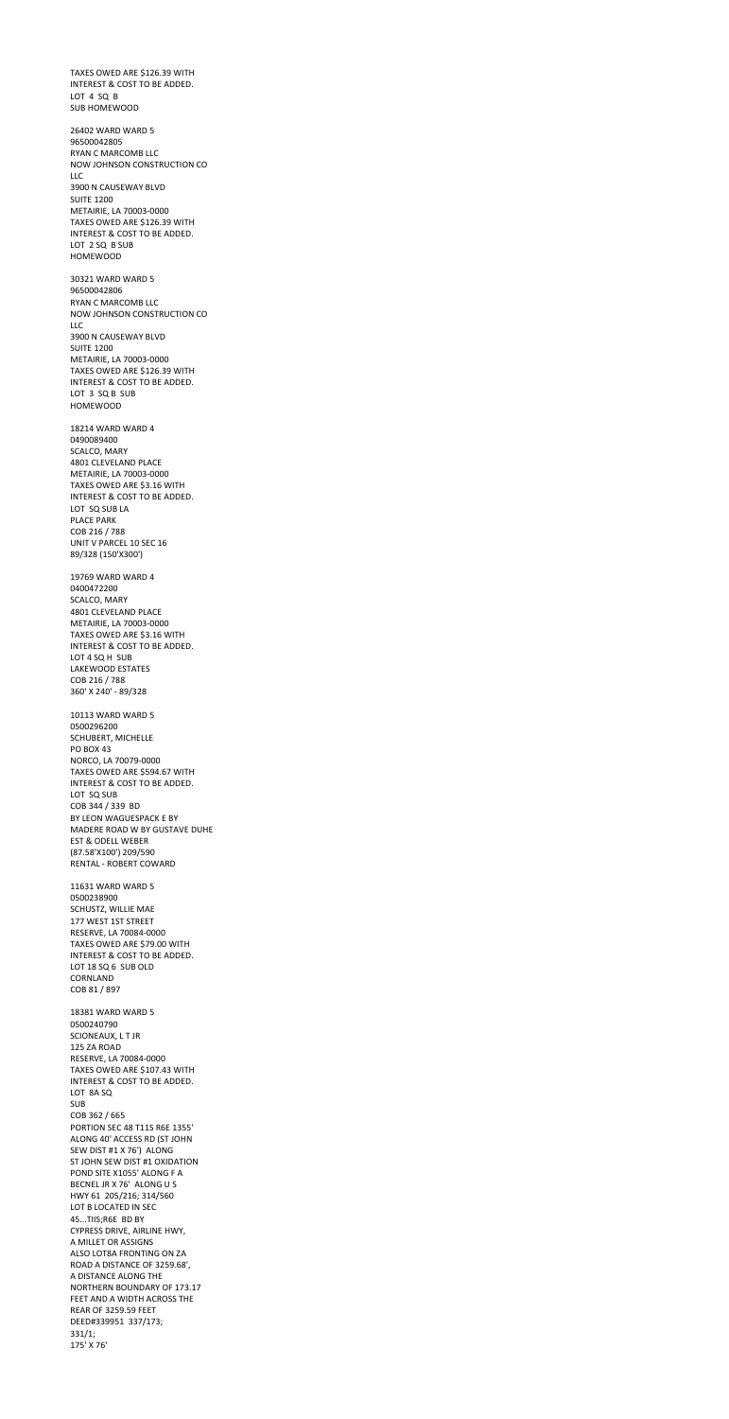TAXES OWED ARE \$126.39 WITH INTEREST & COST TO BE ADDED. LOT 4 SQ B SUB HOMEWOOD 26402 WARD WARD 5 96500042805 RYAN C MARCOMB LLC NOW JOHNSON CONSTRUCTION CO LLC 3900 N CAUSEWAY BLVD SUITE 1200 METAIRIE, LA 70003-0000 TAXES OWED ARE \$126.39 WITH INTEREST & COST TO BE ADDED. LOT 2 SQ B SUB HOMEWOOD 30321 WARD WARD 5 96500042806 RYAN C MARCOMB LLC NOW JOHNSON CONSTRUCTION CO LLC 3900 N CAUSEWAY BLVD SUITE 1200 METAIRIE, LA 70003-0000 TAXES OWED ARE \$126.39 WITH INTEREST & COST TO BE ADDED. LOT 3 SQ B SUB HOMEWOOD 18214 WARD WARD 4 0490089400 SCALCO, MARY 4801 CLEVELAND PLACE METAIRIE, LA 70003-0000 TAXES OWED ARE \$3.16 WITH INTEREST & COST TO BE ADDED. LOT SQ SUB LA PLACE PARK COB 216 / 788 UNIT V PARCEL 10 SEC 16 89/328 (150'X300') 19769 WARD WARD 4 0400472200 SCALCO, MARY 4801 CLEVELAND PLACE METAIRIE, LA 70003-0000 TAXES OWED ARE \$3.16 WITH INTEREST & COST TO BE ADDED. LOT 4 SQ H SUB LAKEWOOD ESTATES COB 216 / 788 360' X 240' - 89/328 10113 WARD WARD 5 0500296200 SCHUBERT, MICHELLE PO BOX 43 NORCO, LA 70079-0000 TAXES OWED ARE \$594.67 WITH INTEREST & COST TO BE ADDED. LOT SQ SUB COB 344 / 339 BD

BY LEON WAGUESPACK E BY

MADERE ROAD W BY GUSTAVE DUHE

EST & ODELL WEBER

(87.58'X100') 209/590 RENTAL - ROBERT COWARD 11631 WARD WARD 5 0500238900 SCHUSTZ, WILLIE MAE 177 WEST 1ST STREET RESERVE, LA 70084-0000 TAXES OWED ARE \$79.00 WITH INTEREST & COST TO BE ADDED. LOT 18 SQ 6 SUB OLD CORNLAND COB 81 / 897 18381 WARD WARD 5 0500240790 SCIONEAUX, L T JR 125 ZA ROAD RESERVE, LA 70084-0000 TAXES OWED ARE \$107.43 WITH INTEREST & COST TO BE ADDED. LOT 8A SQ SUB COB 362 / 665 PORTION SEC 48 T11S R6E 1355' ALONG 40' ACCESS RD (ST JOHN SEW DIST #1 X 76') ALONG ST JOHN SEW DIST #1 OXIDATION POND SITE X1055' ALONG F A BECNEL JR X 76' ALONG U S HWY 61 205/216; 314/560 LOT B LOCATED IN SEC 45...TIIS;R6E BD BY CYPRESS DRIVE, AIRLINE HWY, A MILLET OR ASSIGNS ALSO LOT8A FRONTING ON ZA ROAD A DISTANCE OF 3259.68', A DISTANCE ALONG THE NORTHERN BOUNDARY OF 173.17 FEET AND A WIDTH ACROSS THE REAR OF 3259.59 FEET DEED#339951 337/173; 331/1; 175' X 76'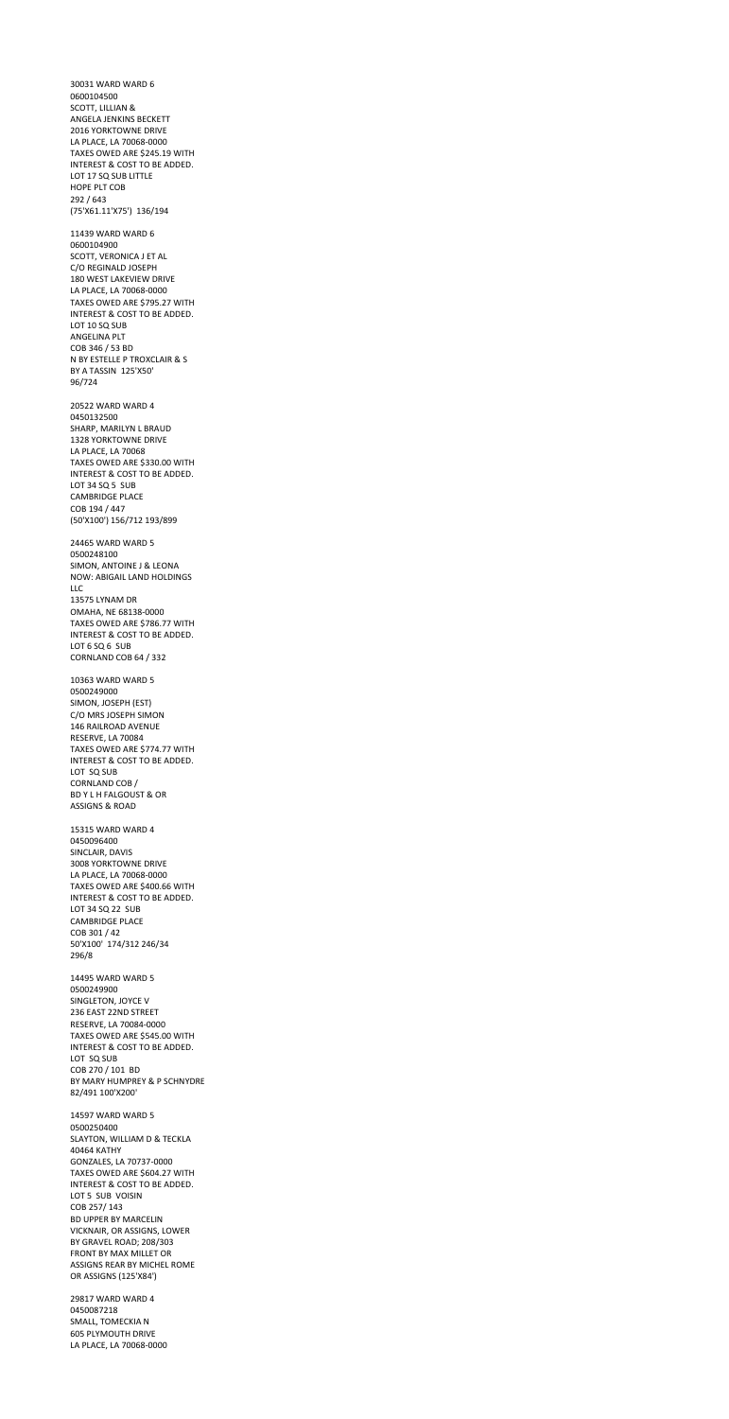30031 WARD WARD 6 0600104500 SCOTT, LILLIAN & ANGELA JENKINS BECKETT 2016 YORKTOWNE DRIVE LA PLACE, LA 70068-0000 TAXES OWED ARE \$245.19 WITH INTEREST & COST TO BE ADDED. LOT 17 SQ SUB LITTLE HOPE PLT COB 292 / 643 (75'X61.11'X75') 136/194 11439 WARD WARD 6 0600104900 SCOTT, VERONICA J ET AL C/O REGINALD JOSEPH 180 WEST LAKEVIEW DRIVE LA PLACE, LA 70068-0000 TAXES OWED ARE \$795.27 WITH INTEREST & COST TO BE ADDED. LOT 10 SQ SUB ANGELINA PLT COB 346 / 53 BD N BY ESTELLE P TROXCLAIR & S BY A TASSIN 125'X50' 96/724 20522 WARD WARD 4 0450132500 SHARP, MARILYN L BRAUD 1328 YORKTOWNE DRIVE LA PLACE, LA 70068 TAXES OWED ARE \$330.00 WITH INTEREST & COST TO BE ADDED. LOT 34 SQ 5 SUB CAMBRIDGE PLACE COB 194 / 447 (50'X100') 156/712 193/899 24465 WARD WARD 5 0500248100 SIMON, ANTOINE J & LEONA NOW: ABIGAIL LAND HOLDINGS LLC 13575 LYNAM DR OMAHA, NE 68138-0000 TAXES OWED ARE \$786.77 WITH INTEREST & COST TO BE ADDED. LOT 6 SQ 6 SUB CORNLAND COB 64 / 332 10363 WARD WARD 5 0500249000 SIMON, JOSEPH (EST) C/O MRS JOSEPH SIMON 146 RAILROAD AVENUE RESERVE, LA 70084 TAXES OWED ARE \$774.77 WITH INTEREST & COST TO BE ADDED. LOT SQ SUB CORNLAND COB / BD Y L H FALGOUST & OR

ASSIGNS & ROAD

15315 WARD WARD 4 0450096400 SINCLAIR, DAVIS 3008 YORKTOWNE DRIVE LA PLACE, LA 70068-0000 TAXES OWED ARE \$400.66 WITH INTEREST & COST TO BE ADDED. LOT 34 SQ 22 SUB CAMBRIDGE PLACE COB 301 / 42 50'X100' 174/312 246/34 296/8 14495 WARD WARD 5 0500249900 SINGLETON, JOYCE V 236 EAST 22ND STREET RESERVE, LA 70084-0000 TAXES OWED ARE \$545.00 WITH INTEREST & COST TO BE ADDED. LOT SQ SUB COB 270 / 101 BD BY MARY HUMPREY & P SCHNYDRE 82/491 100'X200' 14597 WARD WARD 5 0500250400 SLAYTON, WILLIAM D & TECKLA 40464 KATHY GONZALES, LA 70737-0000 TAXES OWED ARE \$604.27 WITH INTEREST & COST TO BE ADDED. LOT 5 SUB VOISIN COB 257/ 143 BD UPPER BY MARCELIN VICKNAIR, OR ASSIGNS, LOWER BY GRAVEL ROAD; 208/303 FRONT BY MAX MILLET OR ASSIGNS REAR BY MICHEL ROME OR ASSIGNS (125'X84')

29817 WARD WARD 4 0450087218 SMALL, TOMECKIA N 605 PLYMOUTH DRIVE LA PLACE, LA 70068-0000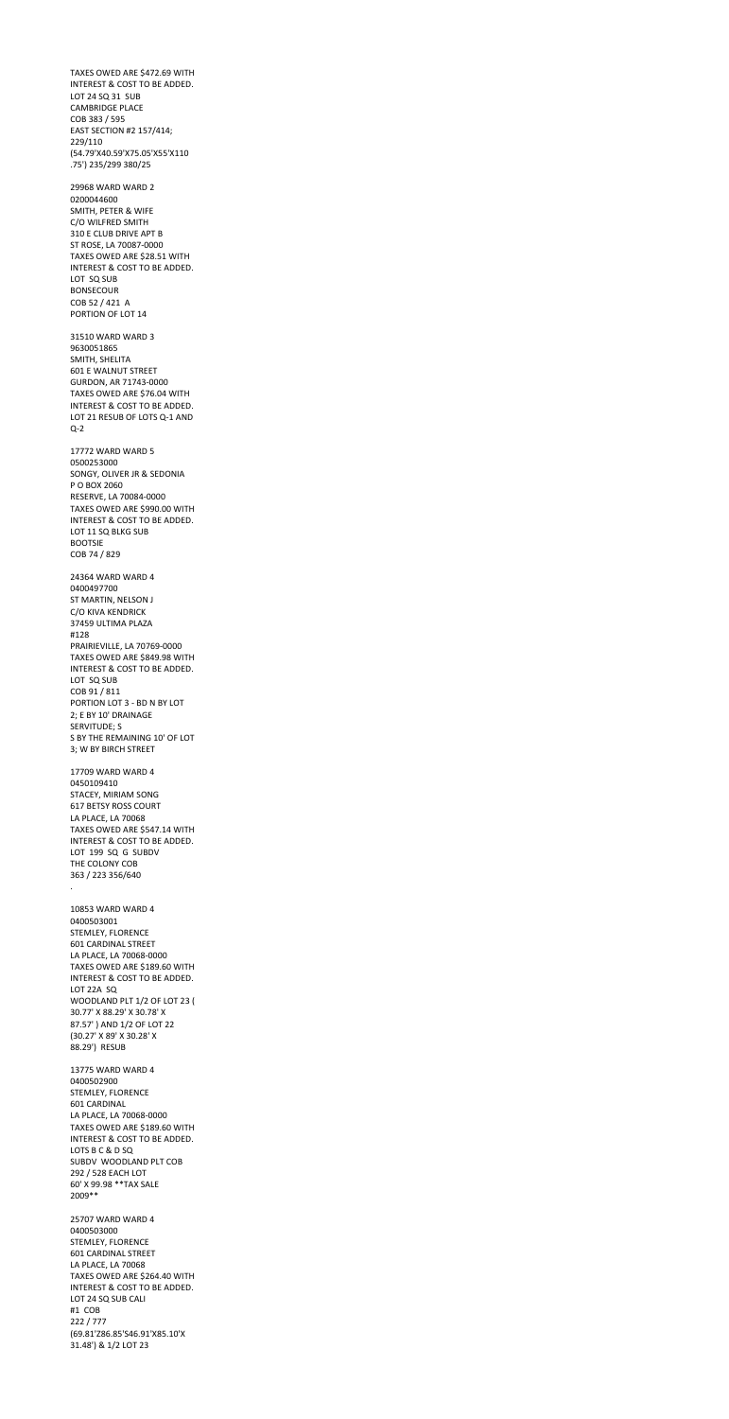TAXES OWED ARE \$472.69 WITH INTEREST & COST TO BE ADDED. LOT 24 SQ 31 SUB CAMBRIDGE PLACE COB 383 / 595 EAST SECTION #2 157/414; 229/110 (54.79'X40.59'X75.05'X55'X110 .75') 235/299 380/25 29968 WARD WARD 2 0200044600 SMITH, PETER & WIFE C/O WILFRED SMITH 310 E CLUB DRIVE APT B ST ROSE, LA 70087-0000 TAXES OWED ARE \$28.51 WITH INTEREST & COST TO BE ADDED. LOT SQ SUB BONSECOUR COB 52 / 421 A PORTION OF LOT 14 31510 WARD WARD 3 9630051865 SMITH, SHELITA 601 E WALNUT STREET GURDON, AR 71743-0000 TAXES OWED ARE \$76.04 WITH INTEREST & COST TO BE ADDED. LOT 21 RESUB OF LOTS Q-1 AND Q-2 17772 WARD WARD 5 0500253000 SONGY, OLIVER JR & SEDONIA P O BOX 2060 RESERVE, LA 70084-0000 TAXES OWED ARE \$990.00 WITH INTEREST & COST TO BE ADDED. LOT 11 SQ BLKG SUB BOOTSIE COB 74 / 829 24364 WARD WARD 4 0400497700 ST MARTIN, NELSON J C/O KIVA KENDRICK 37459 ULTIMA PLAZA #128 PRAIRIEVILLE, LA 70769-0000 TAXES OWED ARE \$849.98 WITH INTEREST & COST TO BE ADDED. LOT SQ SUB COB 91 / 811 PORTION LOT 3 - BD N BY LOT 2; E BY 10' DRAINAGE SERVITUDE; S S BY THE REMAINING 10' OF LOT 3; W BY BIRCH STREET 17709 WARD WARD 4 0450109410 STACEY, MIRIAM SONG 617 BETSY ROSS COURT LA PLACE, LA 70068

TAXES OWED ARE \$547.14 WITH INTEREST & COST TO BE ADDED.

LOT 199 SQ G SUBDV THE COLONY COB 363 / 223 356/640

.

10853 WARD WARD 4 0400503001 STEMLEY, FLORENCE 601 CARDINAL STREET LA PLACE, LA 70068-0000 TAXES OWED ARE \$189.60 WITH INTEREST & COST TO BE ADDED. LOT 22A SQ WOODLAND PLT 1/2 OF LOT 23 ( 30.77' X 88.29' X 30.78' X 87.57' ) AND 1/2 OF LOT 22 (30.27' X 89' X 30.28' X 88.29') RESUB 13775 WARD WARD 4 0400502900 STEMLEY, FLORENCE 601 CARDINAL LA PLACE, LA 70068-0000 TAXES OWED ARE \$189.60 WITH INTEREST & COST TO BE ADDED. LOTS B C & D SQ SUBDV WOODLAND PLT COB 292 / 528 EACH LOT 60' X 99.98 \*\*TAX SALE 2009\*\* 25707 WARD WARD 4 0400503000 STEMLEY, FLORENCE 601 CARDINAL STREET

LA PLACE, LA 70068 TAXES OWED ARE \$264.40 WITH INTEREST & COST TO BE ADDED. LOT 24 SQ SUB CALI #1 COB 222 / 777 (69.81'Z86.85'S46.91'X85.10'X 31.48') & 1/2 LOT 23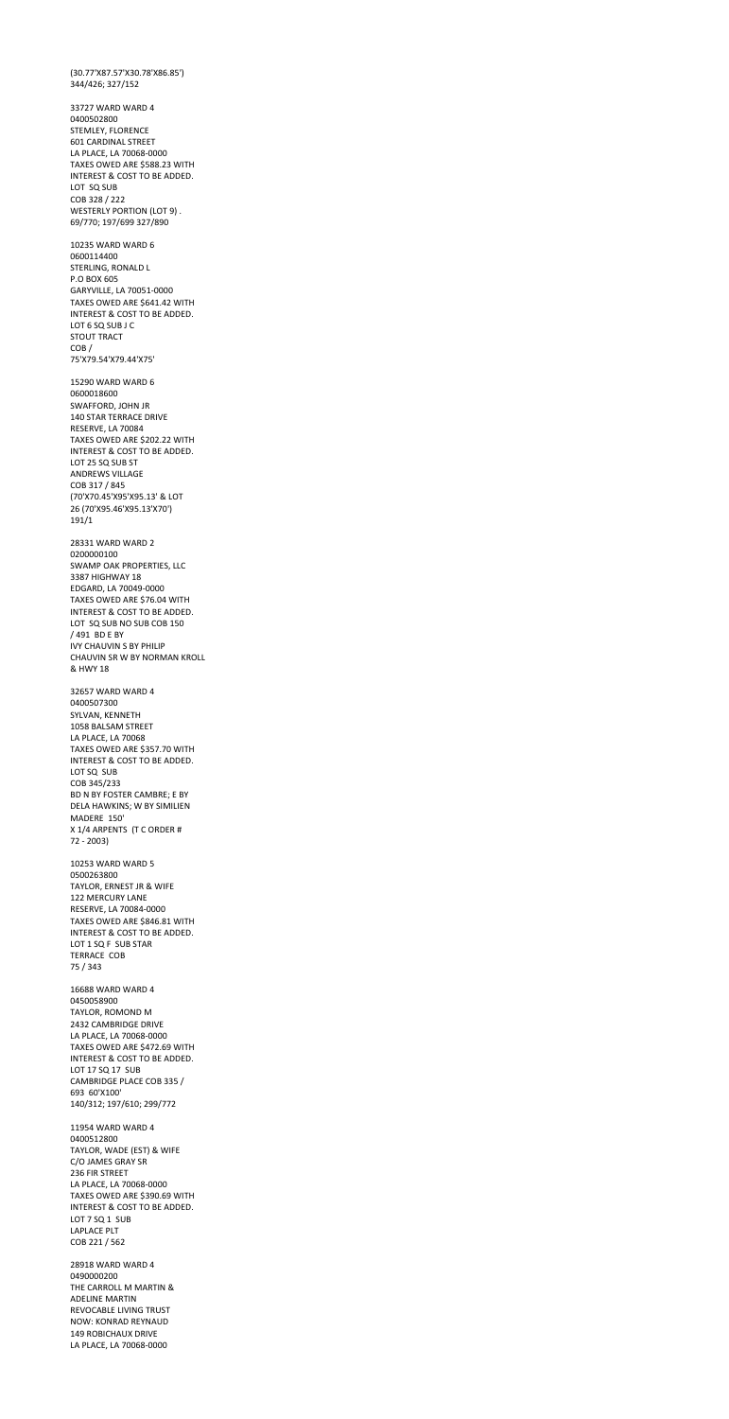(30.77'X87.57'X30.78'X86.85') 344/426; 327/152 33727 WARD WARD 4 0400502800 STEMLEY, FLORENCE 601 CARDINAL STREET LA PLACE, LA 70068-0000 TAXES OWED ARE \$588.23 WITH INTEREST & COST TO BE ADDED. LOT SQ SUB COB 328 / 222 WESTERLY PORTION (LOT 9) . 69/770; 197/699 327/890 10235 WARD WARD 6 0600114400 STERLING, RONALD L P.O BOX 605 GARYVILLE, LA 70051-0000 TAXES OWED ARE \$641.42 WITH INTEREST & COST TO BE ADDED. LOT 6 SQ SUB J C STOUT TRACT COB / 75'X79.54'X79.44'X75' 15290 WARD WARD 6 0600018600 SWAFFORD, JOHN JR 140 STAR TERRACE DRIVE RESERVE, LA 70084 TAXES OWED ARE \$202.22 WITH INTEREST & COST TO BE ADDED. LOT 25 SQ SUB ST ANDREWS VILLAGE COB 317 / 845 (70'X70.45'X95'X95.13' & LOT 26 (70'X95.46'X95.13'X70') 191/1 28331 WARD WARD 2 0200000100 SWAMP OAK PROPERTIES, LLC 3387 HIGHWAY 18 EDGARD, LA 70049-0000 TAXES OWED ARE \$76.04 WITH INTEREST & COST TO BE ADDED. LOT SQ SUB NO SUB COB 150 / 491 BD E BY IVY CHAUVIN S BY PHILIP CHAUVIN SR W BY NORMAN KROLL & HWY 18 32657 WARD WARD 4 0400507300 SYLVAN, KENNETH 1058 BALSAM STREET LA PLACE, LA 70068 TAXES OWED ARE \$357.70 WITH INTEREST & COST TO BE ADDED. LOT SQ SUB COB 345/233 BD N BY FOSTER CAMBRE; E BY DELA HAWKINS; W BY SIMILIEN MADERE 150' X 1/4 ARPENTS (T C ORDER #

72 - 2003)

10253 WARD WARD 5 0500263800 TAYLOR, ERNEST JR & WIFE 122 MERCURY LANE RESERVE, LA 70084-0000 TAXES OWED ARE \$846.81 WITH INTEREST & COST TO BE ADDED. LOT 1 SQ F SUB STAR TERRACE COB 75 / 343 16688 WARD WARD 4 0450058900 TAYLOR, ROMOND M 2432 CAMBRIDGE DRIVE LA PLACE, LA 70068-0000 TAXES OWED ARE \$472.69 WITH INTEREST & COST TO BE ADDED. LOT 17 SQ 17 SUB CAMBRIDGE PLACE COB 335 / 693 60'X100' 140/312; 197/610; 299/772 11954 WARD WARD 4 0400512800 TAYLOR, WADE (EST) & WIFE C/O JAMES GRAY SR 236 FIR STREET LA PLACE, LA 70068-0000 TAXES OWED ARE \$390.69 WITH INTEREST & COST TO BE ADDED. LOT 7 SQ 1 SUB LAPLACE PLT COB 221 / 562 28918 WARD WARD 4 0490000200 THE CARROLL M MARTIN & ADELINE MARTIN REVOCABLE LIVING TRUST NOW: KONRAD REYNAUD 149 ROBICHAUX DRIVE LA PLACE, LA 70068-0000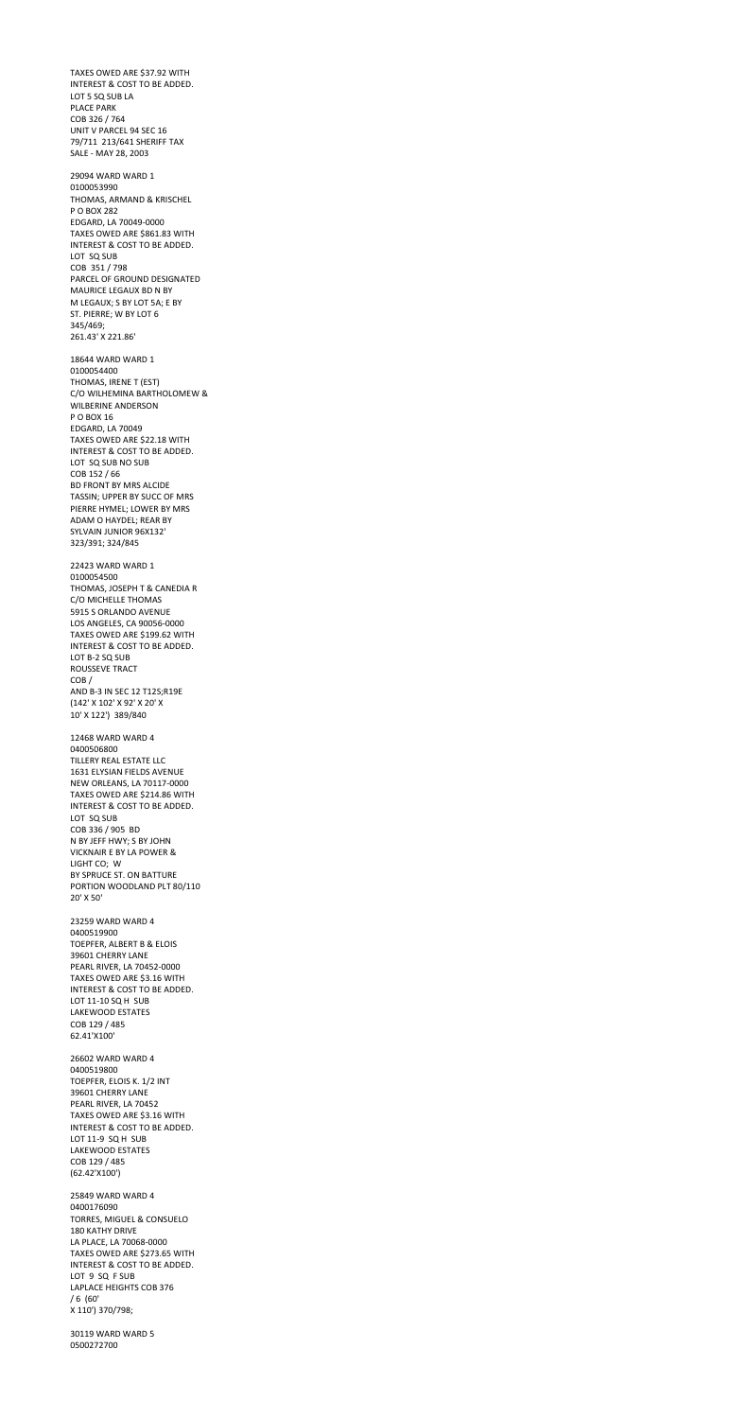TAXES OWED ARE \$37.92 WITH INTEREST & COST TO BE ADDED. LOT 5 SQ SUB LA PLACE PARK COB 326 / 764 UNIT V PARCEL 94 SEC 16 79/711 213/641 SHERIFF TAX SALE - MAY 28, 2003 29094 WARD WARD 1 0100053990 THOMAS, ARMAND & KRISCHEL P O BOX 282 EDGARD, LA 70049-0000 TAXES OWED ARE \$861.83 WITH INTEREST & COST TO BE ADDED. LOT SQ SUB COB 351 / 798 PARCEL OF GROUND DESIGNATED MAURICE LEGAUX BD N BY M LEGAUX; S BY LOT 5A; E BY ST. PIERRE; W BY LOT 6 345/469; 261.43' X 221.86' 18644 WARD WARD 1 0100054400 THOMAS, IRENE T (EST) C/O WILHEMINA BARTHOLOMEW & WILBERINE ANDERSON P O BOX 16 EDGARD, LA 70049 TAXES OWED ARE \$22.18 WITH INTEREST & COST TO BE ADDED. LOT SQ SUB NO SUB COB 152 / 66 BD FRONT BY MRS ALCIDE TASSIN; UPPER BY SUCC OF MRS PIERRE HYMEL; LOWER BY MRS ADAM O HAYDEL; REAR BY SYLVAIN JUNIOR 96X132' 323/391; 324/845 22423 WARD WARD 1 0100054500 THOMAS, JOSEPH T & CANEDIA R C/O MICHELLE THOMAS 5915 S ORLANDO AVENUE LOS ANGELES, CA 90056-0000 TAXES OWED ARE \$199.62 WITH INTEREST & COST TO BE ADDED. LOT B-2 SQ SUB ROUSSEVE TRACT COB / AND B-3 IN SEC 12 T12S;R19E (142' X 102' X 92' X 20' X 10' X 122') 389/840 12468 WARD WARD 4 0400506800 TILLERY REAL ESTATE LLC 1631 ELYSIAN FIELDS AVENUE NEW ORLEANS, LA 70117-0000 TAXES OWED ARE \$214.86 WITH INTEREST & COST TO BE ADDED. LOT SQ SUB

COB 336 / 905 BD N BY JEFF HWY; S BY JOHN

VICKNAIR E BY LA POWER & LIGHT CO; W BY SPRUCE ST. ON BATTURE PORTION WOODLAND PLT 80/110 20' X 50'

23259 WARD WARD 4 0400519900 TOEPFER, ALBERT B & ELOIS 39601 CHERRY LANE PEARL RIVER, LA 70452-0000 TAXES OWED ARE \$3.16 WITH INTEREST & COST TO BE ADDED. LOT 11-10 SQ H SUB LAKEWOOD ESTATES COB 129 / 485 62.41'X100'

26602 WARD WARD 4 0400519800 TOEPFER, ELOIS K. 1/2 INT 39601 CHERRY LANE PEARL RIVER, LA 70452 TAXES OWED ARE \$3.16 WITH INTEREST & COST TO BE ADDED. LOT 11-9 SQ H SUB LAKEWOOD ESTATES COB 129 / 485 (62.42'X100')

25849 WARD WARD 4 0400176090 TORRES, MIGUEL & CONSUELO 180 KATHY DRIVE LA PLACE, LA 70068-0000 TAXES OWED ARE \$273.65 WITH INTEREST & COST TO BE ADDED. LOT 9 SQ F SUB LAPLACE HEIGHTS COB 376 / 6 (60' X 110') 370/798;

30119 WARD WARD 5 0500272700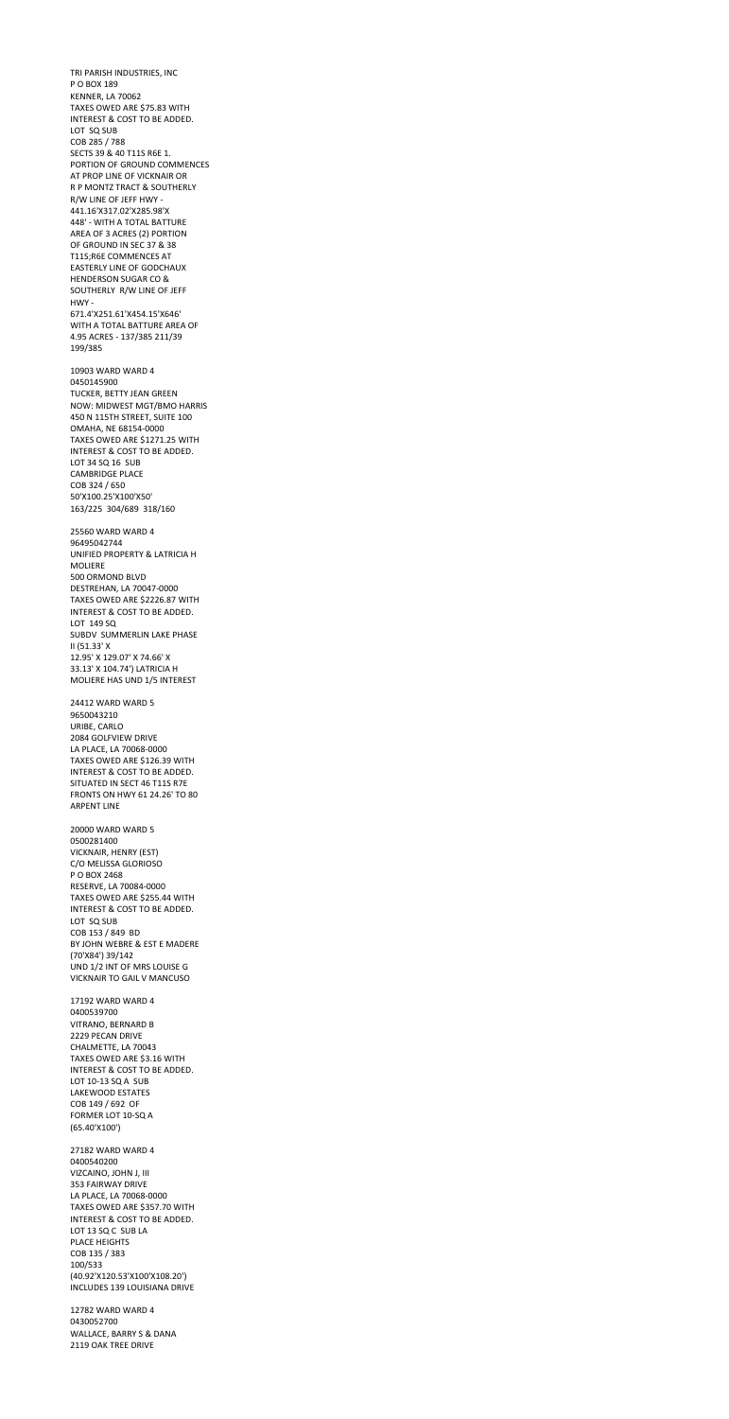TRI PARISH INDUSTRIES, INC P O BOX 189 KENNER, LA 70062 TAXES OWED ARE \$75.83 WITH INTEREST & COST TO BE ADDED. LOT SQ SUB COB 285 / 788 SECTS 39 & 40 T11S R6E 1. PORTION OF GROUND COMMENCES AT PROP LINE OF VICKNAIR OR R P MONTZ TRACT & SOUTHERLY R/W LINE OF JEFF HWY - 441.16'X317.02'X285.98'X 448' - WITH A TOTAL BATTURE AREA OF 3 ACRES (2) PORTION OF GROUND IN SEC 37 & 38 T11S;R6E COMMENCES AT EASTERLY LINE OF GODCHAUX HENDERSON SUGAR CO & SOUTHERLY R/W LINE OF JEFF HWY - 671.4'X251.61'X454.15'X646' WITH A TOTAL BATTURE AREA OF 4.95 ACRES - 137/385 211/39 199/385 10903 WARD WARD 4 0450145900 TUCKER, BETTY JEAN GREEN NOW: MIDWEST MGT/BMO HARRIS 450 N 115TH STREET, SUITE 100 OMAHA, NE 68154-0000 TAXES OWED ARE \$1271.25 WITH INTEREST & COST TO BE ADDED. LOT 34 SQ 16 SUB CAMBRIDGE PLACE COB 324 / 650 50'X100.25'X100'X50' 163/225 304/689 318/160 25560 WARD WARD 4 96495042744 UNIFIED PROPERTY & LATRICIA H MOLIERE 500 ORMOND BLVD DESTREHAN, LA 70047-0000 TAXES OWED ARE \$2226.87 WITH INTEREST & COST TO BE ADDED. LOT 149 SQ SUBDV SUMMERLIN LAKE PHASE II (51.33' X 12.95' X 129.07' X 74.66' X 33.13' X 104.74') LATRICIA H MOLIERE HAS UND 1/5 INTEREST 24412 WARD WARD 5 9650043210 URIBE, CARLO 2084 GOLFVIEW DRIVE LA PLACE, LA 70068-0000 TAXES OWED ARE \$126.39 WITH

INTEREST & COST TO BE ADDED. SITUATED IN SECT 46 T11S R7E FRONTS ON HWY 61 24.26' TO 80 ARPENT LINE

20000 WARD WARD 5 0500281400

VICKNAIR, HENRY (EST) C/O MELISSA GLORIOSO P O BOX 2468 RESERVE, LA 70084-0000 TAXES OWED ARE \$255.44 WITH INTEREST & COST TO BE ADDED. LOT SQ SUB COB 153 / 849 BD BY JOHN WEBRE & EST E MADERE (70'X84') 39/142 UND 1/2 INT OF MRS LOUISE G VICKNAIR TO GAIL V MANCUSO 17192 WARD WARD 4 0400539700 VITRANO, BERNARD B 2229 PECAN DRIVE CHALMETTE, LA 70043 TAXES OWED ARE \$3.16 WITH INTEREST & COST TO BE ADDED. LOT 10-13 SQ A SUB LAKEWOOD ESTATES COB 149 / 692 OF FORMER LOT 10-SQ A (65.40'X100') 27182 WARD WARD 4 0400540200 VIZCAINO, JOHN J, III 353 FAIRWAY DRIVE LA PLACE, LA 70068-0000 TAXES OWED ARE \$357.70 WITH INTEREST & COST TO BE ADDED. LOT 13 SQ C SUB LA PLACE HEIGHTS COB 135 / 383 100/533 (40.92'X120.53'X100'X108.20') INCLUDES 139 LOUISIANA DRIVE

12782 WARD WARD 4 0430052700 WALLACE, BARRY S & DANA 2119 OAK TREE DRIVE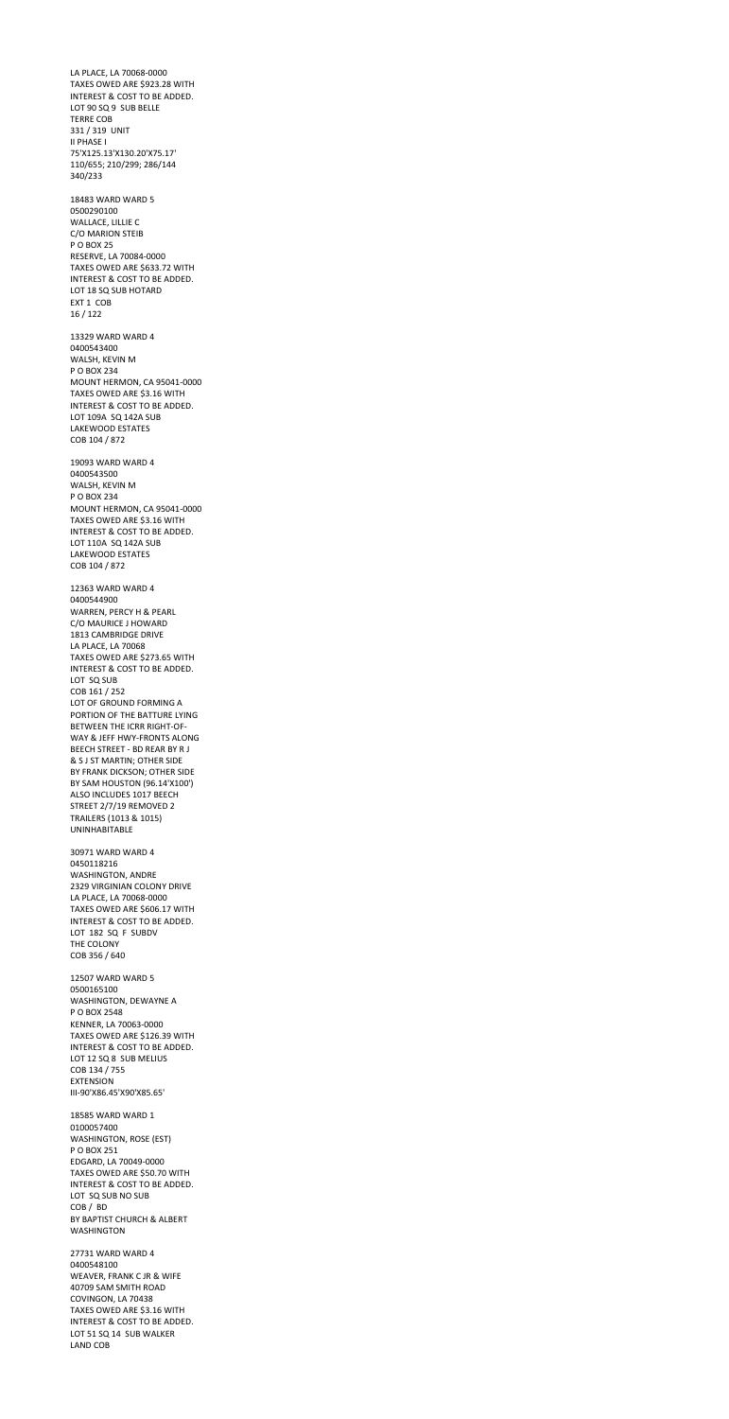LA PLACE, LA 70068-0000 TAXES OWED ARE \$923.28 WITH INTEREST & COST TO BE ADDED. LOT 90 SQ 9 SUB BELLE TERRE COB 331 / 319 UNIT II PHASE I 75'X125.13'X130.20'X75.17' 110/655; 210/299; 286/144 340/233 18483 WARD WARD 5 0500290100 WALLACE, LILLIE C C/O MARION STEIB P O BOX 25 RESERVE, LA 70084-0000 TAXES OWED ARE \$633.72 WITH INTEREST & COST TO BE ADDED. LOT 18 SQ SUB HOTARD EXT 1 COB 16 / 122 13329 WARD WARD 4 0400543400 WALSH, KEVIN M P O BOX 234 MOUNT HERMON, CA 95041-0000 TAXES OWED ARE \$3.16 WITH INTEREST & COST TO BE ADDED. LOT 109A SQ 142A SUB LAKEWOOD ESTATES COB 104 / 872 19093 WARD WARD 4 0400543500 WALSH, KEVIN M P O BOX 234 MOUNT HERMON, CA 95041-0000 TAXES OWED ARE \$3.16 WITH INTEREST & COST TO BE ADDED. LOT 110A SQ 142A SUB LAKEWOOD ESTATES COB 104 / 872 12363 WARD WARD 4 0400544900 WARREN, PERCY H & PEARL C/O MAURICE J HOWARD 1813 CAMBRIDGE DRIVE LA PLACE, LA 70068 TAXES OWED ARE \$273.65 WITH INTEREST & COST TO BE ADDED. LOT SQ SUB COB 161 / 252 LOT OF GROUND FORMING A PORTION OF THE BATTURE LYING BETWEEN THE ICRR RIGHT-OF-WAY & JEFF HWY-FRONTS ALONG BEECH STREET - BD REAR BY R J & S J ST MARTIN; OTHER SIDE BY FRANK DICKSON; OTHER SIDE BY SAM HOUSTON (96.14'X100') ALSO INCLUDES 1017 BEECH STREET 2/7/19 REMOVED 2 TRAILERS (1013 & 1015) UNINHABITABLE 30971 WARD WARD 4 0450118216 WASHINGTON, ANDRE 2329 VIRGINIAN COLONY DRIVE LA PLACE, LA 70068-0000 TAXES OWED ARE \$606.17 WITH INTEREST & COST TO BE ADDED. LOT 182 SQ F SUBDV THE COLONY COB 356 / 640 12507 WARD WARD 5 0500165100 WASHINGTON, DEWAYNE A P O BOX 2548 KENNER, LA 70063-0000 TAXES OWED ARE \$126.39 WITH INTEREST & COST TO BE ADDED. LOT 12 SQ 8 SUB MELIUS COB 134 / 755 EXTENSION III-90'X86.45'X90'X85.65' 18585 WARD WARD 1 0100057400 WASHINGTON, ROSE (EST) P O BOX 251 EDGARD, LA 70049-0000 TAXES OWED ARE \$50.70 WITH INTEREST & COST TO BE ADDED. LOT SQ SUB NO SUB COB / BD BY BAPTIST CHURCH & ALBERT WASHINGTON 27731 WARD WARD 4 0400548100 WEAVER, FRANK C JR & WIFE 40709 SAM SMITH ROAD COVINGON, LA 70438 TAXES OWED ARE \$3.16 WITH INTEREST & COST TO BE ADDED. LOT 51 SQ 14 SUB WALKER

LAND COB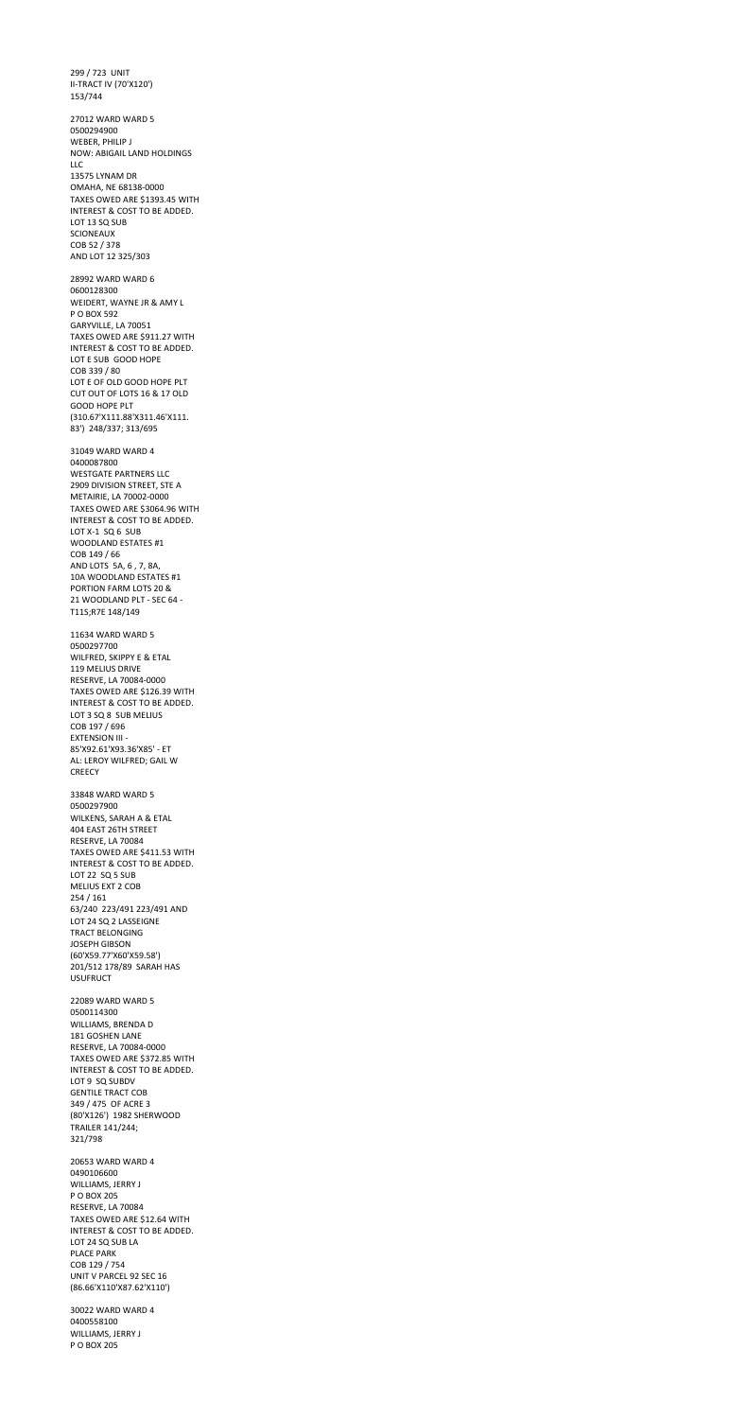299 / 723 UNIT II-TRACT IV (70'X120') 153/744 27012 WARD WARD 5 0500294900 WEBER, PHILIP J NOW: ABIGAIL LAND HOLDINGS LLC 13575 LYNAM DR OMAHA, NE 68138-0000 TAXES OWED ARE \$1393.45 WITH INTEREST & COST TO BE ADDED. LOT 13 SQ SUB SCIONEAUX COB 52 / 378 AND LOT 12 325/303 28992 WARD WARD 6 0600128300 WEIDERT, WAYNE JR & AMY L P O BOX 592 GARYVILLE, LA 70051 TAXES OWED ARE \$911.27 WITH INTEREST & COST TO BE ADDED. LOT E SUB GOOD HOPE COB 339 / 80 LOT E OF OLD GOOD HOPE PLT CUT OUT OF LOTS 16 & 17 OLD GOOD HOPE PLT (310.67'X111.88'X311.46'X111. 83') 248/337; 313/695 31049 WARD WARD 4 0400087800 WESTGATE PARTNERS LLC 2909 DIVISION STREET, STE A METAIRIE, LA 70002-0000 TAXES OWED ARE \$3064.96 WITH INTEREST & COST TO BE ADDED. LOT X-1 SQ 6 SUB WOODLAND ESTATES #1 COB 149 / 66 AND LOTS 5A, 6 , 7, 8A, 10A WOODLAND ESTATES #1 PORTION FARM LOTS 20 & 21 WOODLAND PLT - SEC 64 - T11S;R7E 148/149 11634 WARD WARD 5 0500297700 WILFRED, SKIPPY E & ETAL 119 MELIUS DRIVE RESERVE, LA 70084-0000 TAXES OWED ARE \$126.39 WITH INTEREST & COST TO BE ADDED. LOT 3 SQ 8 SUB MELIUS COB 197 / 696 EXTENSION III - 85'X92.61'X93.36'X85' - ET AL: LEROY WILFRED; GAIL W CREECY 33848 WARD WARD 5 0500297900 WILKENS, SARAH A & ETAL

404 EAST 26TH STREET RESERVE, LA 70084

TAXES OWED ARE \$411.53 WITH INTEREST & COST TO BE ADDED. LOT 22 SQ 5 SUB MELIUS EXT 2 COB 254 / 161 63/240 223/491 223/491 AND LOT 24 SQ 2 LASSEIGNE TRACT BELONGING JOSEPH GIBSON (60'X59.77'X60'X59.58') 201/512 178/89 SARAH HAS USUFRUCT 22089 WARD WARD 5 0500114300 WILLIAMS, BRENDA D 181 GOSHEN LANE RESERVE, LA 70084-0000 TAXES OWED ARE \$372.85 WITH INTEREST & COST TO BE ADDED. LOT 9 SQ SUBDV GENTILE TRACT COB 349 / 475 OF ACRE 3 (80'X126') 1982 SHERWOOD TRAILER 141/244; 321/798 20653 WARD WARD 4 0490106600 WILLIAMS, JERRY J P O BOX 205 RESERVE, LA 70084 TAXES OWED ARE \$12.64 WITH INTEREST & COST TO BE ADDED. LOT 24 SQ SUB LA PLACE PARK COB 129 / 754 UNIT V PARCEL 92 SEC 16 (86.66'X110'X87.62'X110') 30022 WARD WARD 4

0400558100 WILLIAMS, JERRY J P O BOX 205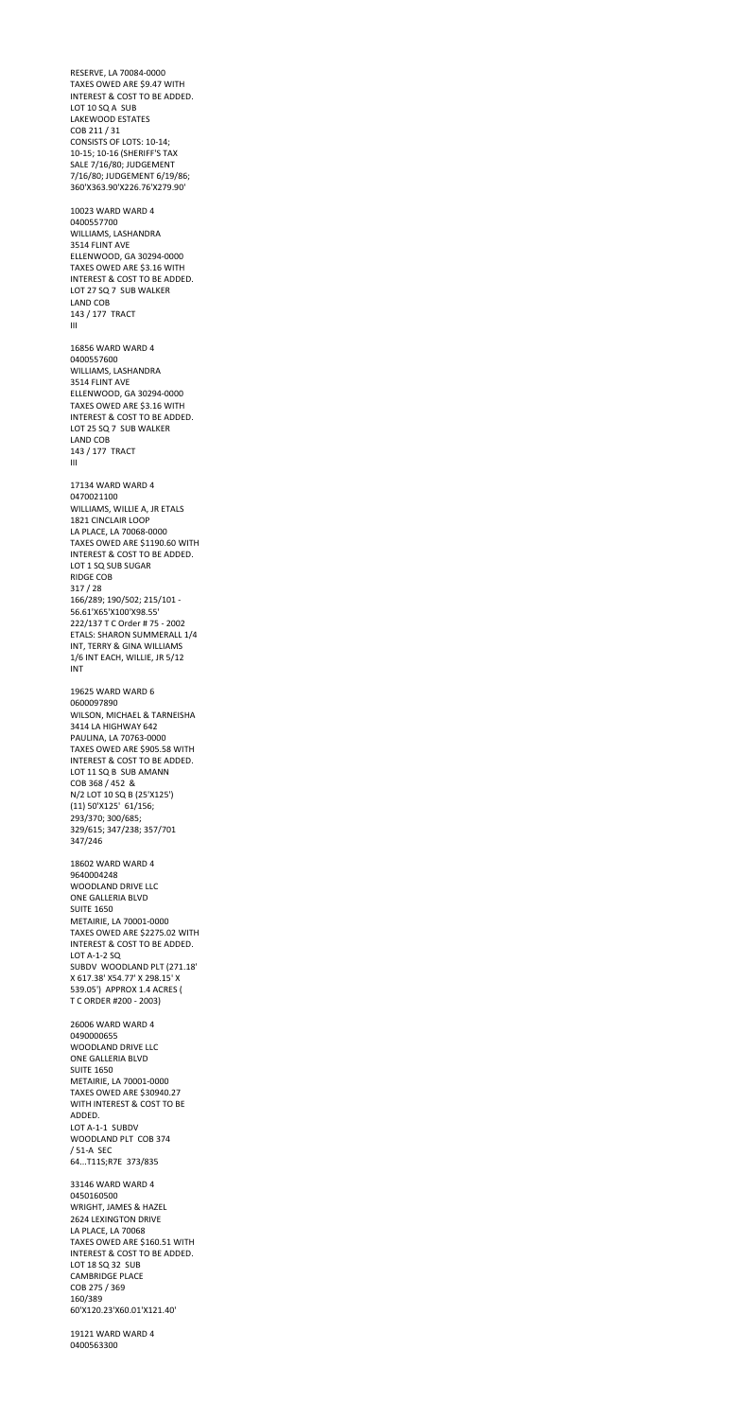RESERVE, LA 70084-0000 TAXES OWED ARE \$9.47 WITH INTEREST & COST TO BE ADDED. LOT 10 SQ A SUB LAKEWOOD ESTATES COB 211 / 31 CONSISTS OF LOTS: 10-14; 10-15; 10-16 (SHERIFF'S TAX SALE 7/16/80; JUDGEMENT 7/16/80; JUDGEMENT 6/19/86; 360'X363.90'X226.76'X279.90' 10023 WARD WARD 4 0400557700 WILLIAMS, LASHANDRA 3514 FLINT AVE ELLENWOOD, GA 30294-0000 TAXES OWED ARE \$3.16 WITH INTEREST & COST TO BE ADDED. LOT 27 SQ 7 SUB WALKER LAND COB 143 / 177 TRACT III 16856 WARD WARD 4 0400557600 WILLIAMS, LASHANDRA 3514 FLINT AVE ELLENWOOD, GA 30294-0000 TAXES OWED ARE \$3.16 WITH INTEREST & COST TO BE ADDED. LOT 25 SQ 7 SUB WALKER LAND COB 143 / 177 TRACT III 17134 WARD WARD 4 0470021100 WILLIAMS, WILLIE A, JR ETALS 1821 CINCLAIR LOOP LA PLACE, LA 70068-0000 TAXES OWED ARE \$1190.60 WITH INTEREST & COST TO BE ADDED. LOT 1 SQ SUB SUGAR RIDGE COB 317 / 28 166/289; 190/502; 215/101 - 56.61'X65'X100'X98.55' 222/137 T C Order # 75 - 2002 ETALS: SHARON SUMMERALL 1/4 INT, TERRY & GINA WILLIAMS 1/6 INT EACH, WILLIE, JR 5/12 INT 19625 WARD WARD 6 0600097890 WILSON, MICHAEL & TARNEISHA 3414 LA HIGHWAY 642 PAULINA, LA 70763-0000 TAXES OWED ARE \$905.58 WITH INTEREST & COST TO BE ADDED. LOT 11 SQ B SUB AMANN COB 368 / 452 & N/2 LOT 10 SQ B (25'X125') (11) 50'X125' 61/156; 293/370; 300/685; 329/615; 347/238; 357/701

347/246

18602 WARD WARD 4 9640004248 WOODLAND DRIVE LLC ONE GALLERIA BLVD SUITE 1650 METAIRIE, LA 70001-0000 TAXES OWED ARE \$2275.02 WITH INTEREST & COST TO BE ADDED. LOT A-1-2 SQ SUBDV WOODLAND PLT (271.18' X 617.38' X54.77' X 298.15' X 539.05') APPROX 1.4 ACRES ( T C ORDER #200 - 2003) 26006 WARD WARD 4 0490000655 WOODLAND DRIVE LLC ONE GALLERIA BLVD SUITE 1650 METAIRIE, LA 70001-0000 TAXES OWED ARE \$30940.27 WITH INTEREST & COST TO BE ADDED. LOT A-1-1 SUBDV WOODLAND PLT COB 374 / 51-A SEC 64...T11S;R7E 373/835 33146 WARD WARD 4 0450160500 WRIGHT, JAMES & HAZEL 2624 LEXINGTON DRIVE LA PLACE, LA 70068 TAXES OWED ARE \$160.51 WITH INTEREST & COST TO BE ADDED. LOT 18 SQ 32 SUB CAMBRIDGE PLACE COB 275 / 369 160/389 60'X120.23'X60.01'X121.40'

19121 WARD WARD 4 0400563300